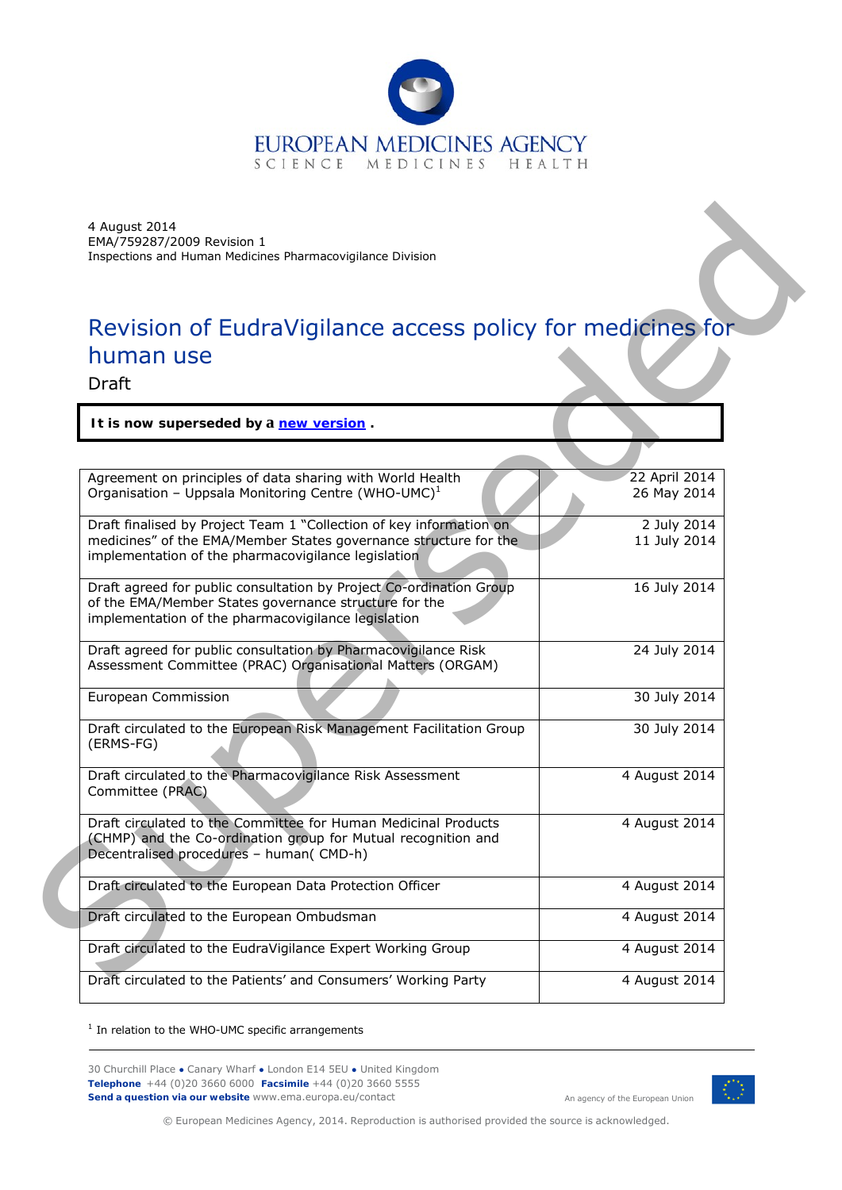

# Revision of EudraVigilance access policy for medicines for human use

| 4 August 2014<br>EMA/759287/2009 Revision 1<br>Inspections and Human Medicines Pharmacovigilance Division                                                                                      |                              |
|------------------------------------------------------------------------------------------------------------------------------------------------------------------------------------------------|------------------------------|
| Revision of EudraVigilance access policy for medicines for                                                                                                                                     |                              |
| human use<br>Draft                                                                                                                                                                             |                              |
| It is now superseded by a new version.                                                                                                                                                         |                              |
|                                                                                                                                                                                                |                              |
| Agreement on principles of data sharing with World Health<br>Organisation - Uppsala Monitoring Centre (WHO-UMC) <sup>1</sup>                                                                   | 22 April 2014<br>26 May 2014 |
| Draft finalised by Project Team 1 "Collection of key information on<br>medicines" of the EMA/Member States governance structure for the<br>implementation of the pharmacovigilance legislation | 2 July 2014<br>11 July 2014  |
| Draft agreed for public consultation by Project Co-ordination Group<br>of the EMA/Member States governance structure for the<br>implementation of the pharmacovigilance legislation            | 16 July 2014                 |
| Draft agreed for public consultation by Pharmacovigilance Risk<br>Assessment Committee (PRAC) Organisational Matters (ORGAM)                                                                   | 24 July 2014                 |
| European Commission                                                                                                                                                                            | 30 July 2014                 |
| Draft circulated to the European Risk Management Facilitation Group<br>(ERMS-FG)                                                                                                               | 30 July 2014                 |
| Draft circulated to the Pharmacovigilance Risk Assessment<br>Committee (PRAC)                                                                                                                  | 4 August 2014                |
| Draft circulated to the Committee for Human Medicinal Products<br>(CHMP) and the Co-ordination group for Mutual recognition and<br>Decentralised procedures - human(CMD-h)                     | 4 August 2014                |
| Draft circulated to the European Data Protection Officer                                                                                                                                       | 4 August 2014                |
| Draft circulated to the European Ombudsman                                                                                                                                                     | 4 August 2014                |
| Draft circulated to the EudraVigilance Expert Working Group                                                                                                                                    | 4 August 2014                |
| Draft circulated to the Patients' and Consumers' Working Party                                                                                                                                 | 4 August 2014                |

<span id="page-0-0"></span> $1$  In relation to the WHO-UMC specific arrangements

30 Churchill Place **●** Canary Wharf **●** London E14 5EU **●** United Kingdom **Telephone** +44 (0)20 3660 6000 **Facsimile** +44 (0)20 3660 5555 **Send a question via our website** [www.ema.europa.eu/contact](http://www.ema.europa.eu/contact) An agency of the European Union



© European Medicines Agency, 2014. Reproduction is authorised provided the source is acknowledged.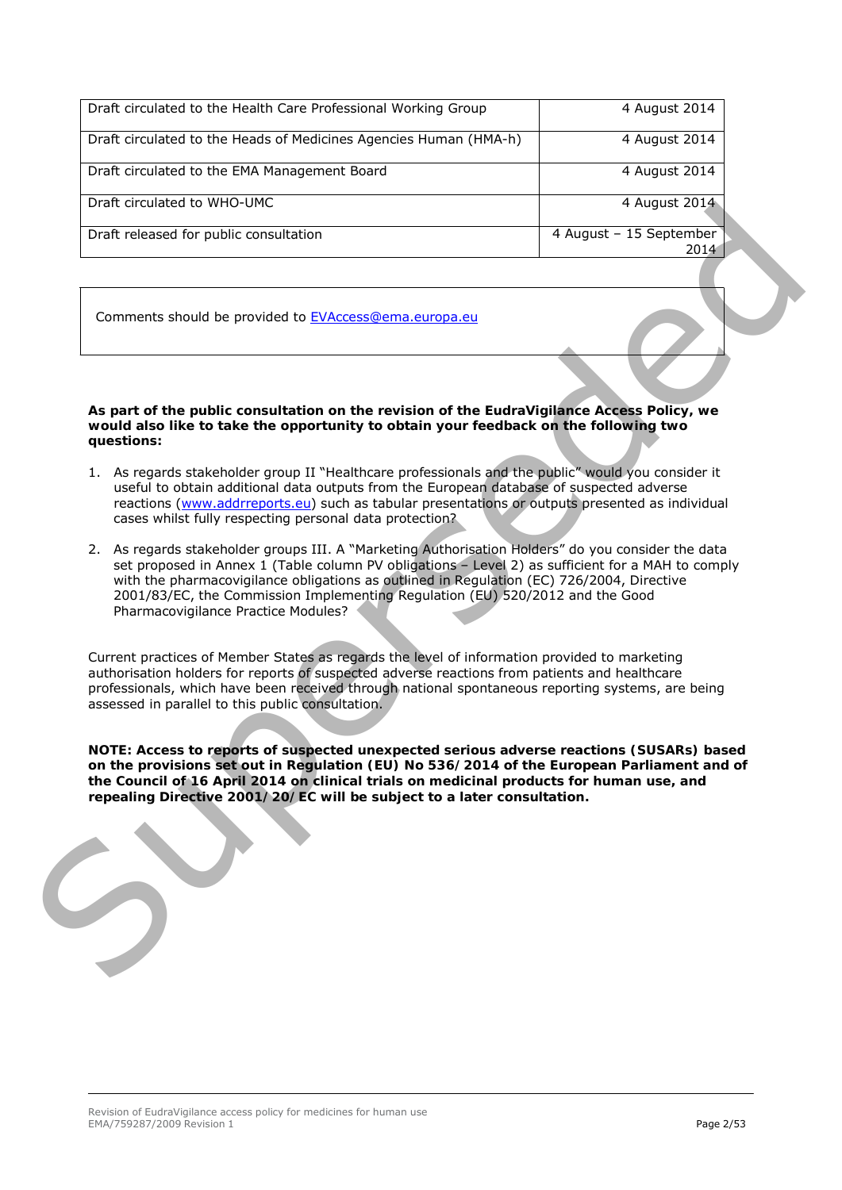| Draft circulated to the Health Care Professional Working Group    | 4 August 2014                   |
|-------------------------------------------------------------------|---------------------------------|
| Draft circulated to the Heads of Medicines Agencies Human (HMA-h) | 4 August 2014                   |
| Draft circulated to the EMA Management Board                      | 4 August 2014                   |
| Draft circulated to WHO-UMC                                       | 4 August 2014                   |
| Draft released for public consultation                            | 4 August - 15 September<br>2014 |
|                                                                   |                                 |

Comments should be provided to EVAccess@ema.europa.eu

**As part of the public consultation on the revision of the EudraVigilance Access Policy, we would also like to take the opportunity to obtain your feedback on the following two questions:**

- 1. As regards stakeholder group II "Healthcare professionals and the public" would you consider it useful to obtain additional data outputs from the European database of suspected adverse reactions (www.addrreports.eu) such as tabular presentations or outputs presented as individual cases whilst fully respecting personal data protection?
- 2. As regards stakeholder groups III. A "Marketing Authorisation Holders" do you consider the data set proposed in Annex 1 (Table column PV obligations – Level 2) as sufficient for a MAH to comply with the pharmacovigilance obligations as outlined in Regulation (EC) 726/2004, Directive 2001/83/EC, the Commission Implementing Regulation (EU) 520/2012 and the Good Pharmacovigilance Practice Modules? Unit is thousand which used<br>
Unit released for public consultation<br>
Comments should be provided to l'VikecessGerma europe.cu<br>
As part of the public consultation on the revision of the EucleVigiliance Access Policy, we<br>
qua

Current practices of Member States as regards the level of information provided to marketing authorisation holders for reports of suspected adverse reactions from patients and healthcare professionals, which have been received through national spontaneous reporting systems, are being assessed in parallel to this public consultation.

**NOTE: Access to reports of suspected unexpected serious adverse reactions (SUSARs) based on the provisions set out in Regulation (EU) No 536/2014 of the European Parliament and of the Council of 16 April 2014 on clinical trials on medicinal products for human use, and repealing Directive 2001/20/EC will be subject to a later consultation.**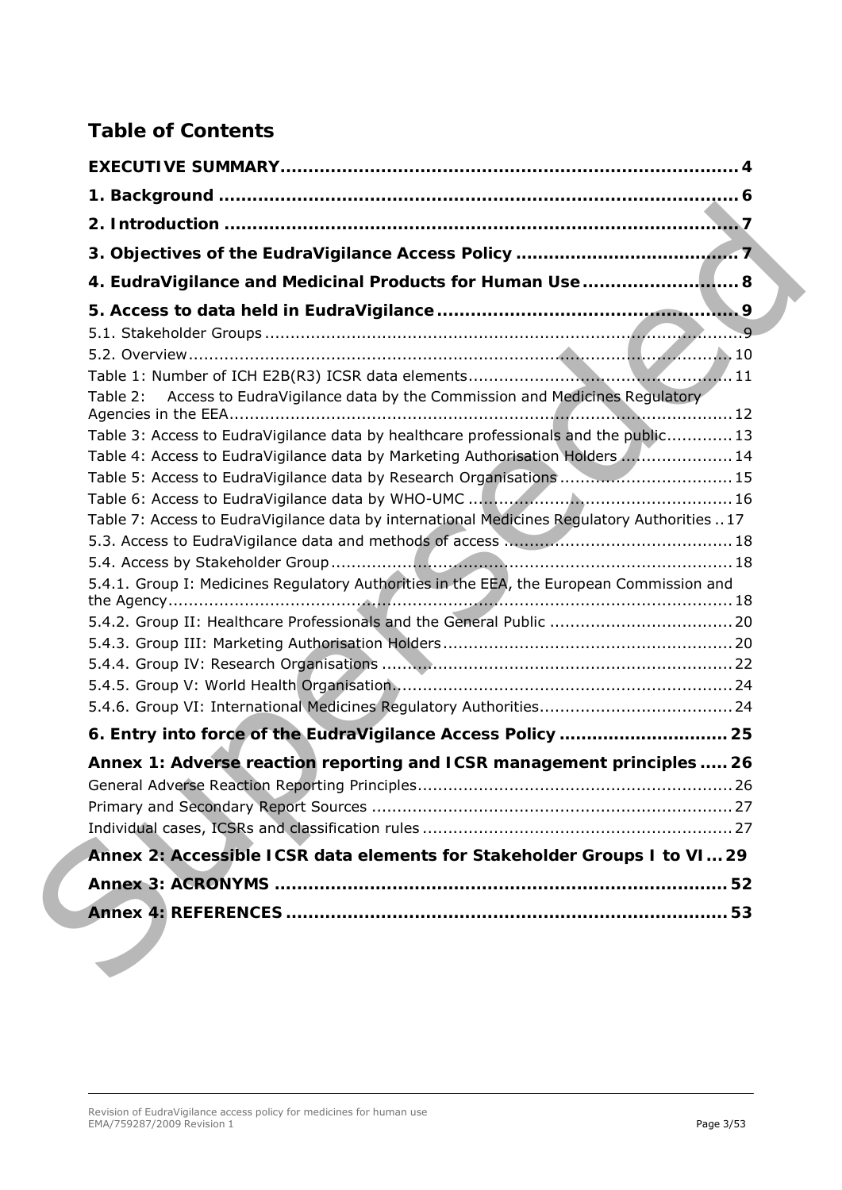# **Table of Contents**

|          | 4. EudraVigilance and Medicinal Products for Human Use                                      |
|----------|---------------------------------------------------------------------------------------------|
|          |                                                                                             |
|          |                                                                                             |
|          |                                                                                             |
|          |                                                                                             |
| Table 2: | Access to EudraVigilance data by the Commission and Medicines Regulatory                    |
|          | Table 3: Access to EudraVigilance data by healthcare professionals and the public 13        |
|          | Table 4: Access to EudraVigilance data by Marketing Authorisation Holders  14               |
|          | Table 5: Access to EudraVigilance data by Research Organisations  15                        |
|          |                                                                                             |
|          | Table 7: Access to EudraVigilance data by international Medicines Regulatory Authorities 17 |
|          |                                                                                             |
|          |                                                                                             |
|          | 5.4.1. Group I: Medicines Regulatory Authorities in the EEA, the European Commission and    |
|          |                                                                                             |
|          | 5.4.2. Group II: Healthcare Professionals and the General Public  20                        |
|          |                                                                                             |
|          |                                                                                             |
|          |                                                                                             |
|          |                                                                                             |
|          | 6. Entry into force of the EudraVigilance Access Policy  25                                 |
|          | Annex 1: Adverse reaction reporting and ICSR management principles  26                      |
|          |                                                                                             |
|          |                                                                                             |
|          |                                                                                             |
|          | Annex 2: Accessible ICSR data elements for Stakeholder Groups I to VI 29                    |
|          |                                                                                             |
|          |                                                                                             |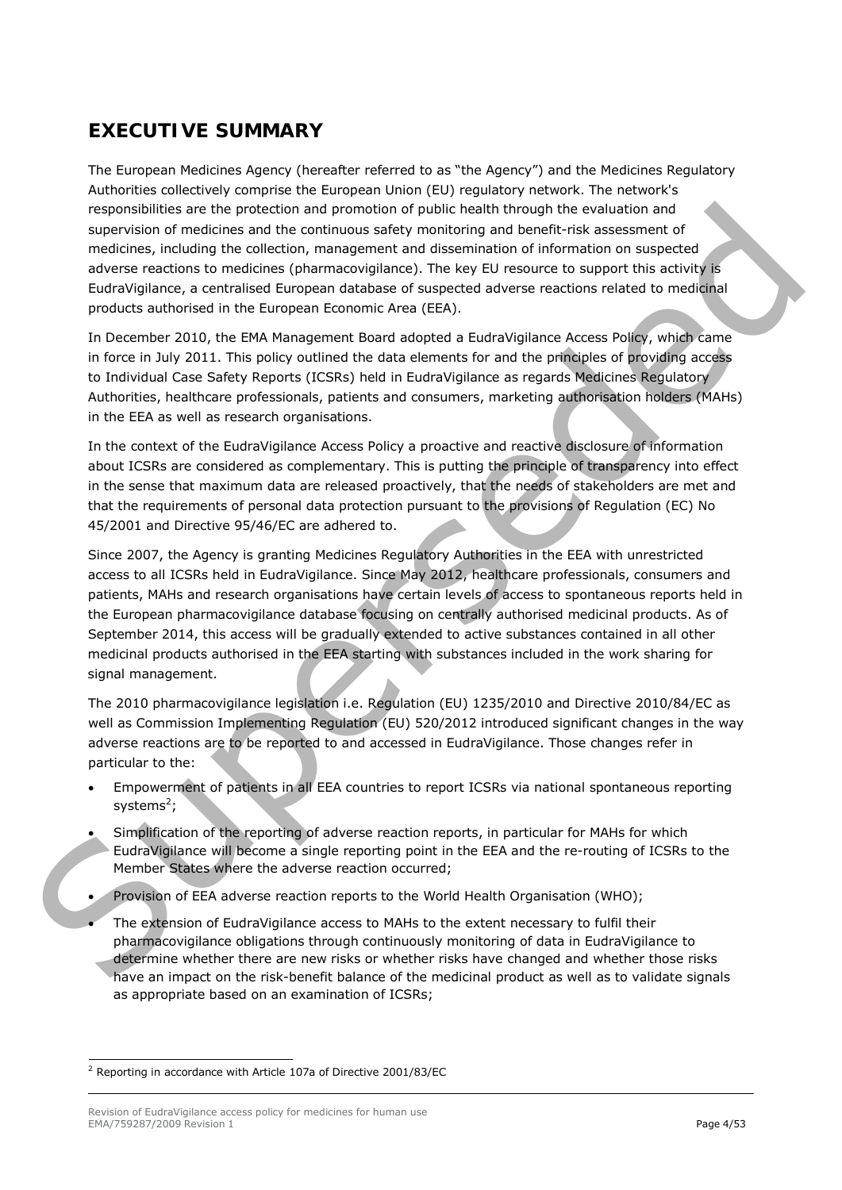# <span id="page-3-0"></span>**EXECUTIVE SUMMARY**

The European Medicines Agency (hereafter referred to as "the Agency") and the Medicines Regulatory Authorities collectively comprise the European Union (EU) regulatory network. The network's responsibilities are the protection and promotion of public health through the evaluation and supervision of medicines and the continuous safety monitoring and benefit-risk assessment of medicines, including the collection, management and dissemination of information on suspected adverse reactions to medicines (pharmacovigilance). The key EU resource to support this activity is EudraVigilance, a centralised European database of suspected adverse reactions related to medicinal products authorised in the European Economic Area (EEA).

In December 2010, the EMA Management Board adopted a EudraVigilance Access Policy, which came in force in July 2011. This policy outlined the data elements for and the principles of providing access to Individual Case Safety Reports (ICSRs) held in EudraVigilance as regards Medicines Regulatory Authorities, healthcare professionals, patients and consumers, marketing authorisation holders (MAHs) in the EEA as well as research organisations.

In the context of the EudraVigilance Access Policy a proactive and reactive disclosure of information about ICSRs are considered as complementary. This is putting the principle of transparency into effect in the sense that maximum data are released proactively, that the needs of stakeholders are met and that the requirements of personal data protection pursuant to the provisions of Regulation (EC) No 45/2001 and Directive 95/46/EC are adhered to.

Since 2007, the Agency is granting Medicines Regulatory Authorities in the EEA with unrestricted access to all ICSRs held in EudraVigilance. Since May 2012, healthcare professionals, consumers and patients, MAHs and research organisations have certain levels of access to spontaneous reports held in the European pharmacovigilance database focusing on centrally authorised medicinal products. As of September 2014, this access will be gradually extended to active substances contained in all other medicinal products authorised in the EEA starting with substances included in the work sharing for signal management. responsibilities are the protection and promoton of p[u](#page-3-1)blic health through the exolution and considerate and discussion and discussions and discussions and discussions and discussions and discussions and discussions are acc

The 2010 pharmacovigilance legislation i.e. Regulation (EU) 1235/2010 and Directive 2010/84/EC as well as Commission Implementing Regulation (EU) 520/2012 introduced significant changes in the way adverse reactions are to be reported to and accessed in EudraVigilance. Those changes refer in particular to the:

- Empowerment of patients in all EEA countries to report ICSRs via national spontaneous reporting systems<sup>2</sup>;
- Simplification of the reporting of adverse reaction reports, in particular for MAHs for which EudraVigilance will become a single reporting point in the EEA and the re-routing of ICSRs to the Member States where the adverse reaction occurred;
- Provision of EEA adverse reaction reports to the World Health Organisation (WHO);
- The extension of EudraVigilance access to MAHs to the extent necessary to fulfil their pharmacovigilance obligations through continuously monitoring of data in EudraVigilance to determine whether there are new risks or whether risks have changed and whether those risks have an impact on the risk-benefit balance of the medicinal product as well as to validate signals as appropriate based on an examination of ICSRs;

<span id="page-3-1"></span> $2$  Reporting in accordance with Article 107a of Directive 2001/83/EC

Revision of EudraVigilance access policy for medicines for human use EMA/759287/2009 Revision 1 Page 4/53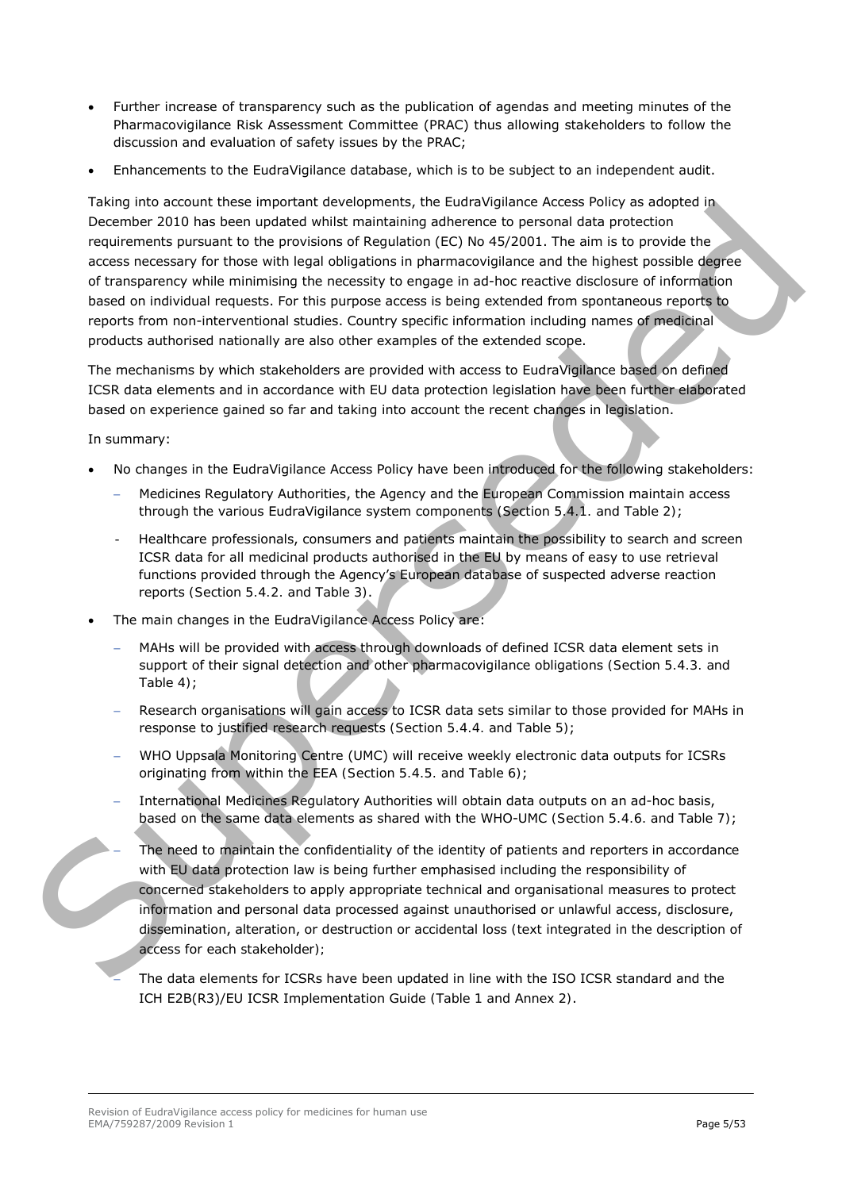- Further increase of transparency such as the publication of agendas and meeting minutes of the Pharmacovigilance Risk Assessment Committee (PRAC) thus allowing stakeholders to follow the discussion and evaluation of safety issues by the PRAC;
- Enhancements to the EudraVigilance database, which is to be subject to an independent audit.

Taking into account these important developments, the EudraVigilance Access Policy as adopted in December 2010 has been updated whilst maintaining adherence to personal data protection requirements pursuant to the provisions of Regulation (EC) No 45/2001. The aim is to provide the access necessary for those with legal obligations in pharmacovigilance and the highest possible degree of transparency while minimising the necessity to engage in ad-hoc reactive disclosure of information based on individual requests. For this purpose access is being extended from spontaneous reports to reports from non-interventional studies. Country specific information including names of medicinal products authorised nationally are also other examples of the extended scope. Sue the Studies the control of the Control of the Control of the Control of the Control of the Control of the Control of the Control of the Control of the Control of the Control of the Control of the Control of the Control

The mechanisms by which stakeholders are provided with access to EudraVigilance based on defined ICSR data elements and in accordance with EU data protection legislation have been further elaborated based on experience gained so far and taking into account the recent changes in legislation.

In summary:

- No changes in the EudraVigilance Access Policy have been introduced for the following stakeholders:
	- − Medicines Regulatory Authorities, the Agency and the European Commission maintain access through the various EudraVigilance system components *(Section 5.4.1. and Table 2)*;
	- Healthcare professionals, consumers and patients maintain the possibility to search and screen ICSR data for all medicinal products authorised in the EU by means of easy to use retrieval functions provided through the Agency's European database of suspected adverse reaction reports *(Section 5.4.2. and Table 3)*.
- The main changes in the EudraVigilance Access Policy are:
	- MAHs will be provided with access through downloads of defined ICSR data element sets in support of their signal detection and other pharmacovigilance obligations *(Section 5.4.3. and Table 4)*;
	- Research organisations will gain access to ICSR data sets similar to those provided for MAHs in response to justified research requests *(Section 5.4.4. and Table 5)*;
	- − WHO Uppsala Monitoring Centre (UMC) will receive weekly electronic data outputs for ICSRs originating from within the EEA *(Section 5.4.5. and Table 6)*;
	- − International Medicines Regulatory Authorities will obtain data outputs on an ad-hoc basis, based on the same data elements as shared with the WHO-UMC *(Section 5.4.6. and Table 7)*;
	- The need to maintain the confidentiality of the identity of patients and reporters in accordance with EU data protection law is being further emphasised including the responsibility of concerned stakeholders to apply appropriate technical and organisational measures to protect information and personal data processed against unauthorised or unlawful access, disclosure, dissemination, alteration, or destruction or accidental loss *(text integrated in the description of access for each stakeholder);*

The data elements for ICSRs have been updated in line with the ISO ICSR standard and the ICH E2B(R3)/EU ICSR Implementation Guide *(Table 1 and Annex 2)*.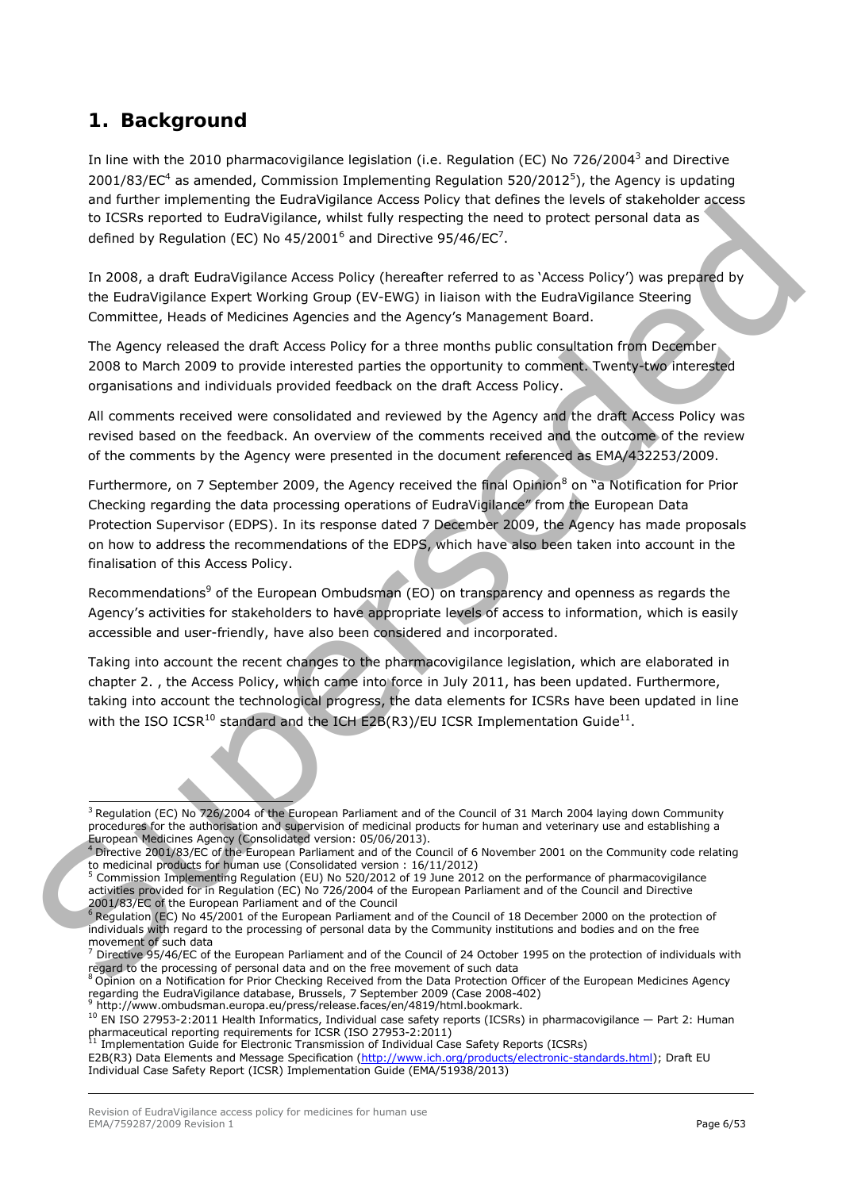# <span id="page-5-0"></span>**1. Background**

In line with the 2010 pharmacovigilance legislation (i.e. Regulation (EC) No 726/2004<sup>[3](#page-5-1)</sup> and Directive 2001/83/EC<sup>4</sup> as amended, Commission Implementing Regulation [5](#page-5-3)20/2012<sup>5</sup>), the Agency is updating and further implementing the EudraVigilance Access Policy that defines the levels of stakeholder access to ICSRs reported to EudraVigilance, whilst fully respecting the need to protect personal data as defined by Regulation (EC) No  $45/2001^6$  and Directive 95/46/EC<sup>7</sup>.

In 2008, a draft EudraVigilance Access Policy (hereafter referred to as 'Access Policy') was prepared by the EudraVigilance Expert Working Group (EV-EWG) in liaison with the EudraVigilance Steering Committee, Heads of Medicines Agencies and the Agency's Management Board.

The Agency released the draft Access Policy for a three months public consultation from December 2008 to March 2009 to provide interested parties the opportunity to comment. Twenty-two interested organisations and individuals provided feedback on the draft Access Policy.

All comments received were consolidated and reviewed by the Agency and the draft Access Policy was revised based on the feedback. An overview of the comments received and the outcome of the review of the comments by the Agency were presented in the document referenced as EMA/432253/2009.

Furthermore, on 7 September 2009, the Agency received the final Opinion<sup>8</sup> on "a Notification for Prior Checking regarding the data processing operations of EudraVigilance" from the European Data Protection Supervisor (EDPS). In its response dated 7 December 2009, the Agency has made proposals on how to address the recommendations of the EDPS, which have also been taken into account in the finalisation of this Access Policy. to CCSIRs re[p](#page-5-8)ort[ed](#page-5-6) to Bustraviolytics, which fully respective the need to protect personal data as<br>distribute to Bustraviolytics, which can be considered to the second the second of the second of the second of the second o

Recommendations<sup>9</sup> of the European Ombudsman (EO) on transparency and openness as regards the Agency's activities for stakeholders to have appropriate levels of access to information, which is easily accessible and user-friendly, have also been considered and incorporated.

Taking into account the recent changes to the pharmacovigilance legislation, which are elaborated in chapter 2. , the Access Policy, which came into force in July 2011, has been updated. Furthermore, taking into account the technological progress, the data elements for ICSRs have been updated in line with the ISO ICSR<sup>10</sup> standard and the ICH E2B(R3)/EU ICSR Implementation Guide<sup>11</sup>.

<span id="page-5-1"></span><sup>&</sup>lt;sup>3</sup> Regulation (EC) No 726/2004 of the European Parliament and of the Council of 31 March 2004 laying down Community procedures for the authorisation and supervision of medicinal products for human and veterinary use and establishing a European Medicines Agency (Consolidated version: 05/06/2013).

<span id="page-5-2"></span> $4$  Directive 2001/83/EC of the European Parliament and of the Council of 6 November 2001 on the Community code relating to medicinal products for human use (Consolidated version : 16/11/2012)

<span id="page-5-3"></span><sup>&</sup>lt;sup>5</sup> Commission Implementing Regulation (EU) No 520/2012 of 19 June 2012 on the performance of pharmacovigilance activities provided for in Regulation (EC) No 726/2004 of the European Parliament and of the Council and Directive 2001/83/EC of the European Parliament and of the Council

<span id="page-5-4"></span><sup>&</sup>lt;sup>6</sup> Regulation (EC) No 45/2001 of the European Parliament and of the Council of 18 December 2000 on the protection of individuals with regard to the processing of personal data by the Community institutions and bodies and on the free movement of such data

<span id="page-5-5"></span> $<sup>7</sup>$  Directive 95/46/EC of the European Parliament and of the Council of 24 October 1995 on the protection of individuals with regard to the processing of personal data and on the free movement of such data</sup>

<span id="page-5-6"></span> $8$  Opinion on a Notification for Prior Checking Received from the Data Protection Officer of the European Medicines Agency regarding the EudraVigilance database, Brussels, 7 September <sup>2009</sup> (Case 2008-402) 9 [http://www.ombudsman.europa.eu/press/release.faces/en/4819/html.bookmark.](http://www.ombudsman.europa.eu/press/release.faces/en/4819/html.bookmark)

<span id="page-5-8"></span><span id="page-5-7"></span><sup>&</sup>lt;sup>10</sup> EN ISO 27953-2:2011 Health Informatics, Individual case safety reports (ICSRs) in pharmacovigilance — Part 2: Human pharmaceutical reporting requirements for ICSR (ISO 27953-2:2011)

<span id="page-5-9"></span>Implementation Guide for Electronic Transmission of Individual Case Safety Reports (ICSRs)

E2B(R3) Data Elements and Message Specification [\(http://www.ich.org/products/electronic-standards.html\)](http://www.ich.org/products/electronic-standards.html); Draft EU Individual Case Safety Report (ICSR) Implementation Guide (EMA/51938/2013)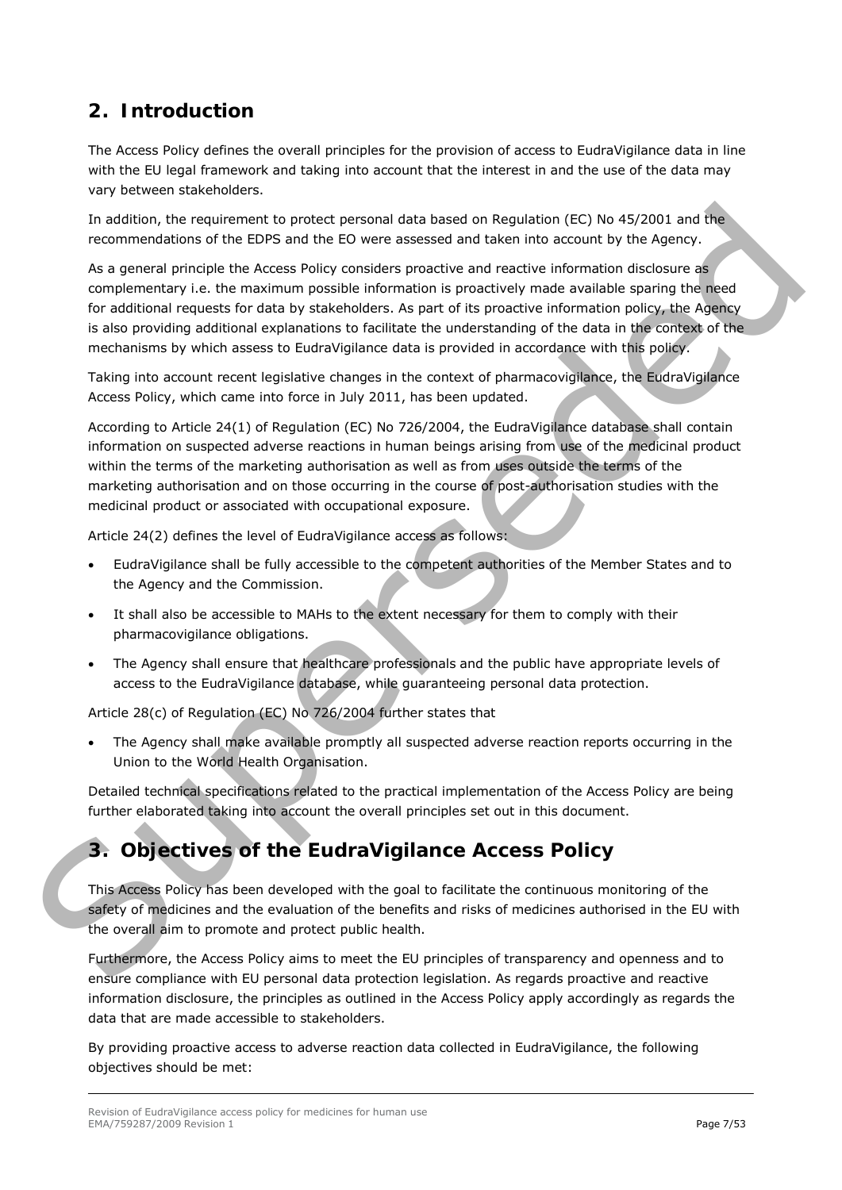# <span id="page-6-0"></span>**2. Introduction**

The Access Policy defines the overall principles for the provision of access to EudraVigilance data in line with the EU legal framework and taking into account that the interest in and the use of the data may vary between stakeholders.

In addition, the requirement to protect personal data based on Regulation (EC) No 45/2001 and the recommendations of the EDPS and the EO were assessed and taken into account by the Agency.

As a general principle the Access Policy considers proactive and reactive information disclosure as complementary i.e. the maximum possible information is proactively made available sparing the need for additional requests for data by stakeholders. As part of its proactive information policy, the Agency is also providing additional explanations to facilitate the understanding of the data in the context of the mechanisms by which assess to EudraVigilance data is provided in accordance with this policy. In addition, the requirement to protect personal data based on Requiretion (CC) No 45/2001 and the<br>recommendation of the fDFS and the fOP were sessested and taken into account by the Agency.<br>
As a general procedie the AGe

Taking into account recent legislative changes in the context of pharmacovigilance, the EudraVigilance Access Policy, which came into force in July 2011, has been updated.

According to Article 24(1) of Regulation (EC) No 726/2004, the EudraVigilance database shall contain information on suspected adverse reactions in human beings arising from use of the medicinal product within the terms of the marketing authorisation as well as from uses outside the terms of the marketing authorisation and on those occurring in the course of post-authorisation studies with the medicinal product or associated with occupational exposure.

Article 24(2) defines the level of EudraVigilance access as follows:

- EudraVigilance shall be fully accessible to the competent authorities of the Member States and to the Agency and the Commission.
- It shall also be accessible to MAHs to the extent necessary for them to comply with their pharmacovigilance obligations.
- The Agency shall ensure that healthcare professionals and the public have appropriate levels of access to the EudraVigilance database, while guaranteeing personal data protection.

Article 28(c) of Regulation (EC) No 726/2004 further states that

• The Agency shall make available promptly all suspected adverse reaction reports occurring in the Union to the World Health Organisation.

Detailed technical specifications related to the practical implementation of the Access Policy are being further elaborated taking into account the overall principles set out in this document.

# <span id="page-6-1"></span>**3. Objectives of the EudraVigilance Access Policy**

This Access Policy has been developed with the goal to facilitate the continuous monitoring of the safety of medicines and the evaluation of the benefits and risks of medicines authorised in the EU with the overall aim to promote and protect public health.

Furthermore, the Access Policy aims to meet the EU principles of transparency and openness and to ensure compliance with EU personal data protection legislation. As regards proactive and reactive information disclosure, the principles as outlined in the Access Policy apply accordingly as regards the data that are made accessible to stakeholders.

By providing proactive access to adverse reaction data collected in EudraVigilance, the following objectives should be met: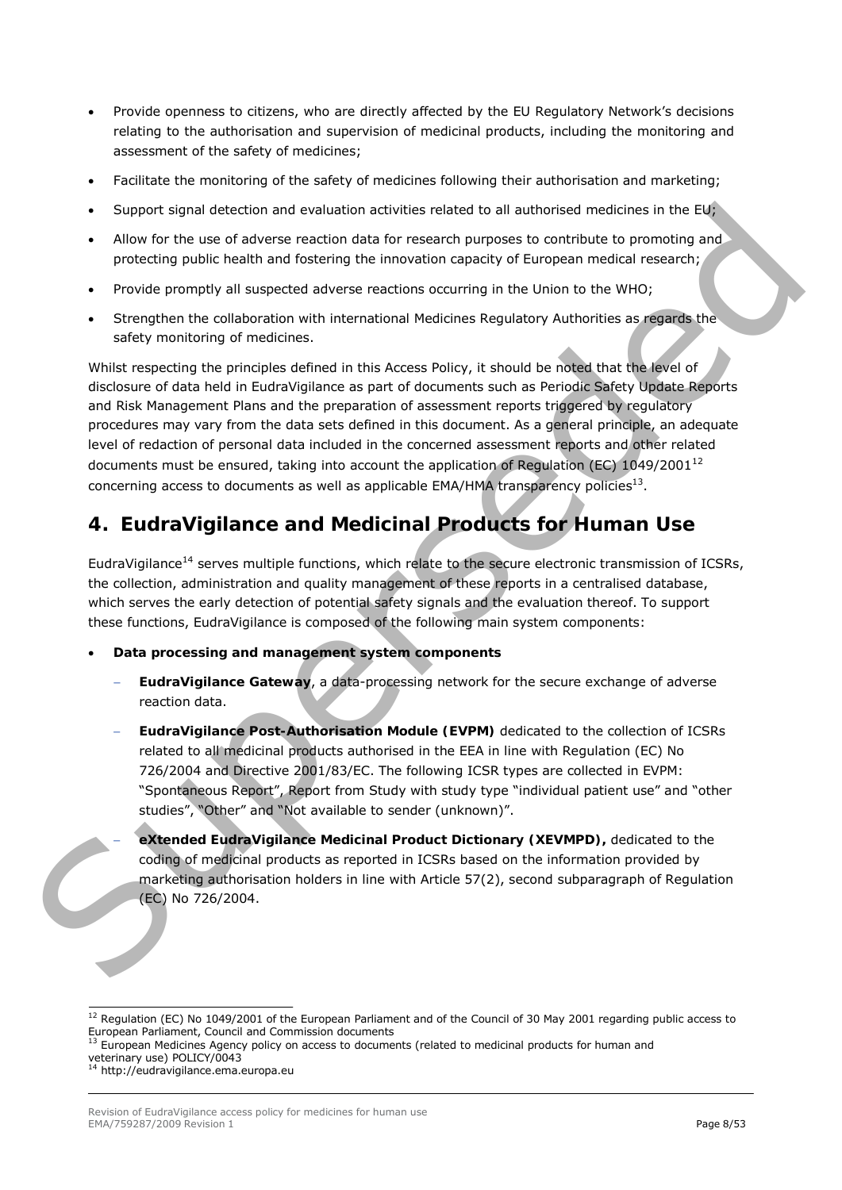- Provide openness to citizens, who are directly affected by the EU Regulatory Network's decisions relating to the authorisation and supervision of medicinal products, including the monitoring and assessment of the safety of medicines;
- Facilitate the monitoring of the safety of medicines following their authorisation and marketing;
- Support signal detection and evaluation activities related to all authorised medicines in the EU;
- Allow for the use of adverse reaction data for research purposes to contribute to promoting and protecting public health and fostering the innovation capacity of European medical research;
- Provide promptly all suspected adverse reactions occurring in the Union to the WHO;
- Strengthen the collaboration with international Medicines Regulatory Authorities as regards the safety monitoring of medicines.

Whilst respecting the principles defined in this Access Policy, it should be noted that the level of disclosure of data held in EudraVigilance as part of documents such as Periodic Safety Update Reports and Risk Management Plans and the preparation of assessment reports triggered by regulatory procedures may vary from the data sets defined in this document. As a general principle, an adequate level of redaction of personal data included in the concerned assessment reports and other related documents must be ensured, taking into account the application of Regulation (EC)  $1049/2001^{12}$ concerning access to documents as well as applicable EMA/HMA transparency policies13. Superi signal [d](#page-7-2)etection and columinate activities related to all authorises medicines in the Fig. (a) and the memberseded to the membersede of the state properties and procedure state in the state properties and procedure

# <span id="page-7-0"></span>**4. EudraVigilance and Medicinal Products for Human Use**

EudraVigilance<sup>14</sup> serves multiple functions, which relate to the secure electronic transmission of ICSRs, the collection, administration and quality management of these reports in a centralised database, which serves the early detection of potential safety signals and the evaluation thereof. To support these functions, EudraVigilance is composed of the following main system components:

- **Data processing and management system components**
	- − **EudraVigilance Gateway**, a data-processing network for the secure exchange of adverse reaction data.
	- − **EudraVigilance Post-Authorisation Module (EVPM)** dedicated to the collection of ICSRs related to all medicinal products authorised in the EEA in line with Regulation (EC) No 726/2004 and Directive 2001/83/EC. The following ICSR types are collected in EVPM: "Spontaneous Report", Report from Study with study type "individual patient use" and "other studies", "Other" and "Not available to sender (unknown)".
		- − **eXtended EudraVigilance Medicinal Product Dictionary (XEVMPD),** dedicated to the coding of medicinal products as reported in ICSRs based on the information provided by marketing authorisation holders in line with Article 57(2), second subparagraph of Regulation (EC) No 726/2004.

<span id="page-7-1"></span><sup>&</sup>lt;sup>12</sup> Regulation (EC) No 1049/2001 of the European Parliament and of the Council of 30 May 2001 regarding public access to European Parliament, Council and Commission documents<br> $^{13}$  European Parliament, Council and Commission documents

<span id="page-7-2"></span><sup>13</sup> European Medicines Agency policy on access to documents (related to medicinal products for human and veterinary use) POLICY/0043<br><sup>14</sup> [http://eudravigilance.ema.europa.eu](http://eudravigilance.ema.europa.eu/)

<span id="page-7-3"></span>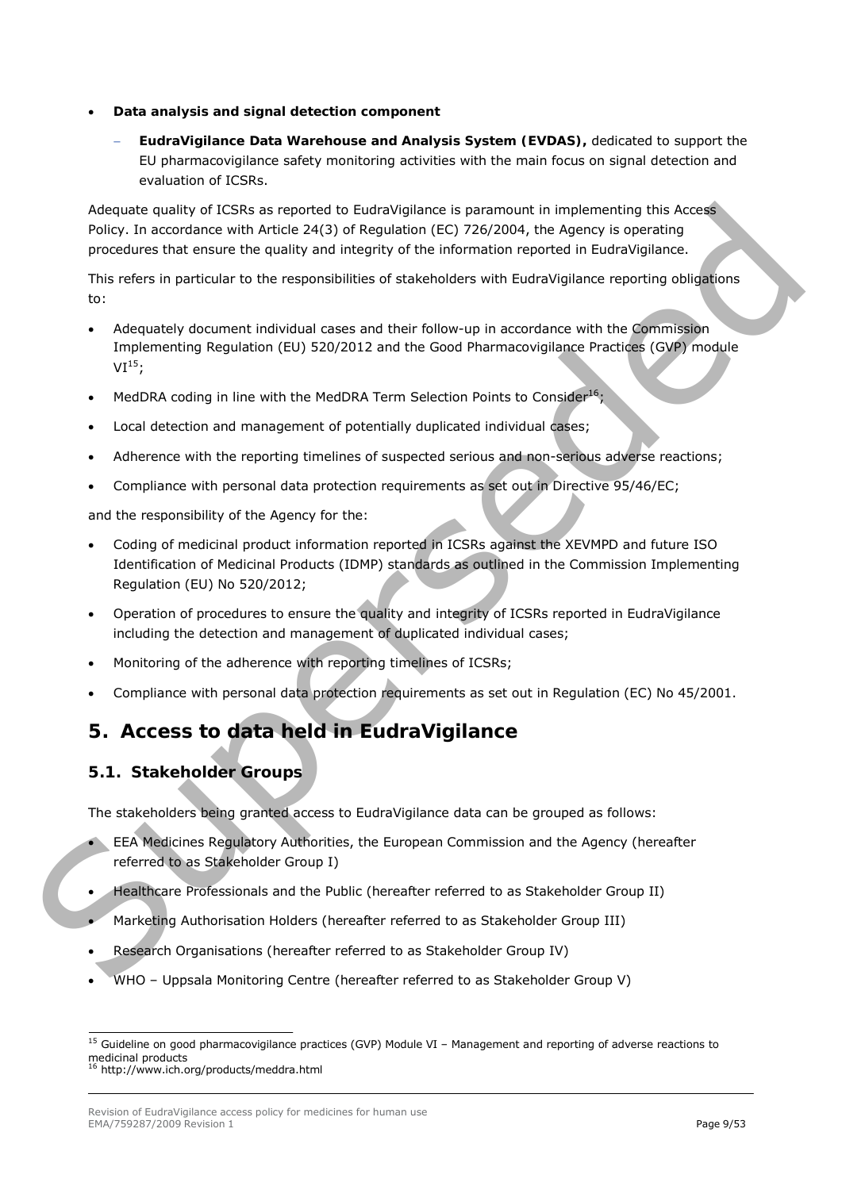- **Data analysis and signal detection component**
	- − **EudraVigilance Data Warehouse and Analysis System (EVDAS),** dedicated to support the EU pharmacovigilance safety monitoring activities with the main focus on signal detection and evaluation of ICSRs.

Adequate quality of ICSRs as reported to EudraVigilance is paramount in implementing this Access Policy. In accordance with Article 24(3) of Regulation (EC) 726/2004, the Agency is operating procedures that ensure the quality and integrity of the information reported in EudraVigilance.

This refers in particular to the responsibilities of stakeholders with EudraVigilance reporting obligations to:

- Adequately document individual cases and their follow-up in accordance with the Commission Implementing Regulation (EU) 520/2012 and the Good Pharmacovigilance Practices (GVP) module  $VI<sup>15</sup>$ ;
- MedDRA coding in line with the MedDRA Term Selection Points to Consider<sup>16</sup>;
- Local detection and management of potentially duplicated individual cases;
- Adherence with the reporting timelines of suspected serious and non-serious adverse reactions;
- Compliance with personal data protection requirements as set out in Directive 95/46/EC;

and the responsibility of the Agency for the:

- Coding of medicinal product information reported in ICSRs against the XEVMPD and future ISO Identification of Medicinal Products (IDMP) standards as outlined in the Commission Implementing Regulation (EU) No 520/2012; A[d](#page-8-3)equate qualitary of CSRs as reported to FurthWighlance is parameter in implementing this according with change the control of the space is considered in turbulation of the change of the consideration of the consideration
	- Operation of procedures to ensure the quality and integrity of ICSRs reported in EudraVigilance including the detection and management of duplicated individual cases;
	- Monitoring of the adherence with reporting timelines of ICSRs;
	- Compliance with personal data protection requirements as set out in Regulation (EC) No 45/2001.

# <span id="page-8-0"></span>**5. Access to data held in EudraVigilance**

## <span id="page-8-1"></span>*5.1. Stakeholder Groups*

The stakeholders being granted access to EudraVigilance data can be grouped as follows:

- EEA Medicines Regulatory Authorities, the European Commission and the Agency (hereafter referred to as Stakeholder Group I)
- Healthcare Professionals and the Public (hereafter referred to as Stakeholder Group II)
- Marketing Authorisation Holders (hereafter referred to as Stakeholder Group III)
- Research Organisations (hereafter referred to as Stakeholder Group IV)
- WHO Uppsala Monitoring Centre (hereafter referred to as Stakeholder Group V)

<span id="page-8-2"></span> $15$  Guideline on good pharmacovigilance practices (GVP) Module VI – Management and reporting of adverse reactions to medicinal products<br><sup>16</sup> <http://www.ich.org/products/meddra.html>

<span id="page-8-3"></span>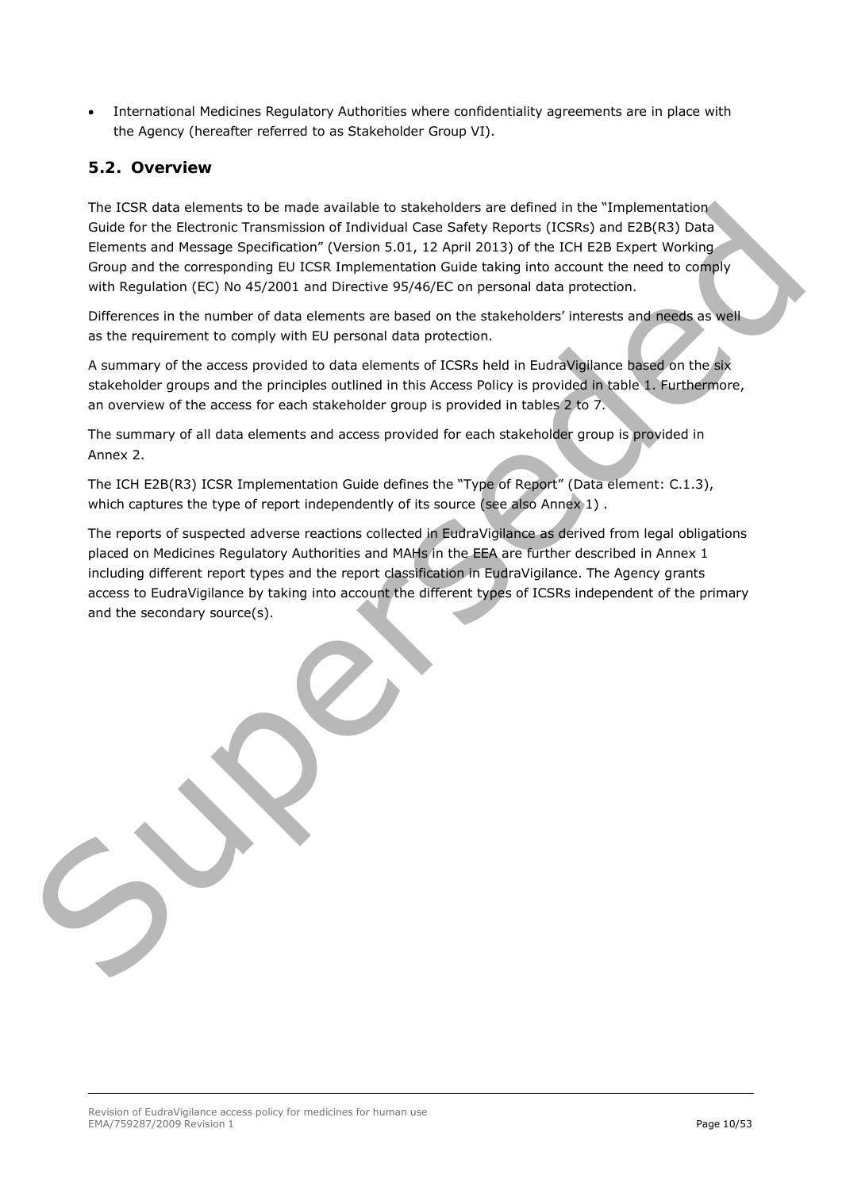• International Medicines Regulatory Authorities where confidentiality agreements are in place with the Agency (hereafter referred to as Stakeholder Group VI).

#### <span id="page-9-0"></span>*5.2. Overview*

The ICSR data elements to be made available to stakeholders are defined in the "Implementation Guide for the Electronic Transmission of Individual Case Safety Reports (ICSRs) and E2B(R3) Data Elements and Message Specification" (Version 5.01, 12 April 2013) of the ICH E2B Expert Working Group and the corresponding EU ICSR Implementation Guide taking into account the need to comply with Regulation (EC) No 45/2001 and Directive 95/46/EC on personal data protection.

Differences in the number of data elements are based on the stakeholders' interests and needs as well as the requirement to comply with EU personal data protection.

A summary of the access provided to data elements of ICSRs held in EudraVigilance based on the six stakeholder groups and the principles outlined in this Access Policy is provided in table 1. Furthermore, an overview of the access for each stakeholder group is provided in tables 2 to 7.

The summary of all data elements and access provided for each stakeholder group is provided in Annex 2.

The ICH E2B(R3) ICSR Implementation Guide defines the "Type of Report" (Data element: C.1.3), which captures the type of report independently of its source (see also Annex 1).

The reports of suspected adverse reactions collected in EudraVigilance as derived from legal obligations placed on Medicines Regulatory Authorities and MAHs in the EEA are further described in Annex 1 including different report types and the report classification in EudraVigilance. The Agency grants access to EudraVigilance by taking into account the different types of ICSRs independent of the primary and the secondary source(s). The IESK data elements to be made available to state/and details and the "implementation" and the state of the time<br>Suite for the Beckmar Transmission of Individual Case Salety Aspects (ICSRs) and E20(E3) Onta<br>Elements and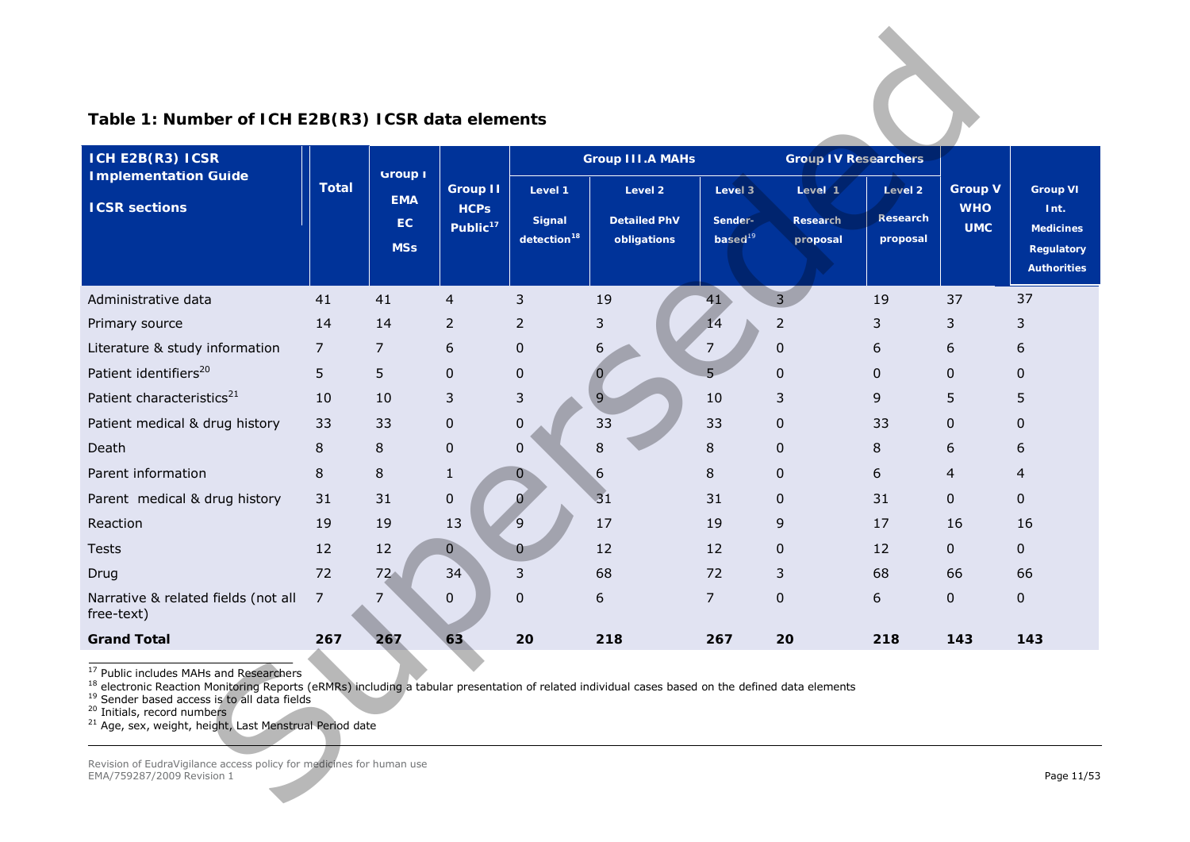| ICH E2B(R3) ICSR                                                                                                                                                                                                                                                                                                                                                                              |                |                                                  |                                                        |                                                     | <b>Group III.A MAHs</b>                       |                                    | <b>Group IV Researchers</b>     |                                        |                                            |                                                                                        |
|-----------------------------------------------------------------------------------------------------------------------------------------------------------------------------------------------------------------------------------------------------------------------------------------------------------------------------------------------------------------------------------------------|----------------|--------------------------------------------------|--------------------------------------------------------|-----------------------------------------------------|-----------------------------------------------|------------------------------------|---------------------------------|----------------------------------------|--------------------------------------------|----------------------------------------------------------------------------------------|
| <b>Implementation Guide</b><br><b>ICSR sections</b>                                                                                                                                                                                                                                                                                                                                           | <b>Total</b>   | <b>Group I</b><br><b>EMA</b><br>EC<br><b>MSs</b> | <b>Group II</b><br><b>HCPs</b><br>Public <sup>17</sup> | Level 1<br><b>Signal</b><br>detection <sup>18</sup> | Level 2<br><b>Detailed PhV</b><br>obligations | Level 3<br>Sender-<br>$based^{19}$ | Level 1<br>Research<br>proposal | Level 2<br><b>Research</b><br>proposal | <b>Group V</b><br><b>WHO</b><br><b>UMC</b> | <b>Group VI</b><br>Int.<br><b>Medicines</b><br><b>Regulatory</b><br><b>Authorities</b> |
| Administrative data                                                                                                                                                                                                                                                                                                                                                                           | 41             | 41                                               | $\overline{4}$                                         | 3                                                   | 19                                            | 41                                 | $\overline{3}$                  | 19                                     | 37                                         | 37                                                                                     |
| Primary source                                                                                                                                                                                                                                                                                                                                                                                | 14             | 14                                               | $\overline{2}$                                         | $\overline{2}$                                      | 3                                             | 14                                 | $\overline{2}$                  | 3                                      | 3                                          | 3                                                                                      |
| Literature & study information                                                                                                                                                                                                                                                                                                                                                                | $\overline{7}$ | $\overline{7}$                                   | 6                                                      | $\mathbf 0$                                         | 6                                             | $\overline{7}$                     | $\mathbf 0$                     | 6                                      | 6                                          | 6                                                                                      |
| Patient identifiers <sup>20</sup>                                                                                                                                                                                                                                                                                                                                                             | 5              | 5                                                | 0                                                      | $\pmb{0}$                                           | $\bf{0}$                                      | $5 -$                              | 0                               | $\mathbf{0}$                           | $\mathbf{0}$                               | $\mathbf{0}$                                                                           |
| Patient characteristics <sup>21</sup>                                                                                                                                                                                                                                                                                                                                                         | 10             | 10                                               | 3                                                      | 3                                                   | $\overline{9}$                                | 10                                 | 3                               | 9                                      | 5                                          | 5                                                                                      |
| Patient medical & drug history                                                                                                                                                                                                                                                                                                                                                                | 33             | 33                                               | 0                                                      | $\mathbf 0$                                         | 33                                            | 33                                 | $\mathbf 0$                     | 33                                     | $\mathbf{0}$                               | 0                                                                                      |
| Death                                                                                                                                                                                                                                                                                                                                                                                         | 8              | 8                                                | 0                                                      | $\mathbf 0$                                         | 8                                             | 8                                  | $\mathbf 0$                     | 8                                      | 6                                          | 6                                                                                      |
| Parent information                                                                                                                                                                                                                                                                                                                                                                            | 8              | 8                                                | $\mathbf{1}$                                           | 0                                                   | 6                                             | 8                                  | $\overline{0}$                  | 6                                      | 4                                          | 4                                                                                      |
| Parent medical & drug history                                                                                                                                                                                                                                                                                                                                                                 | 31             | 31                                               | 0                                                      | $\mathfrak g$                                       | 31                                            | 31                                 | $\mathbf 0$                     | 31                                     | $\mathbf{0}$                               | $\mathbf{0}$                                                                           |
| Reaction                                                                                                                                                                                                                                                                                                                                                                                      | 19             | 19                                               | 13                                                     | $\mathbf{9}$                                        | 17                                            | 19                                 | 9                               | 17                                     | 16                                         | 16                                                                                     |
| <b>Tests</b>                                                                                                                                                                                                                                                                                                                                                                                  | 12             | 12                                               | $\overline{0}$                                         | $\mathbf{0}$                                        | 12                                            | 12                                 | 0                               | 12                                     | 0                                          | $\mathbf{0}$                                                                           |
| Drug                                                                                                                                                                                                                                                                                                                                                                                          | 72             | $72 -$                                           | 34                                                     | 3                                                   | 68                                            | 72                                 | 3                               | 68                                     | 66                                         | 66                                                                                     |
| Narrative & related fields (not all<br>free-text)                                                                                                                                                                                                                                                                                                                                             | 7              | 7                                                | 0                                                      | $\mathbf 0$                                         | 6                                             | $\overline{7}$                     | $\mathbf 0$                     | 6                                      | 0                                          | 0                                                                                      |
| <b>Grand Total</b>                                                                                                                                                                                                                                                                                                                                                                            | 267            | 267                                              | 63                                                     | 20                                                  | 218                                           | 267                                | 20                              | 218                                    | 143                                        | 143                                                                                    |
| <sup>17</sup> Public includes MAHs and Researchers<br><sup>18</sup> electronic Reaction Monitoring Reports (eRMRs) including a tabular presentation of related individual cases based on the defined data elements<br><sup>19</sup> Sender based access is to all data fields<br><sup>20</sup> Initials, record numbers<br><sup>21</sup> Age, sex, weight, height, Last Menstrual Period date |                |                                                  |                                                        |                                                     |                                               |                                    |                                 |                                        |                                            |                                                                                        |

## <span id="page-10-4"></span><span id="page-10-3"></span><span id="page-10-2"></span><span id="page-10-1"></span><span id="page-10-0"></span>**Table 1: Number of ICH E2B(R3) ICSR data elements**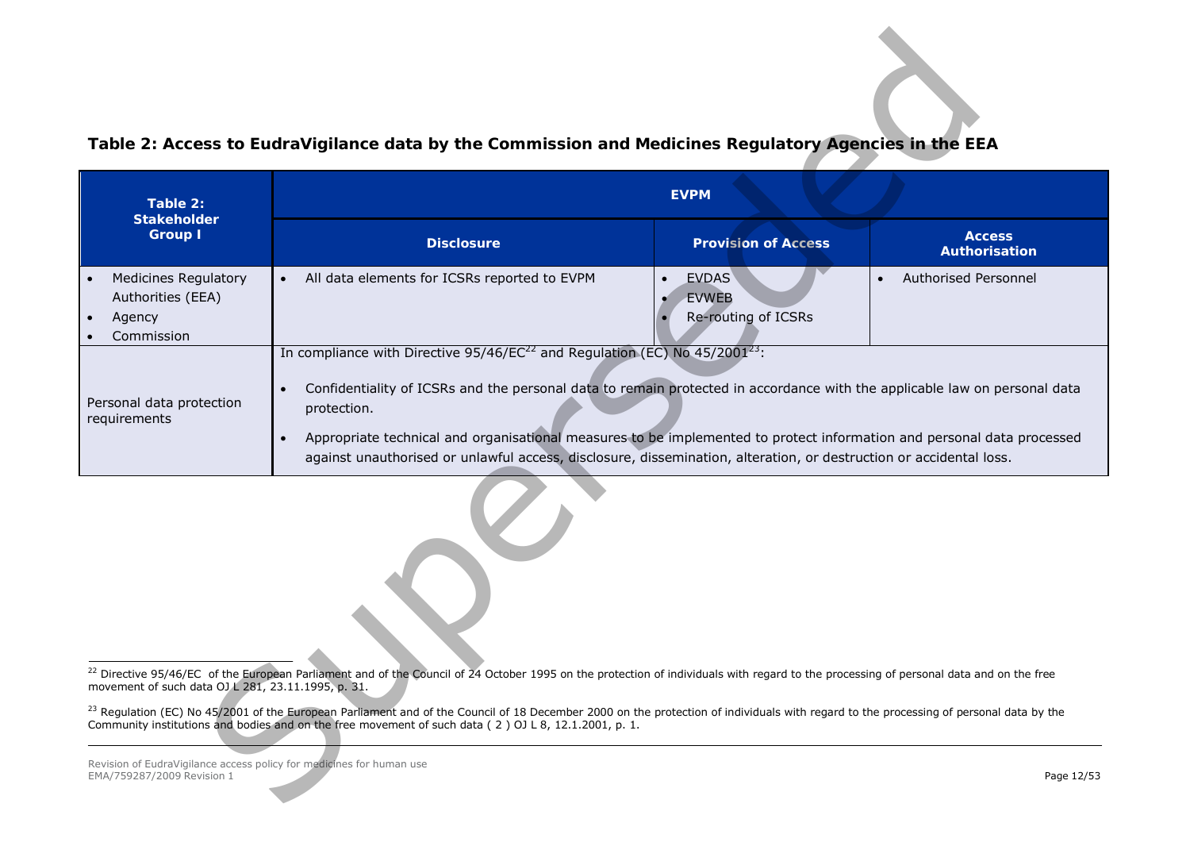<span id="page-11-2"></span><span id="page-11-1"></span><span id="page-11-0"></span>

|                                                                                                                                                                                                                                                                                                                                                                                                                                                                                                                                                                  | Table 2: Access to EudraVigilance data by the Commission and Medicines Regulatory Agencies in the EEA                                                                                                                                                                                                     |                                                           |                                       |  |  |  |  |
|------------------------------------------------------------------------------------------------------------------------------------------------------------------------------------------------------------------------------------------------------------------------------------------------------------------------------------------------------------------------------------------------------------------------------------------------------------------------------------------------------------------------------------------------------------------|-----------------------------------------------------------------------------------------------------------------------------------------------------------------------------------------------------------------------------------------------------------------------------------------------------------|-----------------------------------------------------------|---------------------------------------|--|--|--|--|
| Table 2:<br><b>Stakeholder</b>                                                                                                                                                                                                                                                                                                                                                                                                                                                                                                                                   | <b>EVPM</b>                                                                                                                                                                                                                                                                                               |                                                           |                                       |  |  |  |  |
| <b>Group I</b>                                                                                                                                                                                                                                                                                                                                                                                                                                                                                                                                                   | <b>Disclosure</b>                                                                                                                                                                                                                                                                                         | <b>Provision of Access</b>                                | <b>Access</b><br><b>Authorisation</b> |  |  |  |  |
| <b>Medicines Regulatory</b><br>Authorities (EEA)<br>Agency<br>Commission                                                                                                                                                                                                                                                                                                                                                                                                                                                                                         | All data elements for ICSRs reported to EVPM<br>$\bullet$                                                                                                                                                                                                                                                 | <b>EVDAS</b><br>$\bullet$<br>EVWEB<br>Re-routing of ICSRs | Authorised Personnel<br>$\bullet$     |  |  |  |  |
| In compliance with Directive $95/46$ /EC <sup>22</sup> and Regulation (EC) No $45/2001^{23}$ :<br>Confidentiality of ICSRs and the personal data to remain protected in accordance with the applicable law on personal data<br>$\bullet$<br>Personal data protection<br>protection.<br>requirements<br>Appropriate technical and organisational measures to be implemented to protect information and personal data processed<br>$\bullet$<br>against unauthorised or unlawful access, disclosure, dissemination, alteration, or destruction or accidental loss. |                                                                                                                                                                                                                                                                                                           |                                                           |                                       |  |  |  |  |
|                                                                                                                                                                                                                                                                                                                                                                                                                                                                                                                                                                  |                                                                                                                                                                                                                                                                                                           |                                                           |                                       |  |  |  |  |
| movement of such data OJ L 281, 23.11.1995, p. 31.                                                                                                                                                                                                                                                                                                                                                                                                                                                                                                               | <sup>22</sup> Directive 95/46/EC of the European Parliament and of the Council of 24 October 1995 on the protection of individuals with regard to the processing of personal data and on the free                                                                                                         |                                                           |                                       |  |  |  |  |
|                                                                                                                                                                                                                                                                                                                                                                                                                                                                                                                                                                  | <sup>23</sup> Regulation (EC) No 45/2001 of the European Parliament and of the Council of 18 December 2000 on the protection of individuals with regard to the processing of personal data by the<br>Community institutions and bodies and on the free movement of such data (2) OJ L 8, 12.1.2001, p. 1. |                                                           |                                       |  |  |  |  |
| Revision of EudraVigilance access policy for medicines for human use<br>EMA/759287/2009 Revision 1                                                                                                                                                                                                                                                                                                                                                                                                                                                               |                                                                                                                                                                                                                                                                                                           |                                                           | Page 12/53                            |  |  |  |  |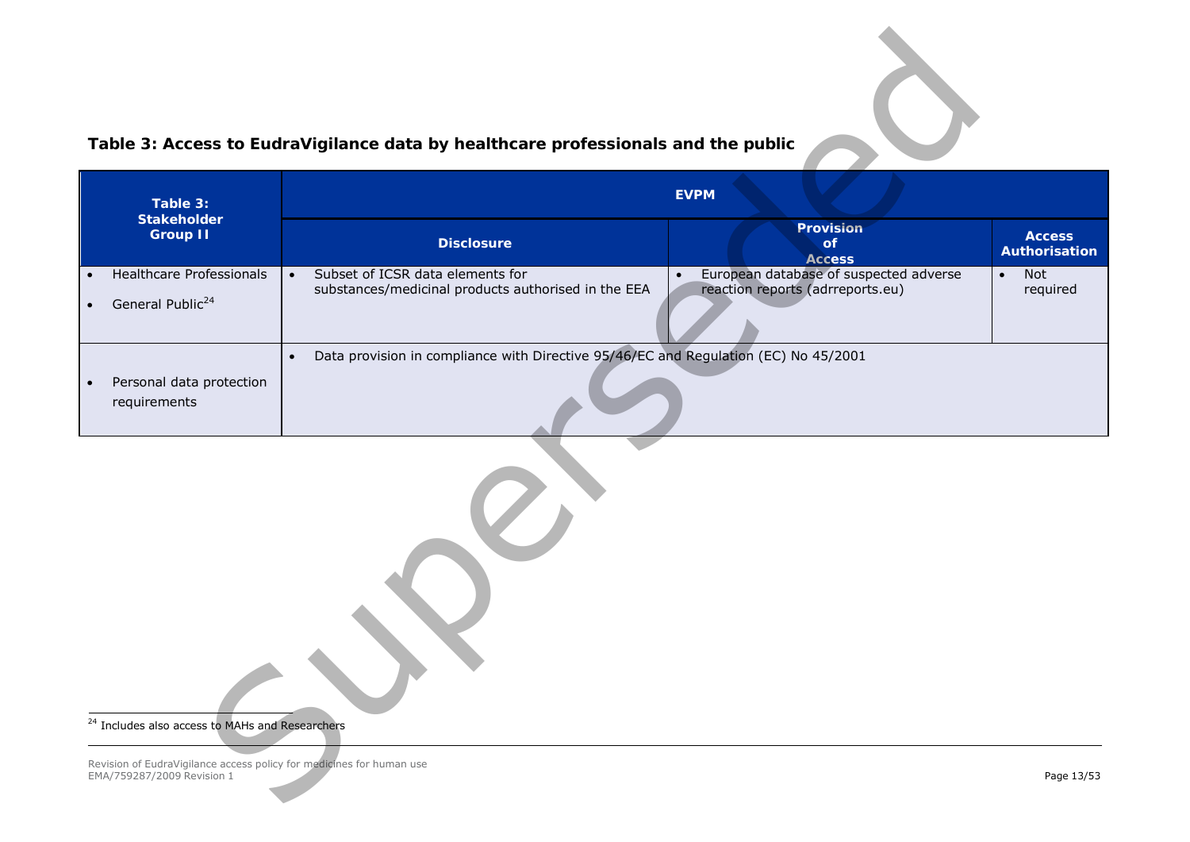<span id="page-12-1"></span><span id="page-12-0"></span>

|                                                                                                    | Table 3: Access to EudraVigilance data by healthcare professionals and the public                    |                                                                                         |                                |  |  |  |
|----------------------------------------------------------------------------------------------------|------------------------------------------------------------------------------------------------------|-----------------------------------------------------------------------------------------|--------------------------------|--|--|--|
| Table 3:                                                                                           | <b>EVPM</b>                                                                                          |                                                                                         |                                |  |  |  |
| <b>Stakeholder</b><br><b>Group II</b>                                                              | <b>Disclosure</b>                                                                                    | Provision<br>of<br><b>Access</b>                                                        | <b>Access</b><br>Authorisation |  |  |  |
| Healthcare Professionals<br>$\bullet$<br>General Public <sup>24</sup><br>$\bullet$                 | Subset of ICSR data elements for<br>$\bullet$<br>substances/medicinal products authorised in the EEA | European database of suspected adverse<br>$\bullet$<br>reaction reports (adrreports.eu) | Not<br>$\bullet$<br>required   |  |  |  |
| Personal data protection<br>$\bullet$<br>requirements                                              | Data provision in compliance with Directive 95/46/EC and Regulation (EC) No 45/2001<br>$\bullet$     |                                                                                         |                                |  |  |  |
| <sup>24</sup> Includes also access to MAHs and Researchers                                         |                                                                                                      |                                                                                         |                                |  |  |  |
| Revision of EudraVigilance access policy for medicines for human use<br>EMA/759287/2009 Revision 1 |                                                                                                      |                                                                                         | Page 13/53                     |  |  |  |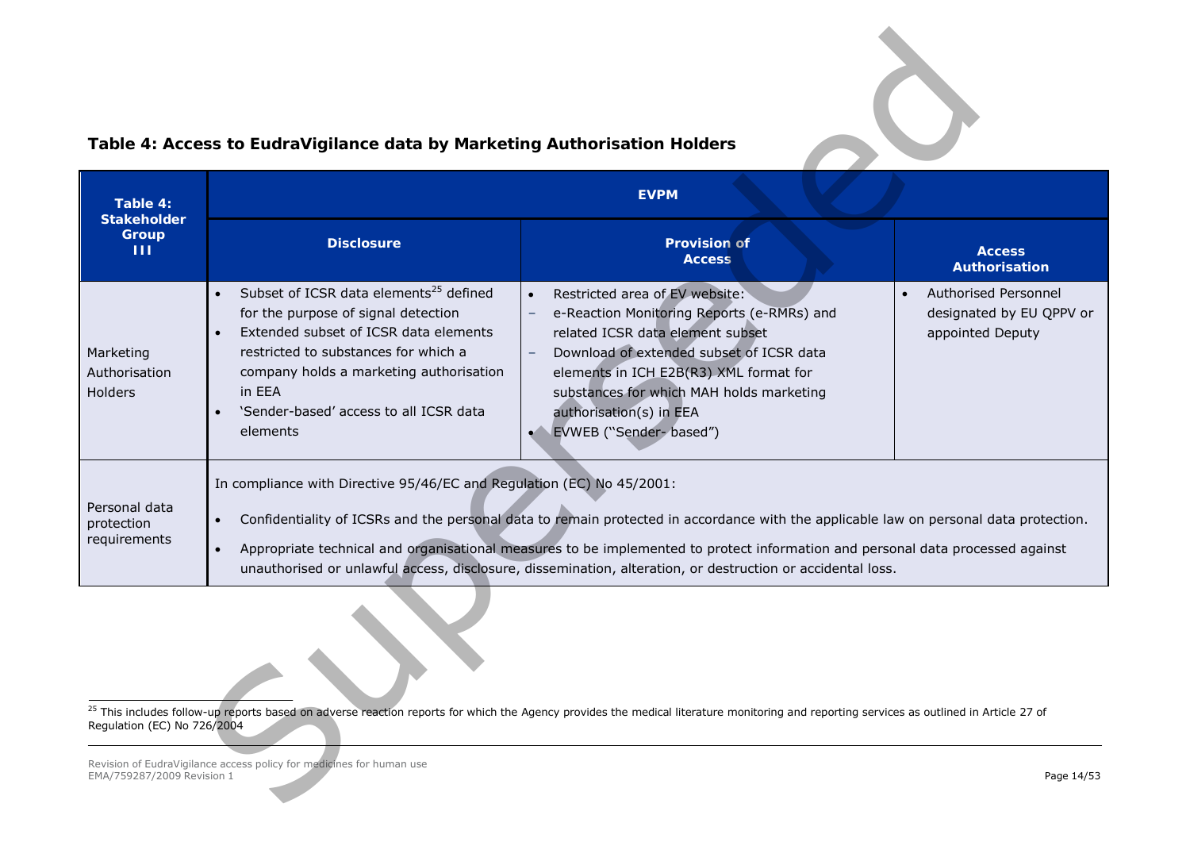# <span id="page-13-1"></span><span id="page-13-0"></span>**Table 4: Access to EudraVigilance data by Marketing Authorisation Holders**

|                                              | Table 4: Access to EudraVigilance data by Marketing Authorisation Holders                                                                                                                                                                                                                          |                                                                                                                                                                                                                                                                                                                                                                                       |                                                                                   |
|----------------------------------------------|----------------------------------------------------------------------------------------------------------------------------------------------------------------------------------------------------------------------------------------------------------------------------------------------------|---------------------------------------------------------------------------------------------------------------------------------------------------------------------------------------------------------------------------------------------------------------------------------------------------------------------------------------------------------------------------------------|-----------------------------------------------------------------------------------|
| Table 4:<br><b>Stakeholder</b>               |                                                                                                                                                                                                                                                                                                    | <b>EVPM</b>                                                                                                                                                                                                                                                                                                                                                                           |                                                                                   |
| Group<br>-111                                | <b>Disclosure</b>                                                                                                                                                                                                                                                                                  | <b>Provision of</b><br><b>Access</b>                                                                                                                                                                                                                                                                                                                                                  | <b>Access</b><br>Authorisation                                                    |
| Marketing<br>Authorisation<br><b>Holders</b> | Subset of ICSR data elements <sup>25</sup> defined<br>$\bullet$<br>for the purpose of signal detection<br>Extended subset of ICSR data elements<br>restricted to substances for which a<br>company holds a marketing authorisation<br>in EEA<br>'Sender-based' access to all ICSR data<br>elements | Restricted area of EV website:<br>e-Reaction Monitoring Reports (e-RMRs) and<br>related ICSR data element subset<br>Download of extended subset of ICSR data<br>$\overline{\phantom{m}}$<br>elements in ICH E2B(R3) XML format for<br>substances for which MAH holds marketing<br>authorisation(s) in EEA<br>EVWEB ("Sender- based")<br>$\bullet$                                     | Authorised Personnel<br>$\bullet$<br>designated by EU QPPV or<br>appointed Deputy |
| Personal data<br>protection<br>requirements  | In compliance with Directive 95/46/EC and Regulation (EC) No 45/2001:<br>$\bullet$<br>$\bullet$                                                                                                                                                                                                    | Confidentiality of ICSRs and the personal data to remain protected in accordance with the applicable law on personal data protection.<br>Appropriate technical and organisational measures to be implemented to protect information and personal data processed against<br>unauthorised or unlawful access, disclosure, dissemination, alteration, or destruction or accidental loss. |                                                                                   |
| Regulation (EC) No 726/2004                  |                                                                                                                                                                                                                                                                                                    | <sup>25</sup> This includes follow-up reports based on adverse reaction reports for which the Agency provides the medical literature monitoring and reporting services as outlined in Article 27 of                                                                                                                                                                                   |                                                                                   |
| EMA/759287/2009 Revision 1                   | Revision of EudraVigilance access policy for medicines for human use                                                                                                                                                                                                                               |                                                                                                                                                                                                                                                                                                                                                                                       | Page 14/53                                                                        |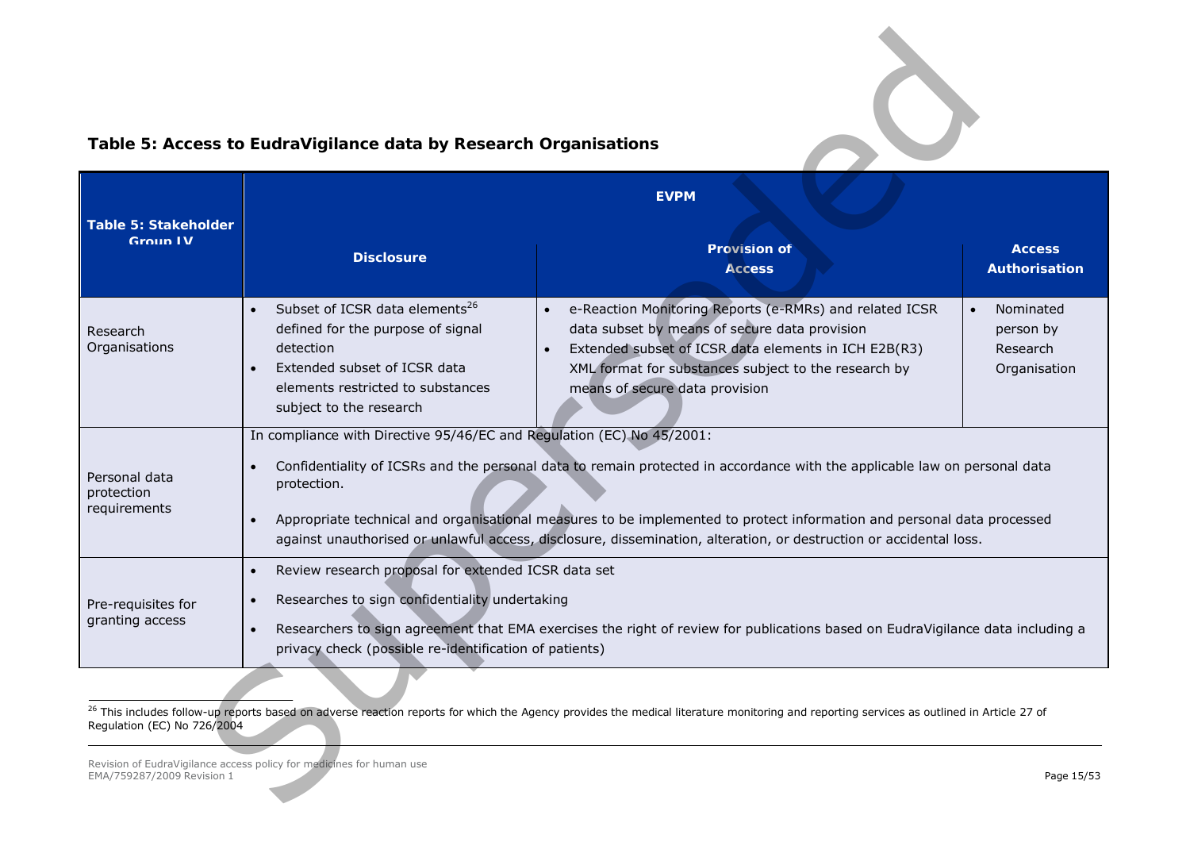# <span id="page-14-1"></span><span id="page-14-0"></span>**Table 5: Access to EudraVigilance data by Research Organisations**

|                                             | Table 5: Access to EudraVigilance data by Research Organisations                                                                                                                             |                                                                                                                                                                                                                                                                                                                                                                           |                                                                 |
|---------------------------------------------|----------------------------------------------------------------------------------------------------------------------------------------------------------------------------------------------|---------------------------------------------------------------------------------------------------------------------------------------------------------------------------------------------------------------------------------------------------------------------------------------------------------------------------------------------------------------------------|-----------------------------------------------------------------|
| <b>Table 5: Stakeholder</b>                 |                                                                                                                                                                                              | <b>EVPM</b>                                                                                                                                                                                                                                                                                                                                                               |                                                                 |
| Group LV                                    | <b>Disclosure</b>                                                                                                                                                                            | <b>Provision of</b><br><b>Access</b>                                                                                                                                                                                                                                                                                                                                      | <b>Access</b><br><b>Authorisation</b>                           |
| Research<br>Organisations                   | Subset of ICSR data elements <sup>26</sup><br>defined for the purpose of signal<br>detection<br>Extended subset of ICSR data<br>elements restricted to substances<br>subject to the research | e-Reaction Monitoring Reports (e-RMRs) and related ICSR<br>$\bullet$<br>data subset by means of secure data provision<br>Extended subset of ICSR data elements in ICH E2B(R3)<br>$\bullet$<br>XML format for substances subject to the research by<br>means of secure data provision                                                                                      | Nominated<br>$\bullet$<br>person by<br>Research<br>Organisation |
| Personal data<br>protection<br>requirements | In compliance with Directive 95/46/EC and Regulation (EC) No 45/2001:<br>protection.                                                                                                         | Confidentiality of ICSRs and the personal data to remain protected in accordance with the applicable law on personal data<br>Appropriate technical and organisational measures to be implemented to protect information and personal data processed<br>against unauthorised or unlawful access, disclosure, dissemination, alteration, or destruction or accidental loss. |                                                                 |
| Pre-requisites for<br>granting access       | Review research proposal for extended ICSR data set<br>$\bullet$<br>Researches to sign confidentiality undertaking<br>privacy check (possible re-identification of patients)                 | Researchers to sign agreement that EMA exercises the right of review for publications based on EudraVigilance data including a                                                                                                                                                                                                                                            |                                                                 |
| Regulation (EC) No 726/2004                 |                                                                                                                                                                                              | <sup>26</sup> This includes follow-up reports based on adverse reaction reports for which the Agency provides the medical literature monitoring and reporting services as outlined in Article 27 of                                                                                                                                                                       |                                                                 |
| EMA/759287/2009 Revision 1                  | Revision of EudraVigilance access policy for medicines for human use                                                                                                                         |                                                                                                                                                                                                                                                                                                                                                                           | Page 15/53                                                      |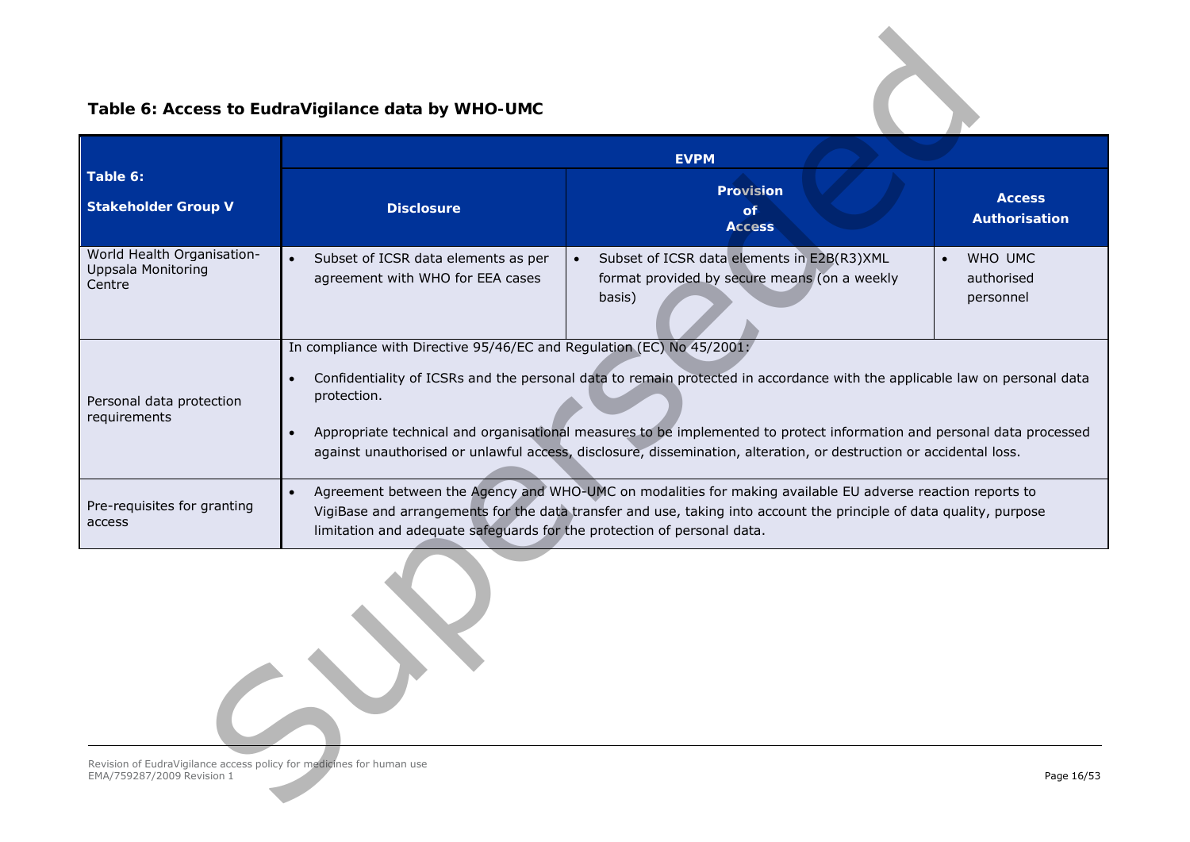# <span id="page-15-0"></span>**Table 6: Access to EudraVigilance data by WHO-UMC**

|                                                                   | Table 6: Access to EudraVigilance data by WHO-UMC                                                                                                                                                                                                                                                                                                                                                                                                                                           |                                                                                                                   |                                                 |  |  |  |
|-------------------------------------------------------------------|---------------------------------------------------------------------------------------------------------------------------------------------------------------------------------------------------------------------------------------------------------------------------------------------------------------------------------------------------------------------------------------------------------------------------------------------------------------------------------------------|-------------------------------------------------------------------------------------------------------------------|-------------------------------------------------|--|--|--|
|                                                                   |                                                                                                                                                                                                                                                                                                                                                                                                                                                                                             | <b>EVPM</b>                                                                                                       |                                                 |  |  |  |
| Table 6:<br><b>Stakeholder Group V</b>                            | <b>Disclosure</b>                                                                                                                                                                                                                                                                                                                                                                                                                                                                           | <b>Provision</b><br>of<br><b>Access</b>                                                                           | <b>Access</b><br>Authorisation                  |  |  |  |
| World Health Organisation-<br><b>Uppsala Monitoring</b><br>Centre | Subset of ICSR data elements as per<br>$\bullet$<br>agreement with WHO for EEA cases                                                                                                                                                                                                                                                                                                                                                                                                        | Subset of ICSR data elements in E2B(R3)XML<br>$\bullet$<br>format provided by secure means (on a weekly<br>basis) | WHO UMC<br>$\bullet$<br>authorised<br>personnel |  |  |  |
| Personal data protection<br>requirements                          | In compliance with Directive 95/46/EC and Regulation (EC) No 45/2001;<br>Confidentiality of ICSRs and the personal data to remain protected in accordance with the applicable law on personal data<br>$\bullet$<br>protection.<br>Appropriate technical and organisational measures to be implemented to protect information and personal data processed<br>$\bullet$<br>against unauthorised or unlawful access, disclosure, dissemination, alteration, or destruction or accidental loss. |                                                                                                                   |                                                 |  |  |  |
| Pre-requisites for granting<br>access                             | Agreement between the Agency and WHO-UMC on modalities for making available EU adverse reaction reports to<br>$\bullet$<br>VigiBase and arrangements for the data transfer and use, taking into account the principle of data quality, purpose<br>limitation and adequate safeguards for the protection of personal data.                                                                                                                                                                   |                                                                                                                   |                                                 |  |  |  |
|                                                                   |                                                                                                                                                                                                                                                                                                                                                                                                                                                                                             |                                                                                                                   |                                                 |  |  |  |
| EMA/759287/2009 Revision 1                                        | Revision of EudraVigilance access policy for medicines for human use<br>Page 16/53                                                                                                                                                                                                                                                                                                                                                                                                          |                                                                                                                   |                                                 |  |  |  |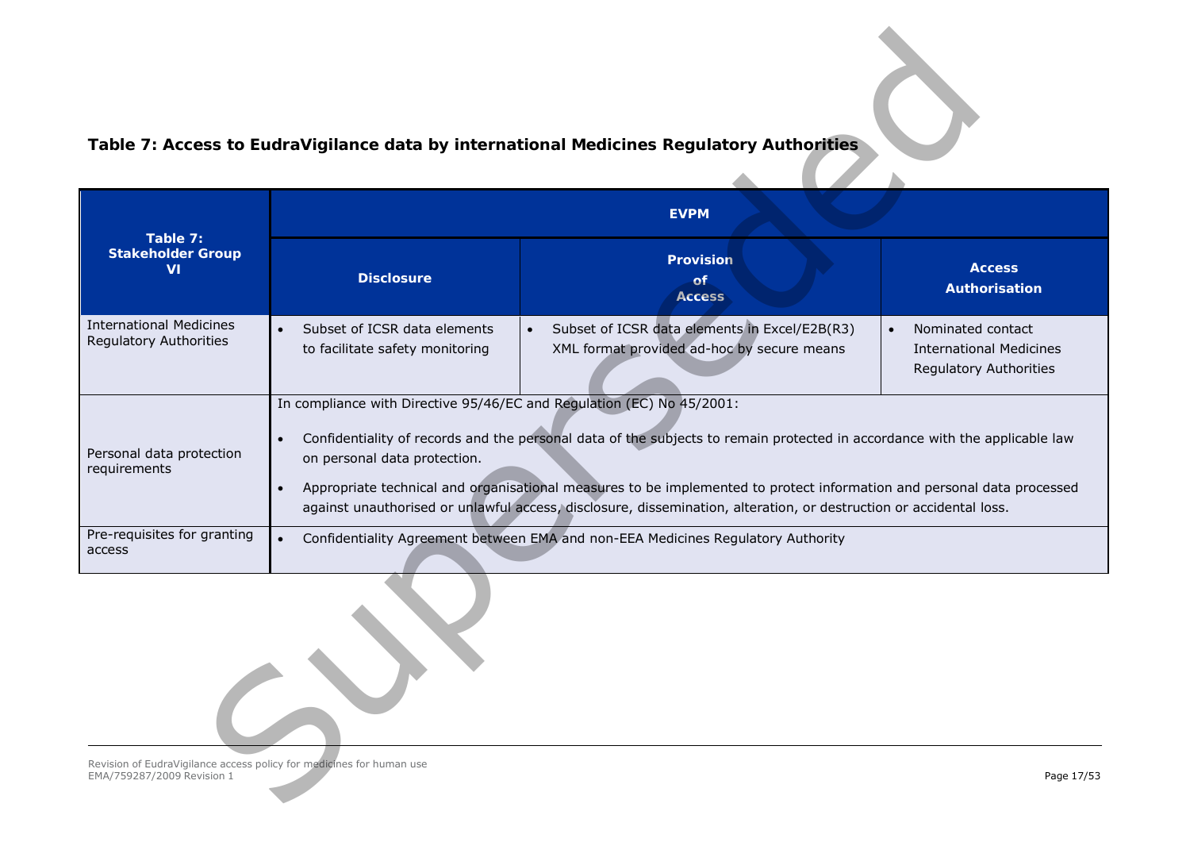# <span id="page-16-0"></span>**Table 7: Access to EudraVigilance data by international Medicines Regulatory Authorities**

|                                                                                                    |                                                                                                                                                                                                                                                                                                                                                                                                                                                                                                               | Table 7: Access to EudraVigilance data by international Medicines Regulatory Authorities                 |                                                                                            |  |  |  |
|----------------------------------------------------------------------------------------------------|---------------------------------------------------------------------------------------------------------------------------------------------------------------------------------------------------------------------------------------------------------------------------------------------------------------------------------------------------------------------------------------------------------------------------------------------------------------------------------------------------------------|----------------------------------------------------------------------------------------------------------|--------------------------------------------------------------------------------------------|--|--|--|
|                                                                                                    |                                                                                                                                                                                                                                                                                                                                                                                                                                                                                                               | <b>EVPM</b>                                                                                              |                                                                                            |  |  |  |
| Table 7:<br><b>Stakeholder Group</b><br><b>VI</b>                                                  | <b>Disclosure</b>                                                                                                                                                                                                                                                                                                                                                                                                                                                                                             | <b>Provision</b><br>of.<br><b>Access</b>                                                                 | <b>Access</b><br>Authorisation                                                             |  |  |  |
| <b>International Medicines</b><br>Regulatory Authorities                                           | Subset of ICSR data elements<br>to facilitate safety monitoring                                                                                                                                                                                                                                                                                                                                                                                                                                               | Subset of ICSR data elements in Excel/E2B(R3)<br>$\bullet$<br>XML format provided ad-hoc by secure means | Nominated contact<br>$\bullet$<br><b>International Medicines</b><br>Regulatory Authorities |  |  |  |
| Personal data protection<br>requirements                                                           | In compliance with Directive 95/46/EC and Regulation (EC) No 45/2001:<br>Confidentiality of records and the personal data of the subjects to remain protected in accordance with the applicable law<br>$\bullet$<br>on personal data protection.<br>Appropriate technical and organisational measures to be implemented to protect information and personal data processed<br>$\bullet$<br>against unauthorised or unlawful access, disclosure, dissemination, alteration, or destruction or accidental loss. |                                                                                                          |                                                                                            |  |  |  |
| Pre-requisites for granting<br>access                                                              | $\bullet$                                                                                                                                                                                                                                                                                                                                                                                                                                                                                                     | Confidentiality Agreement between EMA and non-EEA Medicines Regulatory Authority                         |                                                                                            |  |  |  |
|                                                                                                    |                                                                                                                                                                                                                                                                                                                                                                                                                                                                                                               |                                                                                                          |                                                                                            |  |  |  |
| Revision of EudraVigilance access policy for medicines for human use<br>EMA/759287/2009 Revision 1 |                                                                                                                                                                                                                                                                                                                                                                                                                                                                                                               |                                                                                                          | Page 17/53                                                                                 |  |  |  |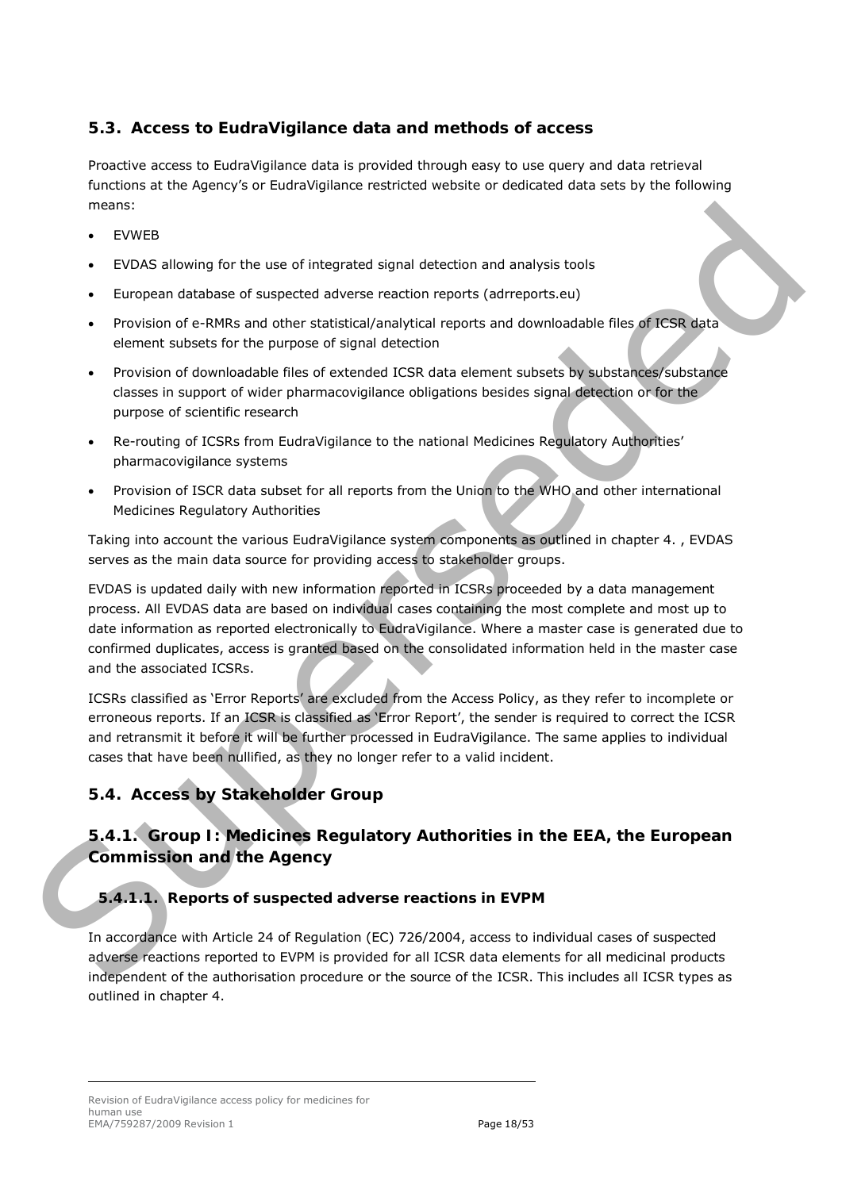## <span id="page-17-0"></span>*5.3. Access to EudraVigilance data and methods of access*

Proactive access to EudraVigilance data is provided through easy to use query and data retrieval functions at the Agency's or EudraVigilance restricted website or dedicated data sets by the following means:

- **EVWEB**
- EVDAS allowing for the use of integrated signal detection and analysis tools
- European database of suspected adverse reaction reports (adrreports.eu)
- Provision of e-RMRs and other statistical/analytical reports and downloadable files of ICSR data element subsets for the purpose of signal detection
- Provision of downloadable files of extended ICSR data element subsets by substances/substance classes in support of wider pharmacovigilance obligations besides signal detection or for the purpose of scientific research
- Re-routing of ICSRs from EudraVigilance to the national Medicines Regulatory Authorities' pharmacovigilance systems
- Provision of ISCR data subset for all reports from the Union to the WHO and other international Medicines Regulatory Authorities

Taking into account the various EudraVigilance system components as outlined in chapter 4. , EVDAS serves as the main data source for providing access to stakeholder groups.

EVDAS is updated daily with new information reported in ICSRs proceeded by a data management process. All EVDAS data are based on individual cases containing the most complete and most up to date information as reported electronically to EudraVigilance. Where a master case is generated due to confirmed duplicates, access is granted based on the consolidated information held in the master case and the associated ICSRs. incomes EVOKS allowing for the use of integrated signal detection and analysis tools<br>
• EVOKS allowing for the use of integrated signal detection reports (odirectorics)<br>
• Provision of d-RMSs and other entitities/analyside

ICSRs classified as 'Error Reports' are excluded from the Access Policy, as they refer to incomplete or erroneous reports. If an ICSR is classified as 'Error Report', the sender is required to correct the ICSR and retransmit it before it will be further processed in EudraVigilance. The same applies to individual cases that have been nullified, as they no longer refer to a valid incident.

# <span id="page-17-1"></span>*5.4. Access by Stakeholder Group*

# <span id="page-17-2"></span>**5.4.1. Group I: Medicines Regulatory Authorities in the EEA, the European Commission and the Agency**

# *5.4.1.1. Reports of suspected adverse reactions in EVPM*

In accordance with Article 24 of Regulation (EC) 726/2004, access to individual cases of suspected adverse reactions reported to EVPM is provided for all ICSR data elements for all medicinal products independent of the authorisation procedure or the source of the ICSR. This includes all ICSR types as outlined in chapter [4.](#page-7-0)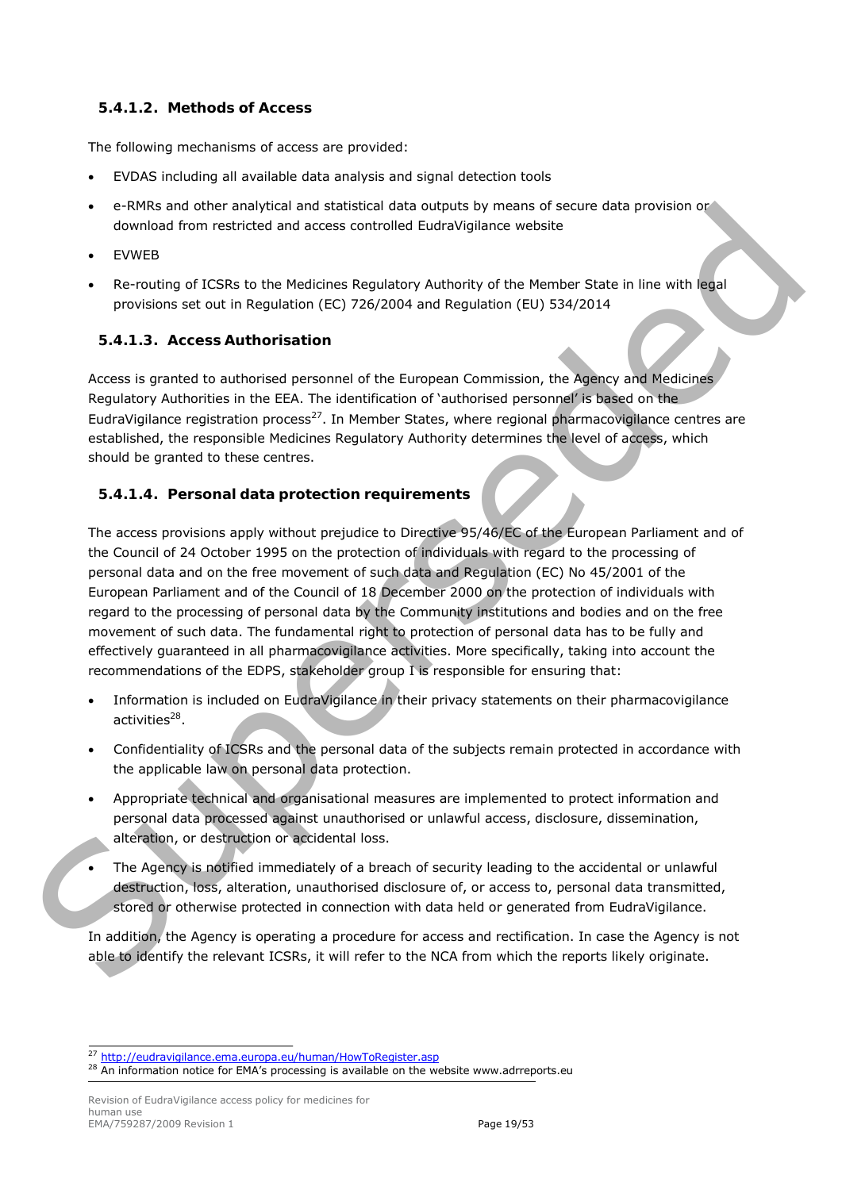#### *5.4.1.2. Methods of Access*

The following mechanisms of access are provided:

- EVDAS including all available data analysis and signal detection tools
- e-RMRs and other analytical and statistical data outputs by means of secure data provision or download from restricted and access controlled EudraVigilance website
- EVWEB
- Re-routing of ICSRs to the Medicines Regulatory Authority of the Member State in line with legal provisions set out in Regulation (EC) 726/2004 and Regulation (EU) 534/2014

#### *5.4.1.3. Access Authorisation*

Access is granted to authorised personnel of the European Commission, the Agency and Medicines Regulatory Authorities in the EEA. The identification of 'authorised personnel' is based on the EudraVigilance registration process<sup>27</sup>. In Member States, where regional pharmacovigilance centres are established, the responsible Medicines Regulatory Authority determines the level of access, which should be granted to these centres.

#### <span id="page-18-2"></span>*5.4.1.4. Personal data protection requirements*

The access provisions apply without prejudice to Directive 95/46/EC of the European Parliament and of the Council of 24 October 1995 on the protection of individuals with regard to the processing of personal data and on the free movement of such data and Regulation (EC) No 45/2001 of the European Parliament and of the Council of 18 December 2000 on the protection of individuals with regard to the processing of personal data by the Community institutions and bodies and on the free movement of such data. The fundamental right to protection of personal data has to be fully and effectively guaranteed in all pharmacovigilance activities. More specifically, taking into account the recommendations of the EDPS, stakeholder group I is responsible for ensuring that: e velvis and other maly calculated and a stabistical can build by means of secure data provisions of<br>covided from restricted and access controlled EuidaVIs/line webste<br>
Evoting of ICSRs to the Medicines Regulatory Authorit

- Information is included on EudraVigilance in their privacy statements on their pharmacovigilance activities $^{28}$ .
- Confidentiality of ICSRs and the personal data of the subjects remain protected in accordance with the applicable law on personal data protection.
- Appropriate technical and organisational measures are implemented to protect information and personal data processed against unauthorised or unlawful access, disclosure, dissemination, alteration, or destruction or accidental loss.
- The Agency is notified immediately of a breach of security leading to the accidental or unlawful destruction, loss, alteration, unauthorised disclosure of, or access to, personal data transmitted, stored or otherwise protected in connection with data held or generated from EudraVigilance.

In addition, the Agency is operating a procedure for access and rectification. In case the Agency is not able to identify the relevant ICSRs, it will refer to the NCA from which the reports likely originate.

Revision of EudraVigilance access policy for medicines for human use EMA/759287/2009 Revision 1 2008 2010 12:00 Page 19/53

<span id="page-18-0"></span><sup>27</sup> <http://eudravigilance.ema.europa.eu/human/HowToRegister.asp>

<span id="page-18-1"></span> $28$  An information notice for EMA's processing is available on the website [www.adrreports.eu](http://www.adrreports.eu/)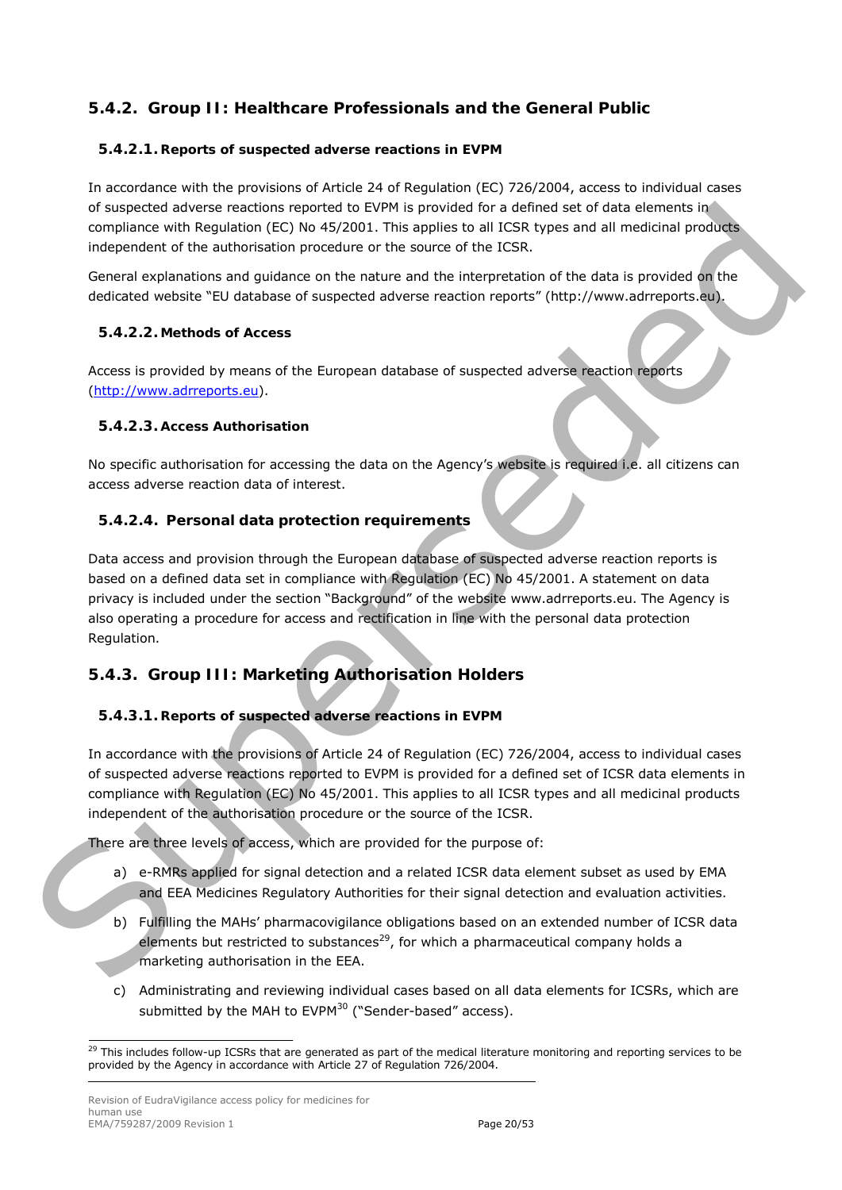# <span id="page-19-0"></span>**5.4.2. Group II: Healthcare Professionals and the General Public**

#### *5.4.2.1. Reports of suspected adverse reactions in EVPM*

In accordance with the provisions of Article 24 of Regulation (EC) 726/2004, access to individual cases of suspected adverse reactions reported to EVPM is provided for a defined set of data elements in compliance with Regulation (EC) No 45/2001. This applies to all ICSR types and all medicinal products independent of the authorisation procedure or the source of the ICSR.

General explanations and guidance on the nature and the interpretation of the data is provided on the dedicated website "EU database of suspected adverse reaction reports" (http://www.adrreports.eu).

#### *5.4.2.2. Methods of Access*

Access is provided by means of the European database of suspected adverse reaction reports (http://www.adrreports.eu).

#### *5.4.2.3. Access Authorisation*

No specific authorisation for accessing the data on the Agency's website is required i.e. all citizens can access adverse reaction data of interest.

#### *5.4.2.4. Personal data protection requirements*

Data access and provision through the European database of suspected adverse reaction reports is based on a defined data set in compliance with Regulation (EC) No 45/2001. A statement on data privacy is included under the section "Background" of the website www.adrreports.eu. The Agency is also operating a procedure for access and rectification in line with the personal data protection Regulation. of [s](http://www.adrreports.eu/)uspected adverse reactions reported to EVM is provided for a defined set of data selected by the defined and provided for a defined strength in the control of the data is provided by the General explanations and guidan

# <span id="page-19-1"></span>**5.4.3. Group III: Marketing Authorisation Holders**

#### <span id="page-19-4"></span>*5.4.3.1. Reports of suspected adverse reactions in EVPM*

In accordance with the provisions of Article 24 of Regulation (EC) 726/2004, access to individual cases of suspected adverse reactions reported to EVPM is provided for a defined set of ICSR data elements in compliance with Regulation (EC) No 45/2001. This applies to all ICSR types and all medicinal products independent of the authorisation procedure or the source of the ICSR.

There are three levels of access, which are provided for the purpose of:

- a) e-RMRs applied for signal detection and a related ICSR data element subset as used by EMA and EEA Medicines Regulatory Authorities for their signal detection and evaluation activities.
- b) Fulfilling the MAHs' pharmacovigilance obligations based on an extended number of ICSR data elements but restricted to substances<sup>29</sup>, for which a pharmaceutical company holds a marketing authorisation in the EEA.
- c) Administrating and reviewing individual cases based on all data elements for ICSRs, which are submitted by the MAH to  $EVPM^{30}$  ("Sender-based" access).

<span id="page-19-3"></span><span id="page-19-2"></span> $29$  This includes follow-up ICSRs that are generated as part of the medical literature monitoring and reporting services to be provided by the Agency in accordance with Article 27 of Regulation 726/2004.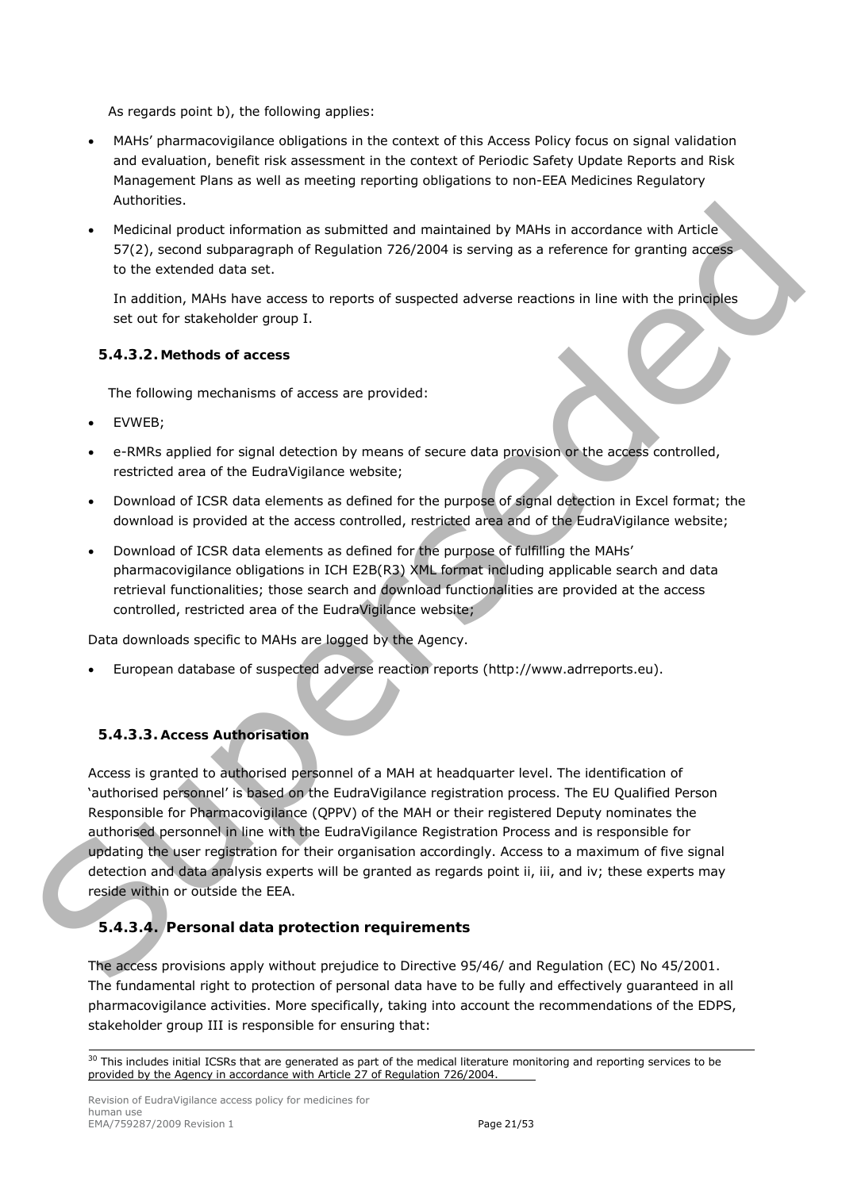As regards point b), the following applies:

- MAHs' pharmacovigilance obligations in the context of this Access Policy focus on signal validation and evaluation, benefit risk assessment in the context of Periodic Safety Update Reports and Risk Management Plans as well as meeting reporting obligations to non-EEA Medicines Regulatory Authorities.
- Medicinal product information as submitted and maintained by MAHs in accordance with Article 57(2), second subparagraph of Regulation 726/2004 is serving as a reference for granting access to the extended data set.

In addition, MAHs have access to reports of suspected adverse reactions in line with the principles set out for stakeholder group I.

#### *5.4.3.2. Methods of access*

The following mechanisms of access are provided:

- EVWEB;
- e-RMRs applied for signal detection by means of secure data provision or the access controlled, restricted area of the EudraVigilance website;
- Download of ICSR data elements as defined for the purpose of signal detection in Excel format; the download is provided at the access controlled, restricted area and of the EudraVigilance website;
- Download of ICSR data elements as defined for the purpose of fulfilling the MAHs' pharmacovigilance obligations in ICH E2B(R3) XML format including applicable search and data retrieval functionalities; those search and download functionalities are provided at the access controlled, restricted area of the EudraVigilance website;

Data downloads specific to MAHs are logged by the Agency.

• European database of suspected adverse reaction reports (http://www.adrreports.eu).

#### *5.4.3.3. Access Authorisation*

Access is granted to authorised personnel of a MAH at headquarter level. The identification of 'authorised personnel' is based on the EudraVigilance registration process. The EU Qualified Person Responsible for Pharmacovigilance (QPPV) of the MAH or their registered Deputy nominates the authorised personnel in line with the EudraVigilance Registration Process and is responsible for updating the user registration for their organisation accordingly. Access to a maximum of five signal detection and data analysis experts will be granted as regards point ii, iii, and iv; these experts may reside within or outside the EEA. Medicinal product information as submitted and maintained by NAIIs in accordance with Article<br>
ST2), strand submargenth of Regulation 776/2004 is serving as a reference for graniting according<br>
tin the extended data set.<br>

## *5.4.3.4. Personal data protection requirements*

The access provisions apply without prejudice to Directive 95/46/ and Regulation (EC) No 45/2001. The fundamental right to protection of personal data have to be fully and effectively guaranteed in all pharmacovigilance activities. More specifically, taking into account the recommendations of the EDPS, stakeholder group III is responsible for ensuring that:

<sup>&</sup>lt;sup>30</sup> This includes initial ICSRs that are generated as part of the medical literature monitoring and reporting services to be provided by the Agency in accordance with Article 27 of Regulation 726/2004.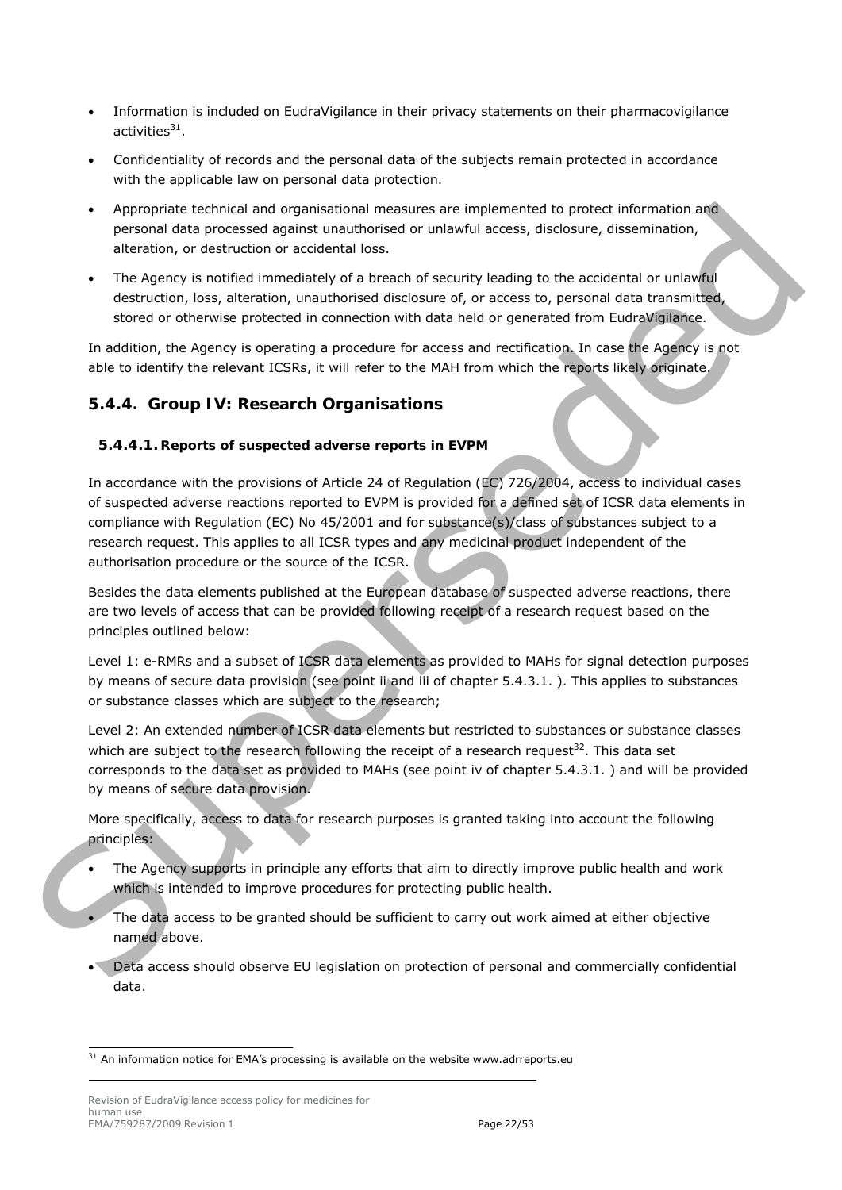- <span id="page-21-2"></span>• Information is included on EudraVigilance in their privacy statements on their pharmacovigilance activities $31$ .
- Confidentiality of records and the personal data of the subjects remain protected in accordance with the applicable law on personal data protection.
- Appropriate technical and organisational measures are implemented to protect information and personal data processed against unauthorised or unlawful access, disclosure, dissemination, alteration, or destruction or accidental loss.
- The Agency is notified immediately of a breach of security leading to the accidental or unlawful destruction, loss, alteration, unauthorised disclosure of, or access to, personal data transmitted, stored or otherwise protected in connection with data held or generated from EudraVigilance.

In addition, the Agency is operating a procedure for access and rectification. In case the Agency is not able to identify the relevant ICSRs, it will refer to the MAH from which the reports likely originate.

## <span id="page-21-0"></span>**5.4.4. Group IV: Research Organisations**

#### *5.4.4.1. Reports of suspected adverse reports in EVPM*

In accordance with the provisions of Article 24 of Regulation (EC) 726/2004, access to individual cases of suspected adverse reactions reported to EVPM is provided for a defined set of ICSR data elements in compliance with Regulation (EC) No 45/2001 and for substance(s)/class of substances subject to a research request. This applies to all ICSR types and any medicinal product independent of the authorisation procedure or the source of the ICSR. A poperialist technical and organisational measures are implemented to protect information and<br>personal dala processed against unsambities or unitary alcoresce, discosure, dissemination,<br>the Agency is notified immediately

Besides the data elements published at the European database of suspected adverse reactions, there are two levels of access that can be provided following receipt of a research request based on the principles outlined below:

Level 1: e-RMRs and a subset of ICSR data elements as provided to MAHs for signal detection purposes by means of secure data provision (see point ii and iii of chapter 5.4.3.1. ). This applies to substances or substance classes which are subject to the research;

Level 2: An extended number of ICSR data elements but restricted to substances or substance classes which are subject to the research following the receipt of a research request<sup>32</sup>. This data set corresponds to the data set as provided to MAHs (see point iv of chapter 5.4.3.1. ) and will be provided by means of secure data provision.

More specifically, access to data for research purposes is granted taking into account the following principles:

- The Agency supports in principle any efforts that aim to directly improve public health and work which is intended to improve procedures for protecting public health.
- The data access to be granted should be sufficient to carry out work aimed at either objective named above.
- Data access should observe EU legislation on protection of personal and commercially confidential data.

<span id="page-21-1"></span> $31$  An information notice for EMA's processing is available on the website [www.adrreports.eu](http://www.adrreports.eu/)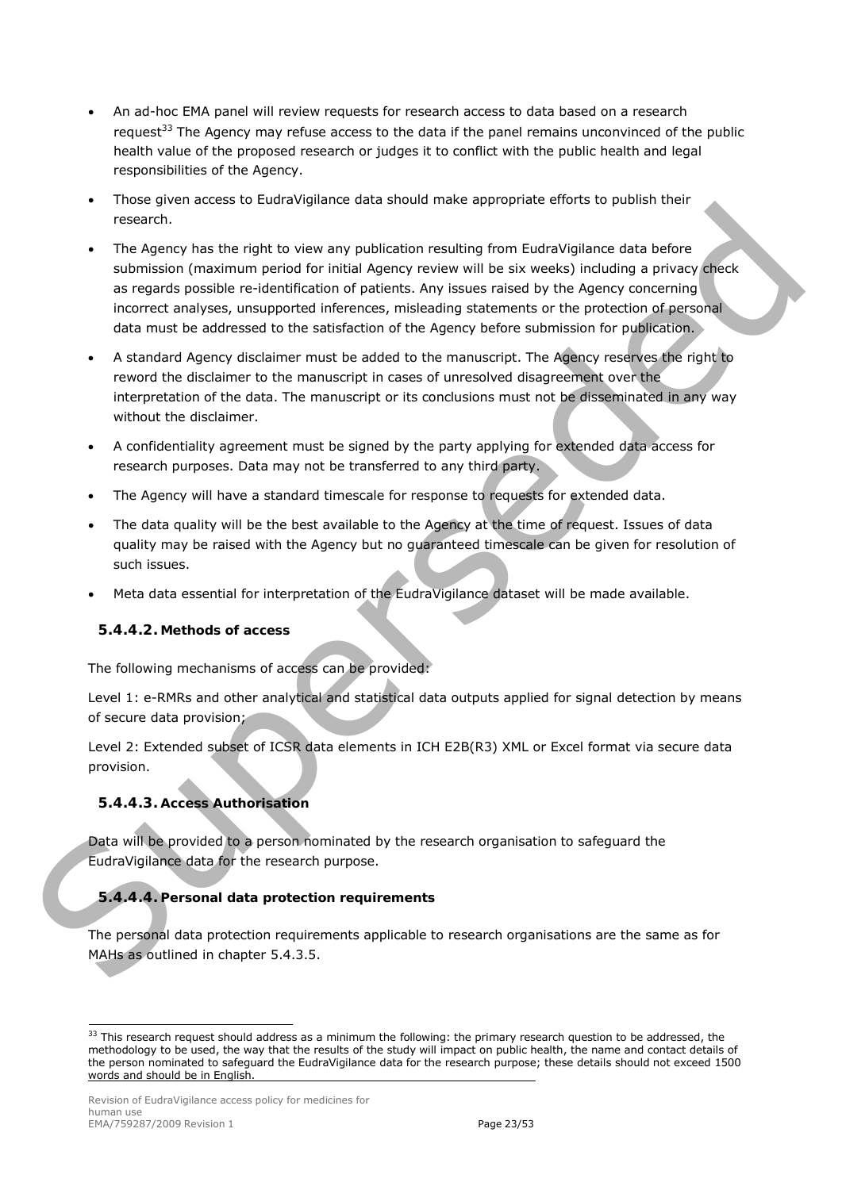- An ad-hoc EMA panel will review requests for research access to data based on a research request<sup>[33](#page-22-0)</sup> The Agency may refuse access to the data if the panel remains unconvinced of the public health value of the proposed research or judges it to conflict with the public health and legal responsibilities of the Agency.
- Those given access to EudraVigilance data should make appropriate efforts to publish their research.
- The Agency has the right to view any publication resulting from EudraVigilance data before submission (maximum period for initial Agency review will be six weeks) including a privacy check as regards possible re-identification of patients. Any issues raised by the Agency concerning incorrect analyses, unsupported inferences, misleading statements or the protection of personal data must be addressed to the satisfaction of the Agency before submission for publication. rive operation to the space of the space of the space of the space of the space of the space of the space of the space of the space of the space of the space of the space of the space of the space of the space of the space
	- A standard Agency disclaimer must be added to the manuscript. The Agency reserves the right to reword the disclaimer to the manuscript in cases of unresolved disagreement over the interpretation of the data. The manuscript or its conclusions must not be disseminated in any way without the disclaimer.
	- A confidentiality agreement must be signed by the party applying for extended data access for research purposes. Data may not be transferred to any third party.
	- The Agency will have a standard timescale for response to requests for extended data.
	- The data quality will be the best available to the Agency at the time of request. Issues of data quality may be raised with the Agency but no guaranteed timescale can be given for resolution of such issues.
	- Meta data essential for interpretation of the EudraVigilance dataset will be made available.

#### *5.4.4.2. Methods of access*

The following mechanisms of access can be provided:

Level 1: e-RMRs and other analytical and statistical data outputs applied for signal detection by means of secure data provision;

Level 2: Extended subset of ICSR data elements in ICH E2B(R3) XML or Excel format via secure data provision.

#### *5.4.4.3. Access Authorisation*

Data will be provided to a person nominated by the research organisation to safeguard the EudraVigilance data for the research purpose.

#### *5.4.4.4. Personal data protection requirements*

The personal data protection requirements applicable to research organisations are the same as for MAHs as outlined in chapter 5.4.3.5.

<span id="page-22-0"></span> $33$  This research request should address as a minimum the following: the primary research question to be addressed, the methodology to be used, the way that the results of the study will impact on public health, the name and contact details of the person nominated to safeguard the EudraVigilance data for the research purpose; these details should not exceed 1500 words and should be in English.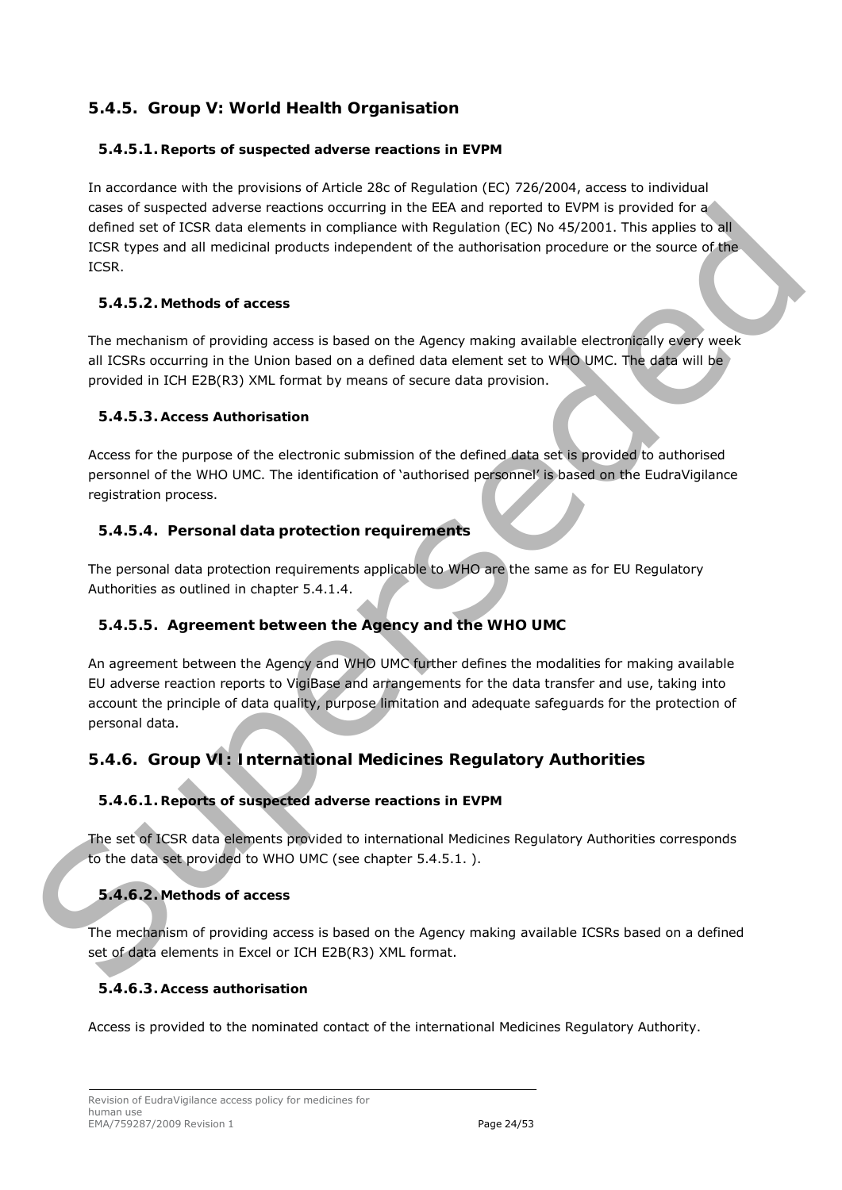# <span id="page-23-0"></span>**5.4.5. Group V: World Health Organisation**

#### <span id="page-23-2"></span>*5.4.5.1. Reports of suspected adverse reactions in EVPM*

In accordance with the provisions of Article 28c of Regulation (EC) 726/2004, access to individual cases of suspected adverse reactions occurring in the EEA and reported to EVPM is provided for a defined set of ICSR data elements in compliance with Regulation (EC) No 45/2001. This applies to all ICSR types and all medicinal products independent of the authorisation procedure or the source of the ICSR.

#### *5.4.5.2. Methods of access*

The mechanism of providing access is based on the Agency making available electronically every week all ICSRs occurring in the Union based on a defined data element set to WHO UMC. The data will be provided in ICH E2B(R3) XML format by means of secure data provision.

#### *5.4.5.3. Access Authorisation*

Access for the purpose of the electronic submission of the defined data set is provided to authorised personnel of the WHO UMC. The identification of 'authorised personnel' is based on the EudraVigilance registration process.

## *5.4.5.4. Personal data protection requirements*

The personal data protection requirements applicable to WHO are the same as for EU Regulatory Authorities as outlined in chapter 5.4.1.4.

## *5.4.5.5. Agreement between the Agency and the WHO UMC*

An agreement between the Agency and WHO UMC further defines the modalities for making available EU adverse reaction reports to VigiBase and arrangements for the data transfer and use, taking into account the principle of data quality, purpose limitation and adequate safeguards for the protection of personal data. case of suscession decleares reactions occurring in the EE and reported to EVM is provided for a<br>subsect of this specifical incompletes with likely discussion procedure of the specifical test of the subsection procedure of

# <span id="page-23-1"></span>**5.4.6. Group VI: International Medicines Regulatory Authorities**

## *5.4.6.1. Reports of suspected adverse reactions in EVPM*

The set of ICSR data elements provided to international Medicines Regulatory Authorities corresponds to the data set provided to WHO UMC (see chapter 5.4.5.1. ).

# *5.4.6.2. Methods of access*

The mechanism of providing access is based on the Agency making available ICSRs based on a defined set of data elements in Excel or ICH E2B(R3) XML format.

## *5.4.6.3. Access authorisation*

Access is provided to the nominated contact of the international Medicines Regulatory Authority.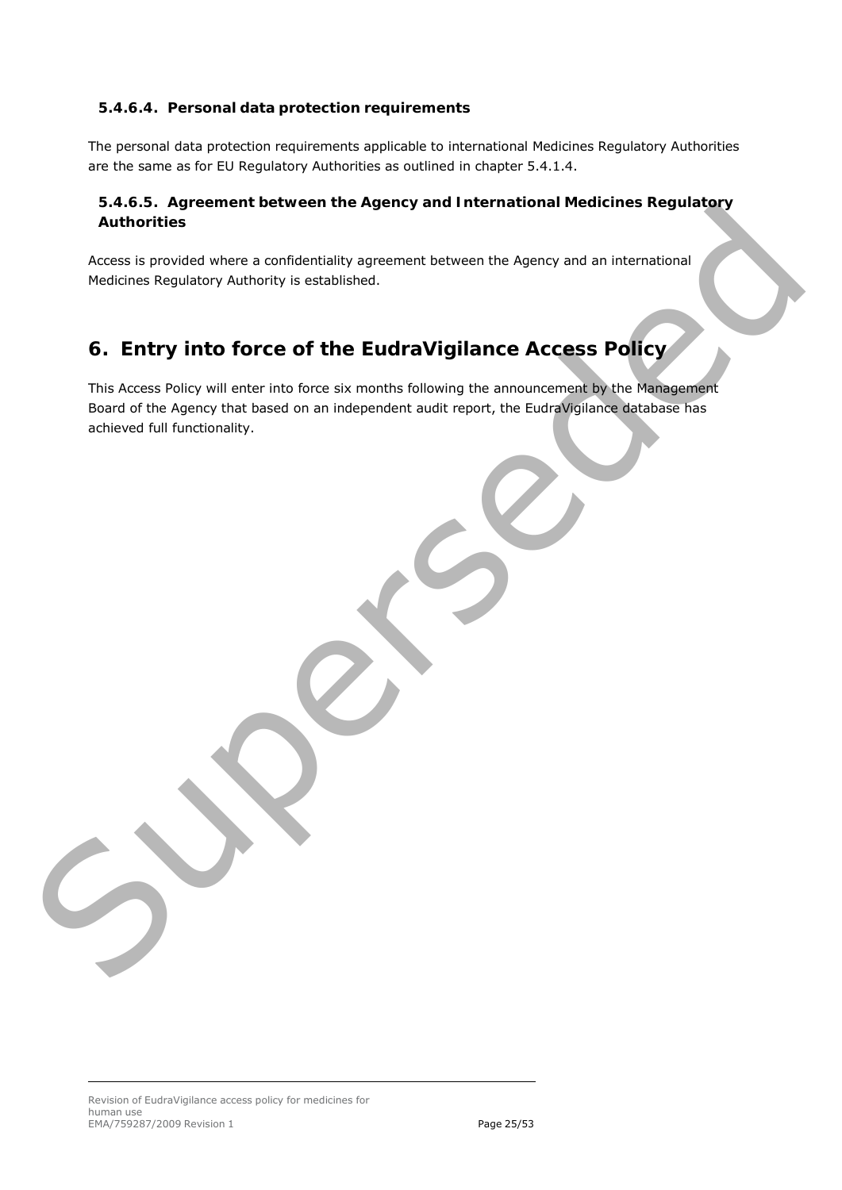#### *5.4.6.4. Personal data protection requirements*

The personal data protection requirements applicable to international Medicines Regulatory Authorities are the same as for EU Regulatory Authorities as outlined in chapter [5.4.1.4.](#page-18-2)

#### *5.4.6.5. Agreement between the Agency and International Medicines Regulatory Authorities*

Access is provided where a confidentiality agreement between the Agency and an international Medicines Regulatory Authority is established.

# <span id="page-24-0"></span>**6. Entry into force of the EudraVigilance Access Policy**

This Access Policy will enter into force six months following the announcement by the Management Board of the Agency that based on an independent audit report, the EudraVigilance database has achieved full functionality. Superiorities<br>Anthonities<br>Access is provided where a confidentially agreement between the Agency and an International<br>Nedicines Regulatory Authority is exactly the access Policy<br>This Access Policy will enter this force six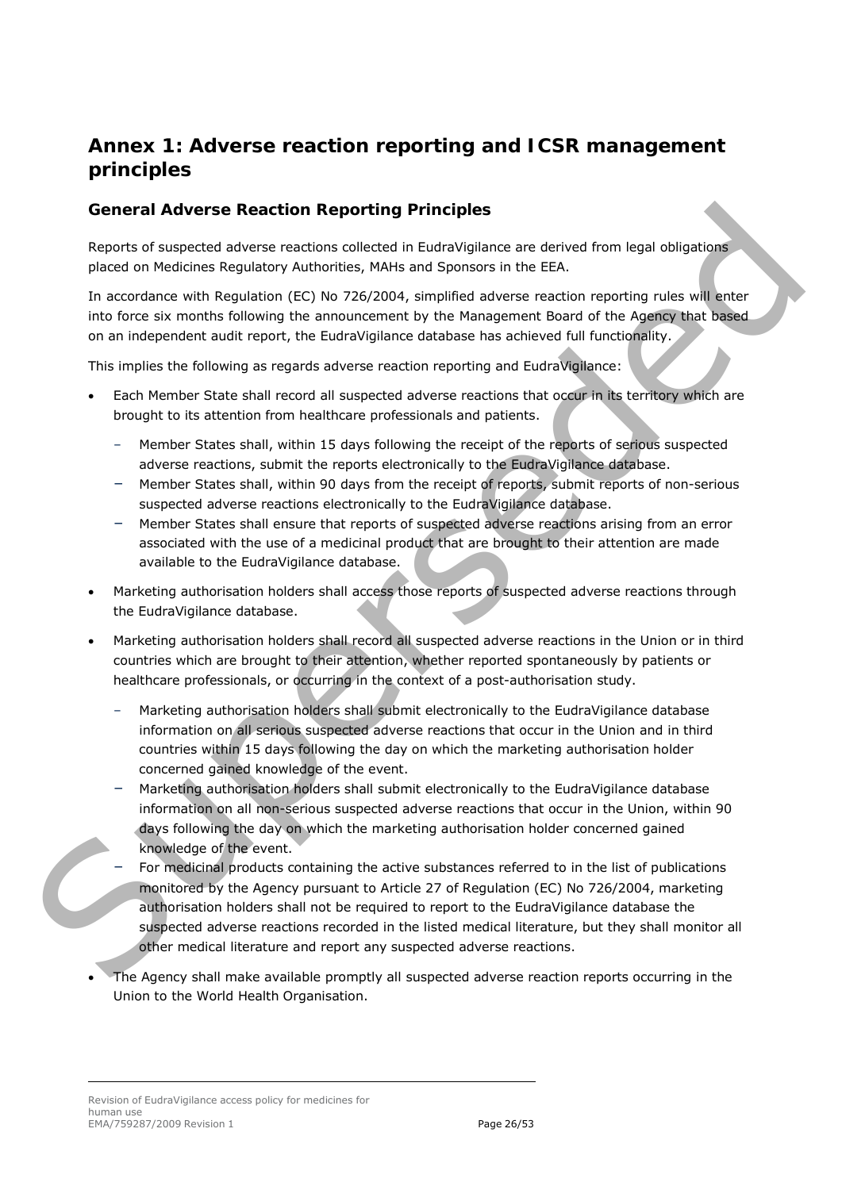# <span id="page-25-0"></span>**Annex 1: Adverse reaction reporting and ICSR management principles**

## <span id="page-25-1"></span>*General Adverse Reaction Reporting Principles*

Reports of suspected adverse reactions collected in EudraVigilance are derived from legal obligations placed on Medicines Regulatory Authorities, MAHs and Sponsors in the EEA.

In accordance with Regulation (EC) No 726/2004, simplified adverse reaction reporting rules will enter into force six months following the announcement by the Management Board of the Agency that based on an independent audit report, the EudraVigilance database has achieved full functionality.

This implies the following as regards adverse reaction reporting and EudraVigilance:

- Each Member State shall record all suspected adverse reactions that occur in its territory which are brought to its attention from healthcare professionals and patients.
	- Member States shall, within 15 days following the receipt of the reports of serious suspected adverse reactions, submit the reports electronically to the EudraVigilance database.
	- Member States shall, within 90 days from the receipt of reports, submit reports of non-serious suspected adverse reactions electronically to the EudraVigilance database.
	- Member States shall ensure that reports of suspected adverse reactions arising from an error associated with the use of a medicinal product that are brought to their attention are made available to the EudraVigilance database.
- Marketing authorisation holders shall access those reports of suspected adverse reactions through the EudraVigilance database.
- Marketing authorisation holders shall record all suspected adverse reactions in the Union or in third countries which are brought to their attention, whether reported spontaneously by patients or healthcare professionals, or occurring in the context of a post-authorisation study.
	- Marketing authorisation holders shall submit electronically to the EudraVigilance database information on all serious suspected adverse reactions that occur in the Union and in third countries within 15 days following the day on which the marketing authorisation holder concerned gained knowledge of the event.
	- Marketing authorisation holders shall submit electronically to the EudraVigilance database information on all non-serious suspected adverse reactions that occur in the Union, within 90 days following the day on which the marketing authorisation holder concerned gained knowledge of the event.
- For medicinal products containing the active substances referred to in the list of publications monitored by the Agency pursuant to Article 27 of Regulation (EC) No 726/2004, marketing authorisation holders shall not be required to report to the EudraVigilance database the suspected adverse reactions recorded in the listed medical literature, but they shall monitor all other medical literature and report any suspected adverse reactions. General Advierse Reaction Reporting Principles<br>
steps as the state and denoted a metalling and the technology of the EEA.<br>
In accounting substituting the state including the state in the state of the state of the state of
	- The Agency shall make available promptly all suspected adverse reaction reports occurring in the Union to the World Health Organisation.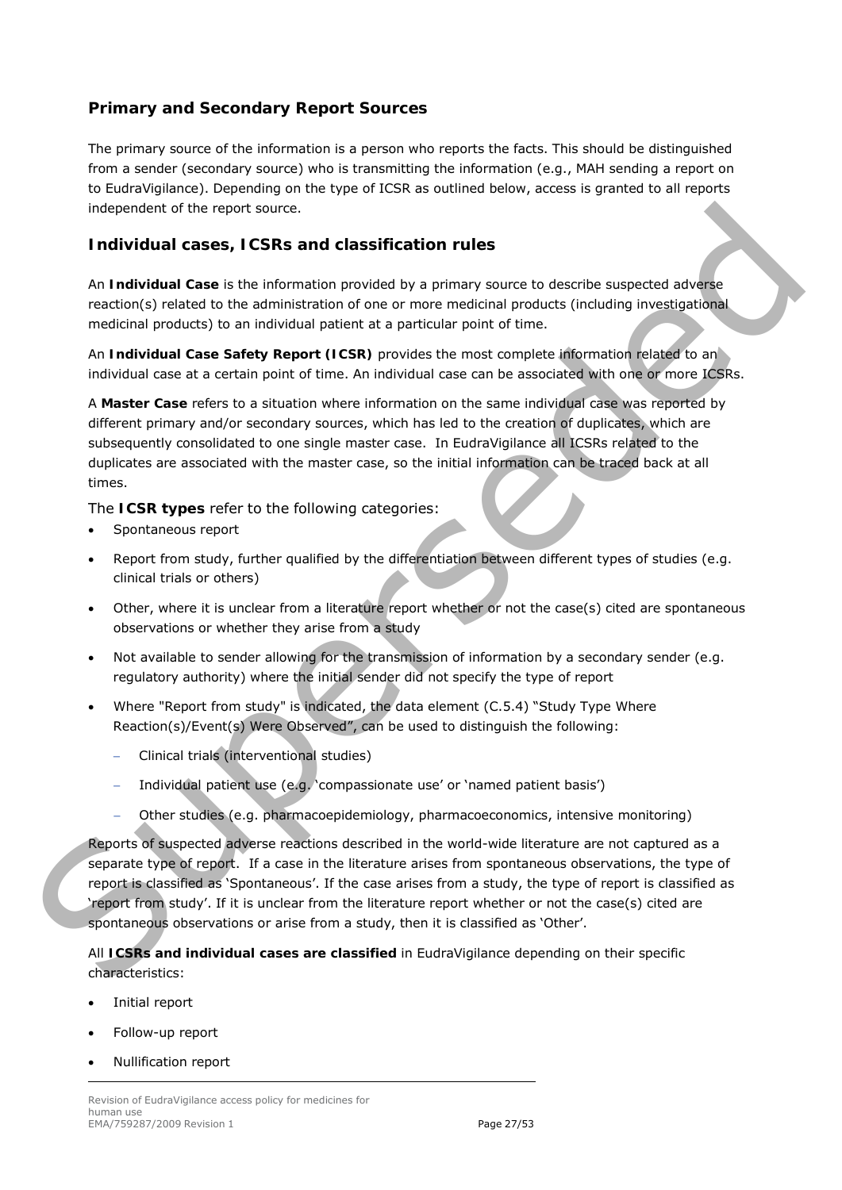## <span id="page-26-0"></span>**Primary and Secondary Report Sources**

The primary source of the information is a person who reports the facts. This should be distinguished from a sender (secondary source) who is transmitting the information (e.g., MAH sending a report on to EudraVigilance). Depending on the type of ICSR as outlined below, access is granted to all reports independent of the report source.

#### <span id="page-26-1"></span>**Individual cases, ICSRs and classification rules**

An **Individual Case** is the information provided by a primary source to describe suspected adverse reaction(s) related to the administration of one or more medicinal products (including investigational medicinal products) to an individual patient at a particular point of time.

An **Individual Case Safety Report (ICSR)** provides the most complete information related to an individual case at a certain point of time. An individual case can be associated with one or more ICSRs.

A **Master Case** refers to a situation where information on the same individual case was reported by different primary and/or secondary sources, which has led to the creation of duplicates, which are subsequently consolidated to one single master case. In EudraVigilance all ICSRs related to the duplicates are associated with the master case, so the initial information can be traced back at all times.

The **ICSR types** refer to the following categories:

- Spontaneous report
- Report from study, further qualified by the differentiation between different types of studies (e.g. clinical trials or others)
- Other, where it is unclear from a literature report whether or not the case(s) cited are spontaneous observations or whether they arise from a study
- Not available to sender allowing for the transmission of information by a secondary sender (e.g. regulatory authority) where the initial sender did not specify the type of report
- Where "Report from study" is indicated, the data element (C.5.4) "Study Type Where Reaction(s)/Event(s) Were Observed", can be used to distinguish the following:
	- − Clinical trials (interventional studies)
	- Individual patient use (e.g. 'compassionate use' or 'named patient basis')
	- − Other studies (e.g. pharmacoepidemiology, pharmacoeconomics, intensive monitoring)

Reports of suspected adverse reactions described in the world-wide literature are not captured as a separate type of report. If a case in the literature arises from spontaneous observations, the type of report is classified as 'Spontaneous'. If the case arises from a study, the type of report is classified as 'report from study'. If it is unclear from the literature report whether or not the case(s) cited are spontaneous observations or arise from a study, then it is classified as 'Other'. independent of the mpmt source.<br>
Individual cases, it CSRs and classification rules<br>
An individual case is the information provided by a primary source to describe suspected advance<br>
metallical products to the straining pr

All **ICSRs and individual cases are classified** in EudraVigilance depending on their specific characteristics:

- Initial report
- Follow-up report
- Nullification report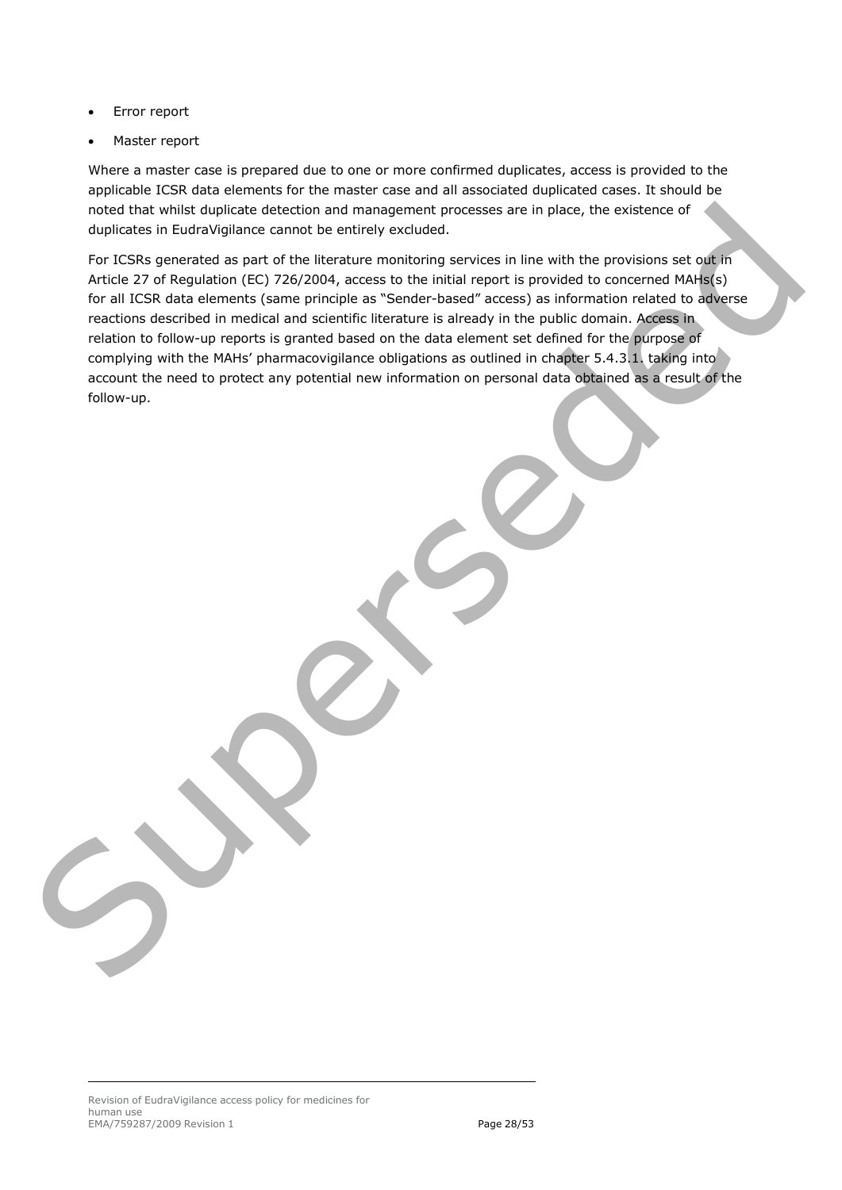- Error report
- Master report

Where a master case is prepared due to one or more confirmed duplicates, access is provided to the applicable ICSR data elements for the master case and all associated duplicated cases. It should be noted that whilst duplicate detection and management processes are in place, the existence of duplicates in EudraVigilance cannot be entirely excluded.

For ICSRs generated as part of the literature monitoring services in line with the provisions set out in Article 27 of Regulation (EC) 726/2004, access to the initial report is provided to concerned MAHs(s) for all ICSR data elements (same principle as "Sender-based" access) as information related to adverse reactions described in medical and scientific literature is already in the public domain. Access in relation to follow-up reports is granted based on the data element set defined for the purpose of complying with the MAHs' pharmacovigilance obligations as outlined in chapter 5.4.3.1. taking into account the need to protect any potential new information on personal data obtained as a result of the follow-up. no[de](#page-19-4)l that while due to recover and management processes are in place, the existence of<br>duplicates in Euclay Malarca cannot be entirely accluded.<br>For LISIRs generated as part of the listenary environmental served in the wi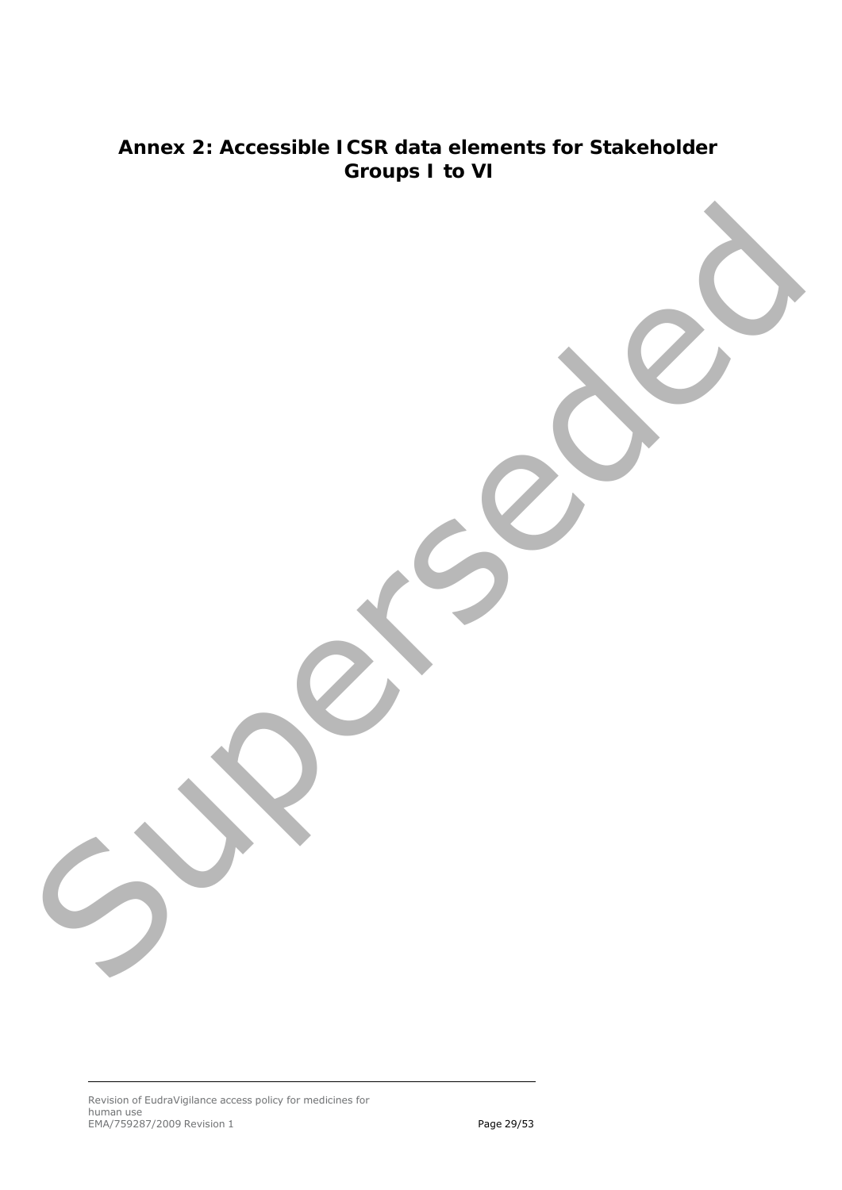# <span id="page-28-0"></span>**Annex 2: Accessible ICSR data elements for Stakeholder Groups I to VI** Superseded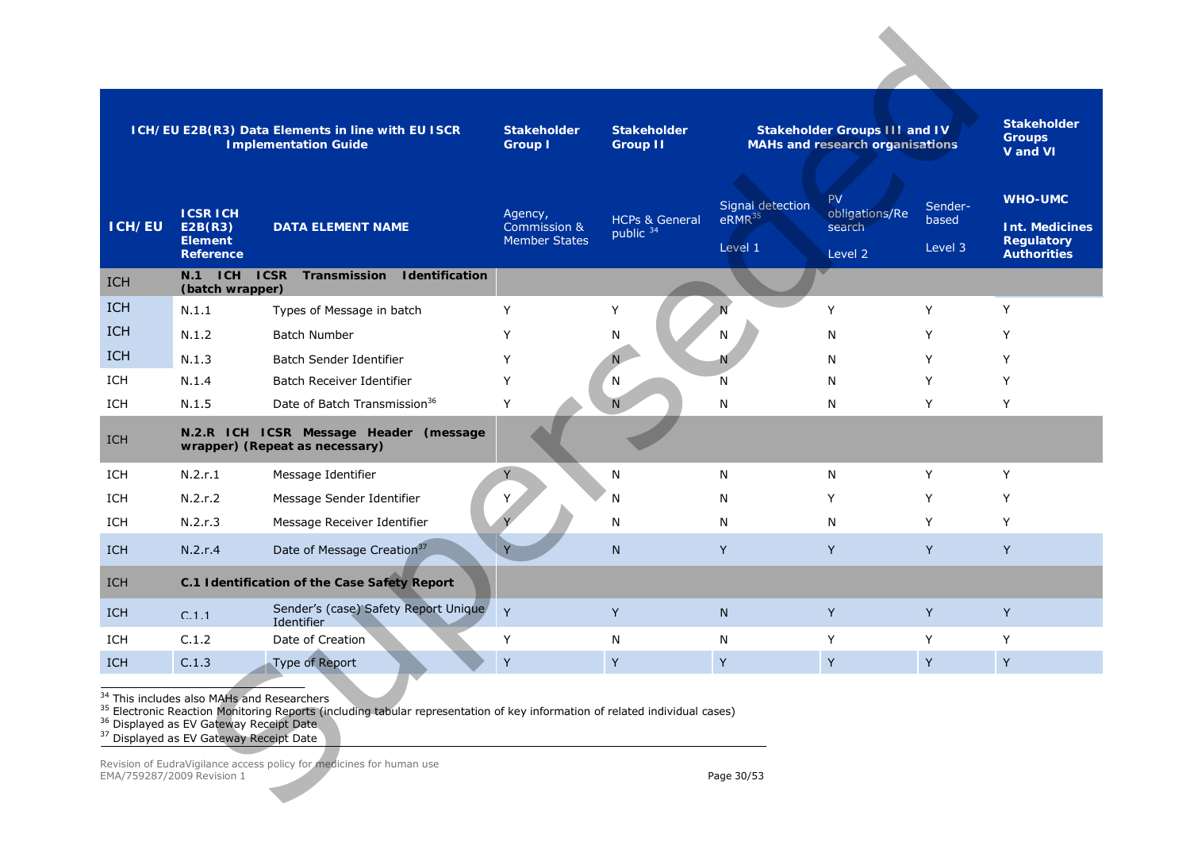<span id="page-29-0"></span>

|            |                                                                                                                                                                   | ICH/EU E2B(R3) Data Elements in line with EU ISCR<br><b>Implementation Guide</b>                                                       | <b>Stakeholder</b><br><b>Group I</b>            | <b>Stakeholder</b><br><b>Group II</b>  |                                                   | <b>Stakeholder Groups III and IV</b><br>MAHs and research organisations |                             | <b>Stakeholder</b><br><b>Groups</b><br>V and VI                                    |
|------------|-------------------------------------------------------------------------------------------------------------------------------------------------------------------|----------------------------------------------------------------------------------------------------------------------------------------|-------------------------------------------------|----------------------------------------|---------------------------------------------------|-------------------------------------------------------------------------|-----------------------------|------------------------------------------------------------------------------------|
| ICH/EU     | <b>ICSR ICH</b><br>E2B(R3)<br><b>Element</b><br><b>Reference</b>                                                                                                  | <b>DATA ELEMENT NAME</b>                                                                                                               | Agency,<br>Commission &<br><b>Member States</b> | <b>HCPs &amp; General</b><br>public 34 | Signal detection<br>eRMR <sup>35</sup><br>Level 1 | PV<br>obligations/Re<br>search<br>Level 2                               | Sender-<br>based<br>Level 3 | <b>WHO-UMC</b><br><b>Int. Medicines</b><br><b>Regulatory</b><br><b>Authorities</b> |
| <b>ICH</b> | N.1 ICH ICSR<br>(batch wrapper)                                                                                                                                   | Transmission<br><b>I</b> dentification                                                                                                 |                                                 |                                        |                                                   |                                                                         |                             |                                                                                    |
| <b>ICH</b> | N.1.1                                                                                                                                                             | Types of Message in batch                                                                                                              | Y                                               | Y                                      |                                                   | Y                                                                       | Y                           | Y                                                                                  |
| <b>ICH</b> | N.1.2                                                                                                                                                             | <b>Batch Number</b>                                                                                                                    | Y                                               | N                                      | N                                                 | N                                                                       | Y                           | Y                                                                                  |
| <b>ICH</b> | N.1.3                                                                                                                                                             | Batch Sender Identifier                                                                                                                | Y                                               | N.                                     |                                                   | N                                                                       | Y                           | Y                                                                                  |
| ICH        | N.1.4                                                                                                                                                             | Batch Receiver Identifier                                                                                                              | Y                                               | N                                      | N                                                 | N                                                                       | Y                           | Υ                                                                                  |
| ICH        | N.1.5                                                                                                                                                             | Date of Batch Transmission <sup>36</sup>                                                                                               | Y                                               | N                                      | N                                                 | N                                                                       | Y                           | Y                                                                                  |
| <b>ICH</b> |                                                                                                                                                                   | N.2.R ICH ICSR Message Header (message<br>wrapper) (Repeat as necessary)                                                               |                                                 |                                        |                                                   |                                                                         |                             |                                                                                    |
| ICH        | N.2.r.1                                                                                                                                                           | Message Identifier                                                                                                                     | Y                                               | ${\sf N}$                              | N                                                 | N                                                                       | Y                           | Y                                                                                  |
| <b>ICH</b> | N.2.r.2                                                                                                                                                           | Message Sender Identifier                                                                                                              | Y                                               | N                                      | N                                                 | Y                                                                       | Y                           | Y                                                                                  |
| ICH        | N.2.r.3                                                                                                                                                           | Message Receiver Identifier                                                                                                            |                                                 | N                                      | N                                                 | N                                                                       | Y                           | Y                                                                                  |
| <b>ICH</b> | N.2.r.4                                                                                                                                                           | Date of Message Creation <sup>37</sup>                                                                                                 |                                                 | $\mathsf{N}$                           | Y                                                 | Y                                                                       | Y                           | Y                                                                                  |
| <b>ICH</b> |                                                                                                                                                                   | C.1 Identification of the Case Safety Report                                                                                           |                                                 |                                        |                                                   |                                                                         |                             |                                                                                    |
| <b>ICH</b> | C.1.1                                                                                                                                                             | Sender's (case) Safety Report Unique<br>Identifier                                                                                     | Y                                               | Y                                      | $\mathsf{N}$                                      | Y                                                                       | Y                           | Y                                                                                  |
| ICH        | C.1.2                                                                                                                                                             | Date of Creation                                                                                                                       | Y                                               | N                                      | N                                                 | Υ                                                                       | Y                           | Y                                                                                  |
| ICH        | C.1.3                                                                                                                                                             | Type of Report                                                                                                                         | Υ                                               | Y                                      | Υ                                                 | Υ                                                                       | $\sf Y$                     | Y                                                                                  |
|            | <sup>34</sup> This includes also MAHs and Researchers<br><sup>36</sup> Displayed as EV Gateway Receipt Date<br><sup>37</sup> Displayed as EV Gateway Receipt Date | <sup>35</sup> Electronic Reaction Monitoring Reports (including tabular representation of key information of related individual cases) |                                                 |                                        |                                                   |                                                                         |                             |                                                                                    |
|            | EMA/759287/2009 Revision 1                                                                                                                                        | Revision of EudraVigilance access policy for medicines for human use                                                                   |                                                 |                                        | Page 30/53                                        |                                                                         |                             |                                                                                    |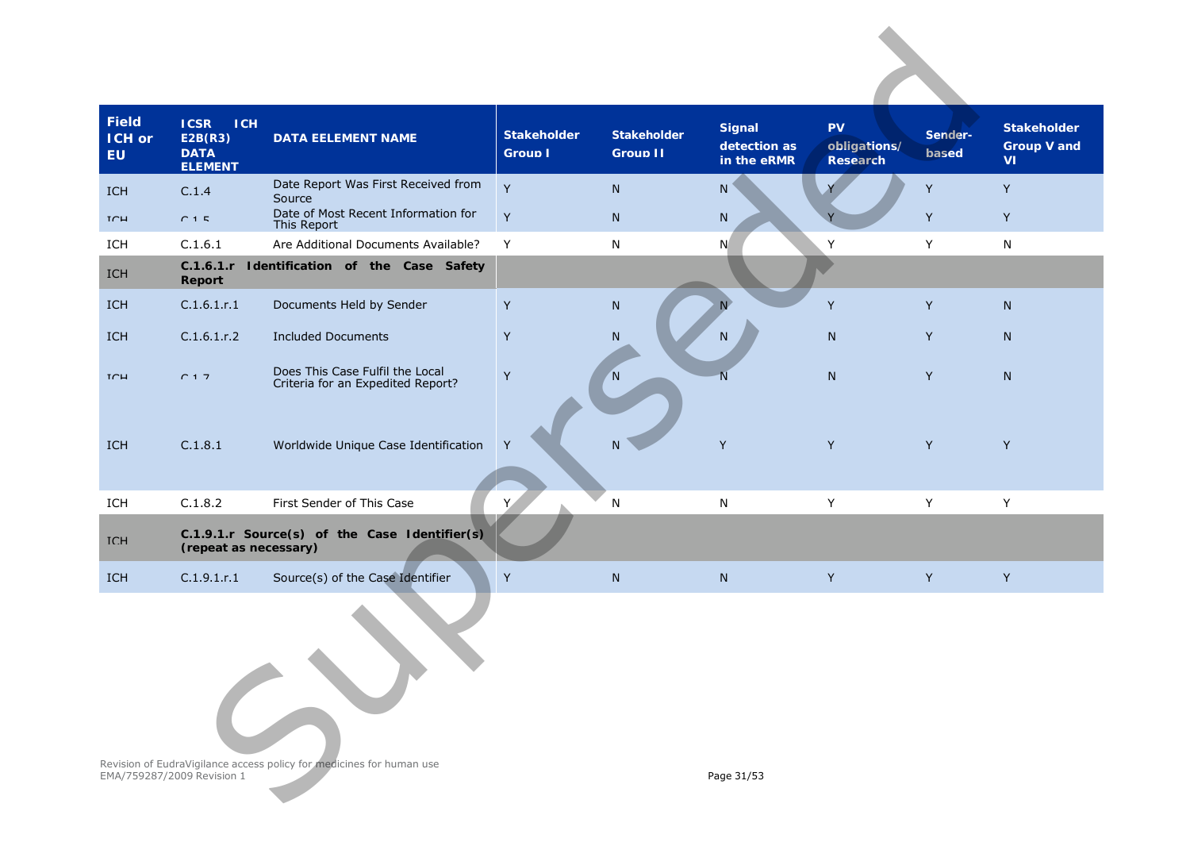| <b>Field</b><br><b>ICH or</b><br>EU. | <b>ICSR</b><br><b>ICH</b><br>E2B(R3)<br><b>DATA</b><br><b>ELEMENT</b> | <b>DATA EELEMENT NAME</b>                                            | <b>Stakeholder</b><br><b>Group L</b> | <b>Stakeholder</b><br>Group II | <b>Signal</b><br>detection as<br>in the eRMR | <b>PV</b><br>obligations/<br>Research | Sender-<br><b>based</b> | <b>Stakeholder</b><br><b>Group V and</b><br><b>VI</b> |
|--------------------------------------|-----------------------------------------------------------------------|----------------------------------------------------------------------|--------------------------------------|--------------------------------|----------------------------------------------|---------------------------------------|-------------------------|-------------------------------------------------------|
| <b>TCH</b>                           | C <sub>14</sub>                                                       | Date Report Was First Received from<br>Source                        | Y                                    | ${\sf N}$                      | N                                            |                                       | Y                       | Y                                                     |
| TCH                                  | $C$ 1 $E$                                                             | Date of Most Recent Information for<br>This Report                   | $\mathsf Y$                          | N                              | N                                            |                                       | Y                       | Y                                                     |
| ICH                                  | C.1.6.1                                                               | Are Additional Documents Available?                                  | Y                                    | N                              | N                                            | Y                                     | Y                       | $\mathsf{N}$                                          |
| ICH                                  | Report                                                                | C.1.6.1.r Identification of the Case Safety                          |                                      |                                |                                              |                                       |                         |                                                       |
| ICH                                  | C.1.6.1.r.1                                                           | Documents Held by Sender                                             | $\mathsf Y$                          | ${\sf N}$                      | N <sub>1</sub>                               | Y                                     | Y                       | ${\sf N}$                                             |
| ICH                                  | C.1.6.1.r.2                                                           | <b>Included Documents</b>                                            | Y                                    | ${\sf N}$                      | N.                                           | N                                     | Y                       | N                                                     |
| TCH                                  | C17                                                                   | Does This Case Fulfil the Local<br>Criteria for an Expedited Report? | $\mathsf Y$                          | 'N                             | N                                            | ${\sf N}$                             | Y                       | ${\sf N}$                                             |
| <b>ICH</b>                           | C.1.8.1                                                               | Worldwide Unique Case Identification                                 | Y                                    | N                              | Y                                            | Y                                     | Y                       | Y                                                     |
| ICH                                  | C.1.8.2                                                               | First Sender of This Case                                            | Y.                                   | ${\sf N}$                      | ${\sf N}$                                    | Y                                     | Y                       | Y                                                     |
| <b>TCH</b>                           | (repeat as necessary)                                                 | C.1.9.1.r Source(s) of the Case Identifier(s)                        |                                      |                                |                                              |                                       |                         |                                                       |
| ICH                                  | C.1.9.1.r.1                                                           | Source(s) of the Case Identifier                                     | Y                                    | ${\sf N}$                      | ${\sf N}$                                    | Y                                     | Y                       | Y                                                     |
|                                      |                                                                       |                                                                      |                                      |                                |                                              |                                       |                         |                                                       |
|                                      | EMA/759287/2009 Revision 1                                            | Revision of EudraVigilance access policy for medicines for human use |                                      |                                | Page 31/53                                   |                                       |                         |                                                       |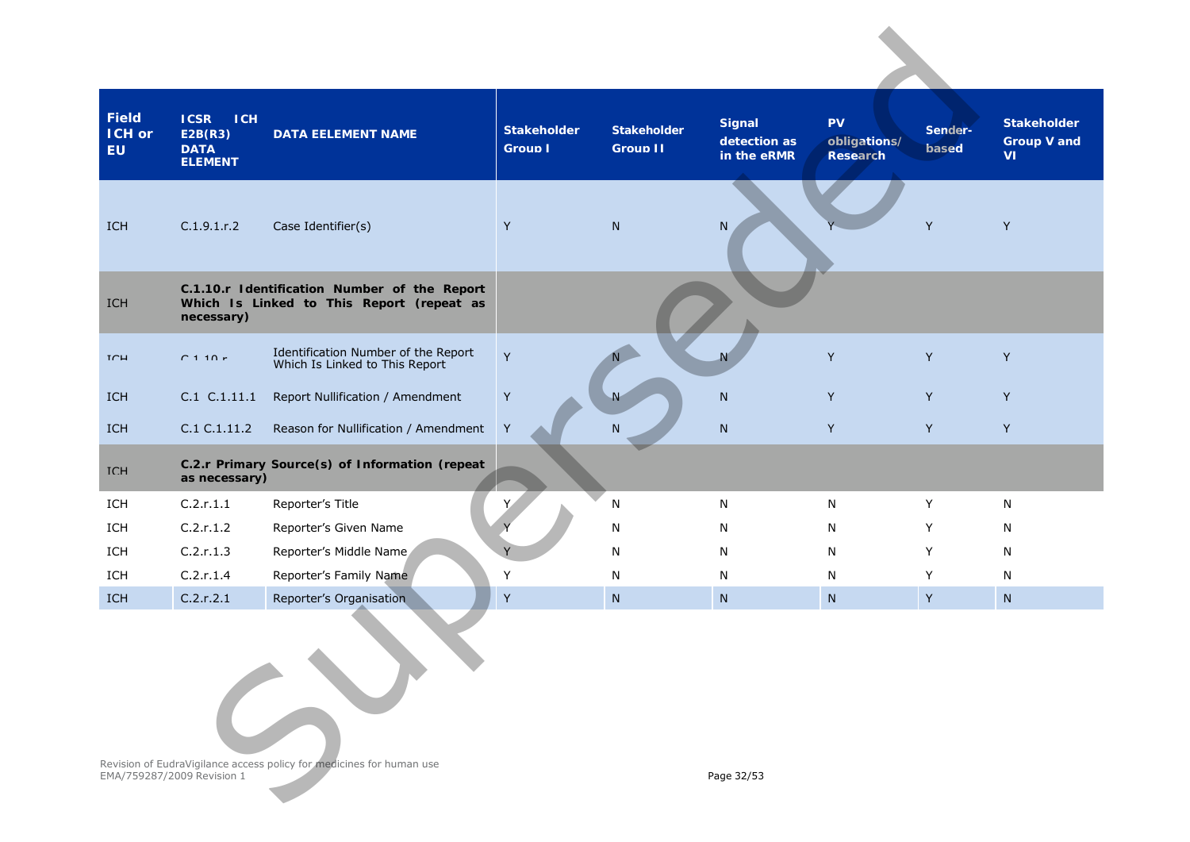| <b>Field</b><br><b>ICH or</b><br>EU. | <b>ICSR</b><br><b>ICH</b><br>E2B(R3)<br><b>DATA</b><br><b>ELEMENT</b> | <b>DATA EELEMENT NAME</b>                                                                 | <b>Stakeholder</b><br><b>Group I</b> | <b>Stakeholder</b><br><b>Group II</b> | <b>Signal</b><br>detection as<br>in the eRMR | <b>PV</b><br>obligations/<br>Research | Sender-<br><b>hased</b> | <b>Stakeholder</b><br><b>Group V and</b><br><b>VI</b> |
|--------------------------------------|-----------------------------------------------------------------------|-------------------------------------------------------------------------------------------|--------------------------------------|---------------------------------------|----------------------------------------------|---------------------------------------|-------------------------|-------------------------------------------------------|
| ICH                                  | C.1.9.1.r.2                                                           | Case Identifier(s)                                                                        | Y                                    | N                                     | N                                            |                                       | Y                       | Y                                                     |
| ICH                                  | necessary)                                                            | C.1.10.r Identification Number of the Report<br>Which Is Linked to This Report (repeat as |                                      |                                       |                                              |                                       |                         |                                                       |
| $T \cap H$                           | $C$ 1 1 $0r$                                                          | Identification Number of the Report<br>Which Is Linked to This Report                     | Y                                    |                                       |                                              | Y                                     | Y                       | Y                                                     |
| <b>ICH</b>                           | C.1 C.1.11.1                                                          | Report Nullification / Amendment                                                          | $\sf Y$                              | Ν                                     | N                                            | Y                                     | Y                       | Y                                                     |
| <b>ICH</b>                           | C.1 C.1.11.2                                                          | Reason for Nullification / Amendment                                                      | $\sf Y$                              | N                                     | N                                            | Y                                     | Y                       | Y                                                     |
| <b>TCH</b>                           | as necessary)                                                         | C.2.r Primary Source(s) of Information (repeat                                            |                                      |                                       |                                              |                                       |                         |                                                       |
| ICH                                  | C.2.r.1.1                                                             | Reporter's Title                                                                          |                                      | ${\sf N}$                             | N                                            | N                                     | Y                       | N                                                     |
| ICH                                  | C.2.r.1.2                                                             | Reporter's Given Name                                                                     |                                      | N                                     | N                                            | N                                     | Y                       | N                                                     |
| ICH                                  | C.2.r.1.3                                                             | Reporter's Middle Name                                                                    |                                      | N                                     | N                                            | N                                     | Y                       | N                                                     |
| ICH                                  | C.2.r.1.4                                                             | Reporter's Family Name                                                                    | Y                                    | N                                     | N                                            | N                                     | Y                       | N                                                     |
| ICH                                  | C.2.r.2.1                                                             | Reporter's Organisation                                                                   | $\sf Y$                              | N                                     | N                                            | N                                     | Y                       | N                                                     |
|                                      |                                                                       | Revision of EudraVigilance access policy for medicines for human use                      |                                      |                                       |                                              |                                       |                         |                                                       |
|                                      | EMA/759287/2009 Revision 1                                            |                                                                                           |                                      |                                       | Page 32/53                                   |                                       |                         |                                                       |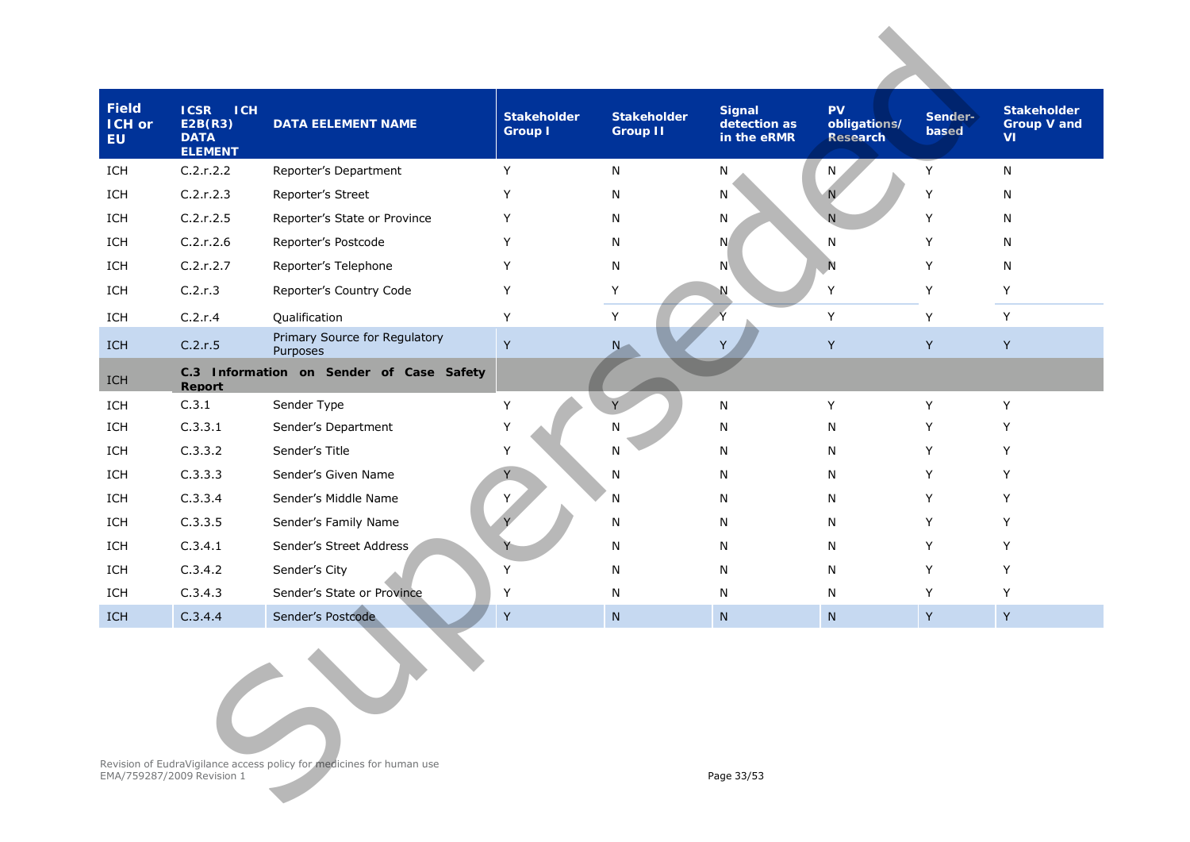| Field<br><b>ICH or</b><br><b>EU</b>                                                                              | <b>ICSR</b><br><b>ICH</b><br>E2B(R3)<br><b>DATA</b><br><b>ELEMENT</b> | <b>DATA EELEMENT NAME</b>                 | <b>Stakeholder</b><br><b>Group I</b> | <b>Stakeholder</b><br><b>Group II</b> | <b>Signal</b><br>detection as<br>in the eRMR | PV<br>obligations/<br><b>Research</b> | Sender-<br>based | <b>Stakeholder</b><br>Group V and<br><b>VI</b> |
|------------------------------------------------------------------------------------------------------------------|-----------------------------------------------------------------------|-------------------------------------------|--------------------------------------|---------------------------------------|----------------------------------------------|---------------------------------------|------------------|------------------------------------------------|
| ICH                                                                                                              | C.2.r.2.2                                                             | Reporter's Department                     | Y                                    | N                                     | N                                            | N                                     | Υ                | N                                              |
| ICH                                                                                                              | C.2.r.2.3                                                             | Reporter's Street                         | Y                                    | N                                     | N                                            |                                       | Υ                | N                                              |
| ICH                                                                                                              | C.2.r.2.5                                                             | Reporter's State or Province              | Y                                    | N                                     | N                                            | $\mathsf{N}$                          | Y                | N                                              |
| ICH                                                                                                              | C.2.r.2.6                                                             | Reporter's Postcode                       | Y                                    | N                                     | N                                            | N                                     | Y                | N                                              |
| ICH                                                                                                              | C.2.r.2.7                                                             | Reporter's Telephone                      | Y                                    | N                                     | N                                            | N                                     | Υ                | N                                              |
| ICH                                                                                                              | C.2.r.3                                                               | Reporter's Country Code                   | Y                                    | Y                                     | Ν                                            | Y                                     | Y                | Y                                              |
| ICH                                                                                                              | C.2.r.4                                                               | Qualification                             | Y                                    | Y                                     | Ý                                            | Y                                     | Y                | Y                                              |
| ICH                                                                                                              | C.2.r.5                                                               | Primary Source for Regulatory<br>Purposes | Y                                    | N                                     | Y                                            | Y                                     | Y                | Y                                              |
| ICH                                                                                                              | Report                                                                | C.3 Information on Sender of Case Safety  |                                      |                                       |                                              |                                       |                  |                                                |
| ICH                                                                                                              | C.3.1                                                                 | Sender Type                               | Υ                                    | Y                                     | N                                            | Υ                                     | Y                | Y                                              |
| ICH                                                                                                              | C.3.3.1                                                               | Sender's Department                       | Y                                    | N                                     | N                                            | N                                     | Y                | Υ                                              |
| ICH                                                                                                              | C.3.3.2                                                               | Sender's Title                            | Y                                    | N                                     | N                                            | N                                     | Y                | Y                                              |
| ICH                                                                                                              | C.3.3.3                                                               | Sender's Given Name                       |                                      | N                                     | N                                            | N                                     | Y                | Y                                              |
| ICH                                                                                                              | C.3.3.4                                                               | Sender's Middle Name                      | Y                                    | N                                     | N                                            | N                                     | Y                | Y                                              |
| ICH                                                                                                              | C.3.3.5                                                               | Sender's Family Name                      |                                      | N                                     | N                                            | N                                     | Y                | Y                                              |
| ICH                                                                                                              | C.3.4.1                                                               | Sender's Street Address                   |                                      | N                                     | N                                            | N                                     | Y                | Y                                              |
| ICH                                                                                                              | C.3.4.2                                                               | Sender's City                             | Y                                    | N                                     | N                                            | N                                     | Υ                | Y                                              |
| ICH                                                                                                              | C.3.4.3                                                               | Sender's State or Province                | Y                                    | N                                     | N                                            | N                                     | Y                | Υ                                              |
| <b>ICH</b>                                                                                                       | C.3.4.4                                                               | Sender's Postcode                         | Y                                    | N                                     | N                                            | N                                     | $\sf Y$          | $\sf Y$                                        |
| Revision of EudraVigilance access policy for medicines for human use<br>EMA/759287/2009 Revision 1<br>Page 33/53 |                                                                       |                                           |                                      |                                       |                                              |                                       |                  |                                                |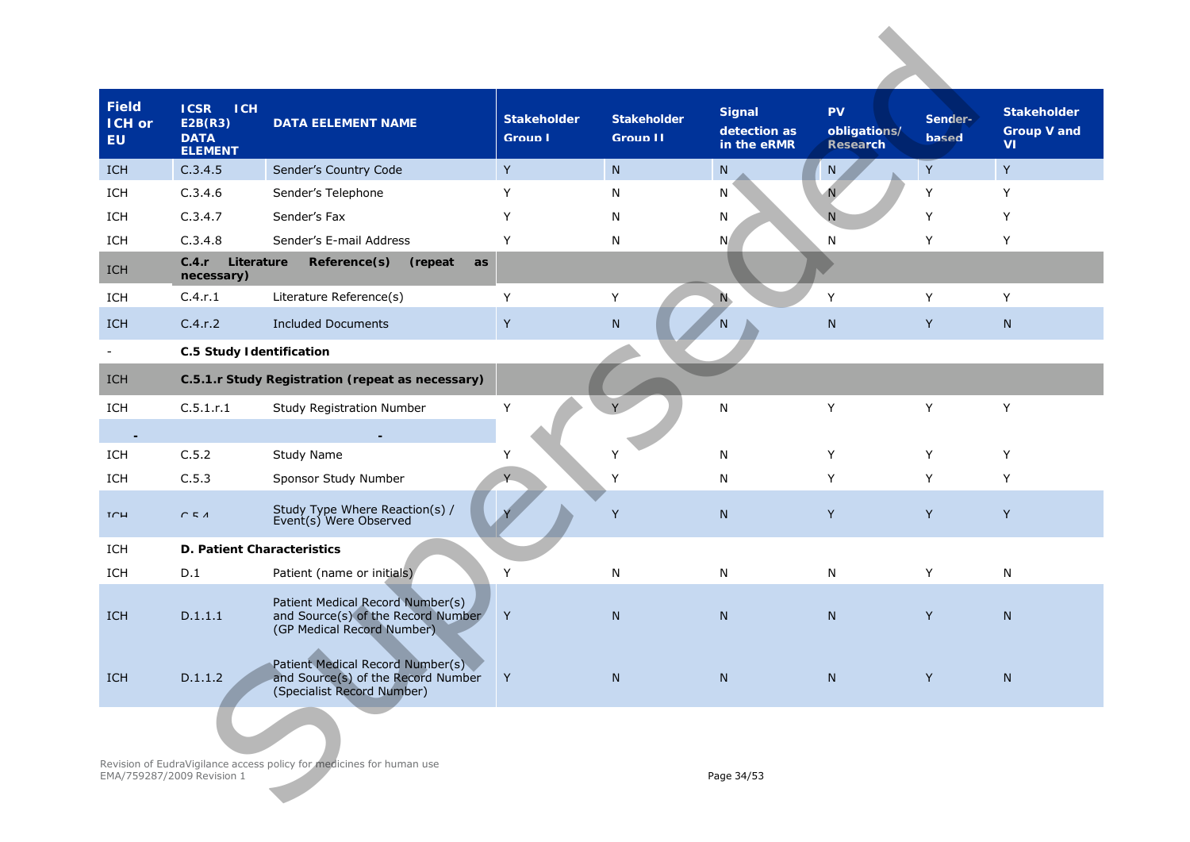| <b>Field</b><br><b>ICH or</b><br><b>EU</b> | <b>ICSR</b><br><b>ICH</b><br>E2B(R3)<br><b>DATA</b><br><b>ELEMENT</b> | <b>DATA EELEMENT NAME</b>                                                                            | <b>Stakeholder</b><br><b>Group I</b> | <b>Stakeholder</b><br><b>Group II</b> | <b>Signal</b><br>detection as<br>in the eRMR | <b>PV</b><br>obligations/<br><b>Research</b> | Sender-<br><b>based</b> | <b>Stakeholder</b><br><b>Group V and</b><br>VI |
|--------------------------------------------|-----------------------------------------------------------------------|------------------------------------------------------------------------------------------------------|--------------------------------------|---------------------------------------|----------------------------------------------|----------------------------------------------|-------------------------|------------------------------------------------|
| ICH                                        | C.3.4.5                                                               | Sender's Country Code                                                                                | Y                                    | ${\sf N}$                             | N                                            | N                                            | $\mathsf Y$             | $\mathsf Y$                                    |
| ICH                                        | C.3.4.6                                                               | Sender's Telephone                                                                                   | Y                                    | N                                     | N                                            |                                              | Y                       | Y                                              |
| ICH                                        | C.3.4.7                                                               | Sender's Fax                                                                                         | Y                                    | N                                     | N                                            | N                                            | Y                       | Y                                              |
| ICH                                        | C.3.4.8                                                               | Sender's E-mail Address                                                                              | Y                                    | N                                     | N                                            | $\mathsf{N}$                                 | Y                       | Y                                              |
| ICH                                        | Literature<br>C.4.r<br>necessary)                                     | Reference(s)<br>(repeat<br>as                                                                        |                                      |                                       |                                              |                                              |                         |                                                |
| ICH                                        | C.4.r.1                                                               | Literature Reference(s)                                                                              | Y                                    | Y                                     | N.                                           | Y                                            | Y                       | Y                                              |
| ICH                                        | C.4.r.2                                                               | <b>Included Documents</b>                                                                            | Y                                    | N                                     | N                                            | N                                            | Y                       | N                                              |
|                                            | <b>C.5 Study Identification</b>                                       |                                                                                                      |                                      |                                       |                                              |                                              |                         |                                                |
| <b>ICH</b>                                 |                                                                       | C.5.1.r Study Registration (repeat as necessary)                                                     |                                      |                                       |                                              |                                              |                         |                                                |
| ICH                                        | C.5.1.r.1                                                             | <b>Study Registration Number</b>                                                                     | Υ                                    |                                       | ${\sf N}$                                    | Y                                            | Y                       | Y                                              |
|                                            |                                                                       |                                                                                                      |                                      |                                       |                                              |                                              |                         |                                                |
| ICH                                        | C.5.2                                                                 | Study Name                                                                                           | Υ                                    | Υ                                     | N                                            | Y                                            | Y                       | Y                                              |
| ICH                                        | C.5.3                                                                 | Sponsor Study Number                                                                                 |                                      | Y                                     | N                                            | Y                                            | Y                       | Y                                              |
| TCH                                        | C51                                                                   | Study Type Where Reaction(s) /<br>Event(s) Were Observed                                             |                                      | Y                                     | ${\sf N}$                                    | Y                                            | Y                       | Y                                              |
| ICH                                        | D. Patient Characteristics                                            |                                                                                                      |                                      |                                       |                                              |                                              |                         |                                                |
| ICH                                        | D.1                                                                   | Patient (name or initials)                                                                           | Y                                    | N                                     | N                                            | N                                            | Y                       | N                                              |
| <b>ICH</b>                                 | D.1.1.1                                                               | Patient Medical Record Number(s)<br>and Source(s) of the Record Number<br>(GP Medical Record Number) | Y                                    | N                                     | N                                            | $\mathsf{N}$                                 | Y                       | N                                              |
| ICH                                        | D.1.1.2                                                               | Patient Medical Record Number(s)<br>and Source(s) of the Record Number<br>(Specialist Record Number) | Y                                    | ${\sf N}$                             | ${\sf N}$                                    | $\mathsf{N}$                                 | Y                       | N                                              |
|                                            | EMA/759287/2009 Revision 1                                            | Revision of EudraVigilance access policy for medicines for human use                                 |                                      |                                       | Page 34/53                                   |                                              |                         |                                                |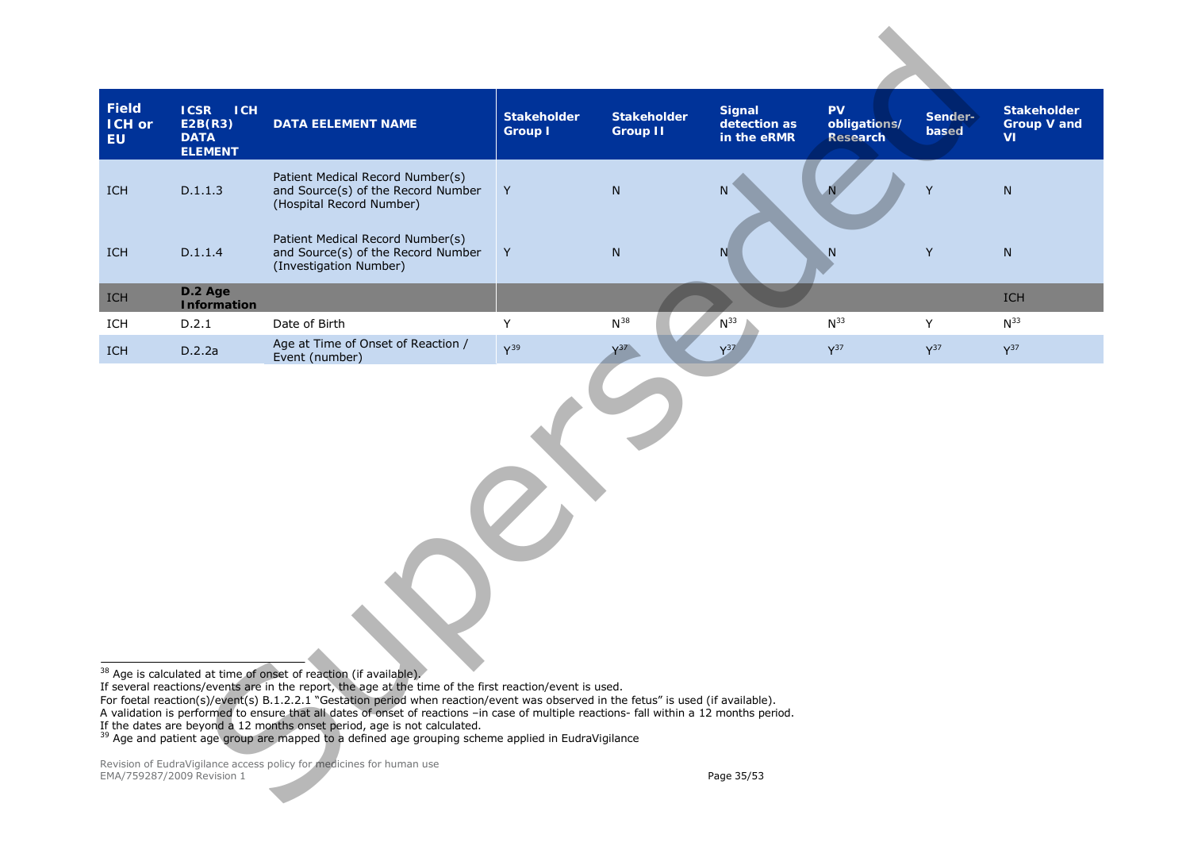<span id="page-34-1"></span><span id="page-34-0"></span>

| <b>Field</b><br><b>ICH or</b><br><b>EU</b>                                                                                                                                                                                                                                                                                                                                                                                                                                                                                                                                                                                                                                                                                                                                      | <b>ICSR</b><br><b>ICH</b><br>E2B(R3)<br><b>DATA</b><br><b>ELEMENT</b> | <b>DATA EELEMENT NAME</b>                                                                          | <b>Stakeholder</b><br><b>Group I</b> | <b>Stakeholder</b><br><b>Group II</b> | <b>Signal</b><br>detection as<br>in the eRMR | <b>PV</b><br>obligations/<br>Research | Sender-<br>based | <b>Stakeholder</b><br><b>Group V and</b><br><b>VI</b> |
|---------------------------------------------------------------------------------------------------------------------------------------------------------------------------------------------------------------------------------------------------------------------------------------------------------------------------------------------------------------------------------------------------------------------------------------------------------------------------------------------------------------------------------------------------------------------------------------------------------------------------------------------------------------------------------------------------------------------------------------------------------------------------------|-----------------------------------------------------------------------|----------------------------------------------------------------------------------------------------|--------------------------------------|---------------------------------------|----------------------------------------------|---------------------------------------|------------------|-------------------------------------------------------|
| ICH                                                                                                                                                                                                                                                                                                                                                                                                                                                                                                                                                                                                                                                                                                                                                                             | D.1.1.3                                                               | Patient Medical Record Number(s)<br>and Source(s) of the Record Number<br>(Hospital Record Number) | Y                                    | ${\sf N}$                             | N                                            |                                       | Y                | $\mathsf{N}$                                          |
| <b>ICH</b>                                                                                                                                                                                                                                                                                                                                                                                                                                                                                                                                                                                                                                                                                                                                                                      | D.1.1.4                                                               | Patient Medical Record Number(s)<br>and Source(s) of the Record Number<br>(Investigation Number)   | Y                                    | ${\sf N}$                             | N                                            | N.                                    | Y                | ${\sf N}$                                             |
| ICH                                                                                                                                                                                                                                                                                                                                                                                                                                                                                                                                                                                                                                                                                                                                                                             | D.2 Age<br><b>Information</b>                                         |                                                                                                    |                                      |                                       |                                              |                                       |                  | <b>ICH</b>                                            |
| ICH                                                                                                                                                                                                                                                                                                                                                                                                                                                                                                                                                                                                                                                                                                                                                                             | D.2.1                                                                 | Date of Birth                                                                                      | Y                                    | $N^{38}$                              | $N^{33}$                                     | $N^{33}$                              | Y                | $N^{33}$                                              |
| <b>ICH</b>                                                                                                                                                                                                                                                                                                                                                                                                                                                                                                                                                                                                                                                                                                                                                                      | D.2.2a                                                                | Age at Time of Onset of Reaction /<br>Event (number)                                               | $Y^{39}$                             | $\sqrt{37}$                           | $Y^{37}$                                     | $Y^{37}$                              | $Y^{37}$         | $Y^{37}$                                              |
| 38 Age is calculated at time of onset of reaction (if available).<br>If several reactions/events are in the report, the age at the time of the first reaction/event is used.<br>For foetal reaction(s)/event(s) B.1.2.2.1 "Gestation period when reaction/event was observed in the fetus" is used (if available).<br>A validation is performed to ensure that all dates of onset of reactions -in case of multiple reactions- fall within a 12 months period.<br>If the dates are beyond a 12 months onset period, age is not calculated.<br><sup>39</sup> Age and patient age group are mapped to a defined age grouping scheme applied in EudraVigilance<br>Revision of EudraVigilance access policy for medicines for human use<br>EMA/759287/2009 Revision 1<br>Page 35/53 |                                                                       |                                                                                                    |                                      |                                       |                                              |                                       |                  |                                                       |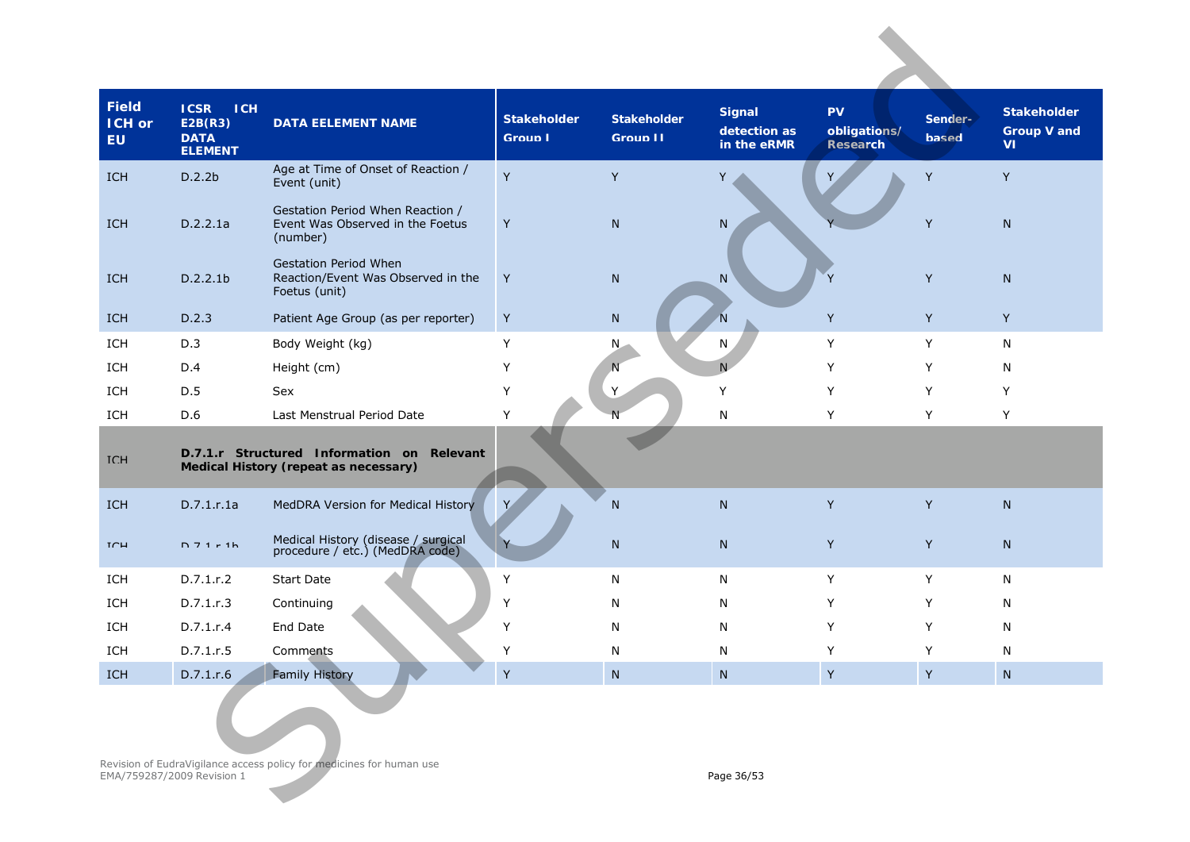| <b>Field</b><br><b>ICH or</b><br><b>EU</b> | <b>ICSR</b><br><b>ICH</b><br>E2B(R3)<br><b>DATA</b><br><b>ELEMENT</b> | <b>DATA EELEMENT NAME</b>                                                           | <b>Stakeholder</b><br><b>Group I</b> | <b>Stakeholder</b><br>Group II | <b>Signal</b><br>detection as<br>in the eRMR | <b>PV</b><br>obligations/<br>Research | Sender-<br><b>based</b> | <b>Stakeholder</b><br><b>Group V and</b><br>VI. |
|--------------------------------------------|-----------------------------------------------------------------------|-------------------------------------------------------------------------------------|--------------------------------------|--------------------------------|----------------------------------------------|---------------------------------------|-------------------------|-------------------------------------------------|
| ICH                                        | D.2.2b                                                                | Age at Time of Onset of Reaction /<br>Event (unit)                                  | Y                                    | Y                              | Y                                            |                                       | Y                       | Y                                               |
| ICH                                        | D.2.2.1a                                                              | Gestation Period When Reaction /<br>Event Was Observed in the Foetus<br>(number)    | Y                                    | N                              | N                                            |                                       | Y                       | N                                               |
| ICH                                        | D.2.2.1b                                                              | <b>Gestation Period When</b><br>Reaction/Event Was Observed in the<br>Foetus (unit) | Y                                    | N                              | N                                            |                                       | Y                       | N                                               |
| <b>ICH</b>                                 | D.2.3                                                                 | Patient Age Group (as per reporter)                                                 | Y                                    | N                              | $\overline{N}$                               | Y                                     | Y                       | Y                                               |
| ICH                                        | D.3                                                                   | Body Weight (kg)                                                                    | Y                                    | N,                             | N                                            | Υ                                     | Y                       | N                                               |
| ICH                                        | D.4                                                                   | Height (cm)                                                                         | Υ                                    | N                              | N                                            | Υ                                     | Y                       | N                                               |
| ICH                                        | D.5                                                                   | Sex                                                                                 | Y                                    | Y                              | Y                                            | Υ                                     | Y                       | Y                                               |
| ICH                                        | D.6                                                                   | Last Menstrual Period Date                                                          | Υ                                    |                                | N                                            | Υ                                     | Y                       | Y                                               |
| <b>TCH</b>                                 |                                                                       | D.7.1.r Structured Information on Relevant<br>Medical History (repeat as necessary) |                                      |                                |                                              |                                       |                         |                                                 |
| ICH                                        | D.7.1.r.1a                                                            | MedDRA Version for Medical History                                                  | Y                                    | N                              | $\mathsf{N}$                                 | Y                                     | Y                       | ${\sf N}$                                       |
| TCH                                        | $D$ 7 1 $r$ 1 h                                                       | Medical History (disease / surgical<br>procedure / etc.) (MedDRA code)              |                                      | ${\sf N}$                      | ${\sf N}$                                    | Y                                     | Y                       | N                                               |
| ICH                                        | D.7.1.r.2                                                             | <b>Start Date</b>                                                                   | Υ                                    | N                              | N                                            | Y                                     | Y                       | N                                               |
| ICH                                        | D.7.1.r.3                                                             | Continuing                                                                          | Υ                                    | N                              | N                                            | Y                                     | Y                       | N                                               |
| ICH                                        | D.7.1.r.4                                                             | End Date                                                                            | Υ                                    | N                              | N                                            | Y                                     | Y                       | N                                               |
| ICH                                        | D.7.1.r.5                                                             | Comments                                                                            | Y                                    | N                              | N                                            | Y                                     | Y                       | N                                               |
| ICH                                        | D.7.1.r.6                                                             | <b>Family History</b>                                                               | Y                                    | ${\sf N}$                      | ${\sf N}$                                    | $\sf Y$                               | Y                       | ${\sf N}$                                       |
|                                            | EMA/759287/2009 Revision 1                                            | Revision of EudraVigilance access policy for medicines for human use                |                                      |                                | Page 36/53                                   |                                       |                         |                                                 |
|                                            |                                                                       |                                                                                     |                                      |                                |                                              |                                       |                         |                                                 |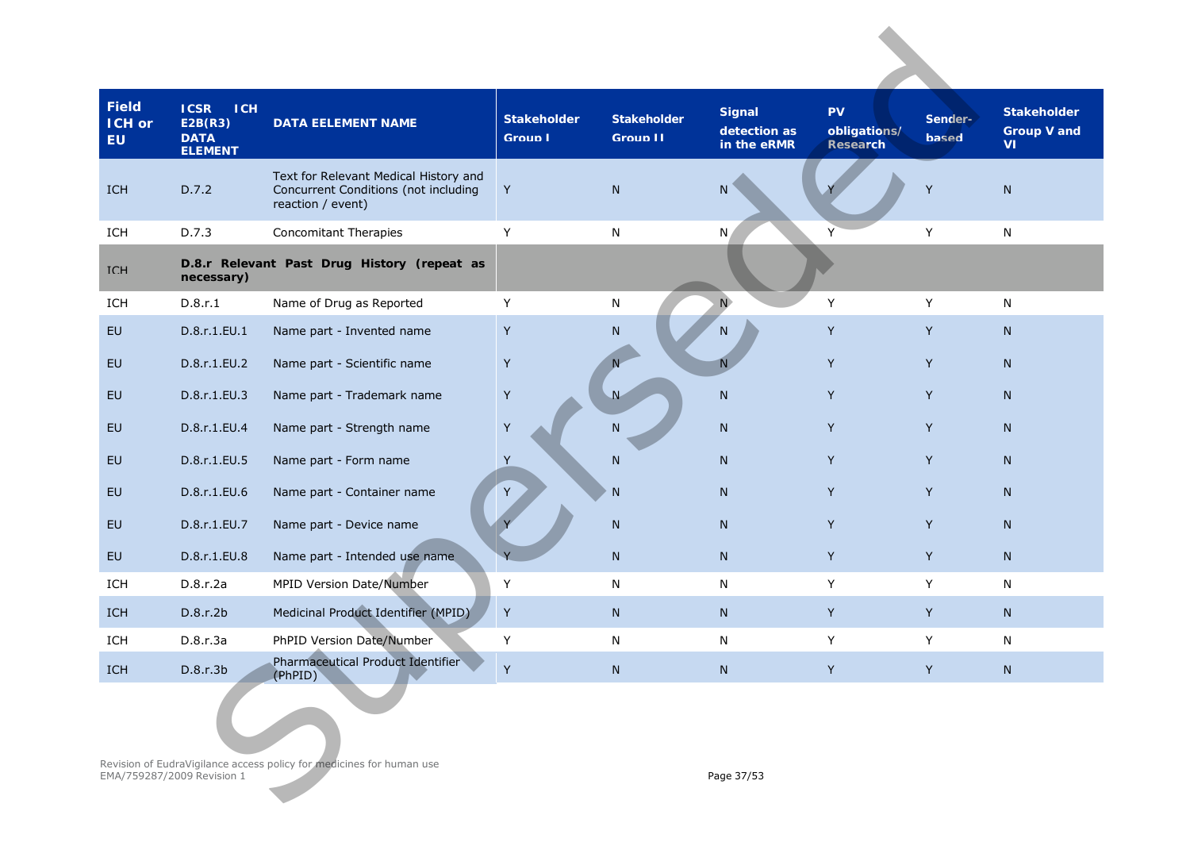| <b>Field</b><br>ICH or<br><b>EU</b> | <b>ICSR</b><br><b>ICH</b><br>E2B(R3)<br><b>DATA</b><br><b>ELEMENT</b>                                            | <b>DATA EELEMENT NAME</b>                                                                          | <b>Stakeholder</b><br><b>Group I</b> | <b>Stakeholder</b><br><b>Group II</b> | <b>Signal</b><br>detection as<br>in the eRMR | PV<br>obligations/<br>Research | Sender-<br><b>based</b> | <b>Stakeholder</b><br><b>Group V and</b><br>۷ı |
|-------------------------------------|------------------------------------------------------------------------------------------------------------------|----------------------------------------------------------------------------------------------------|--------------------------------------|---------------------------------------|----------------------------------------------|--------------------------------|-------------------------|------------------------------------------------|
| ICH                                 | D.7.2                                                                                                            | Text for Relevant Medical History and<br>Concurrent Conditions (not including<br>reaction / event) | Y                                    | ${\sf N}$                             | N                                            |                                | Y                       | ${\sf N}$                                      |
| ICH                                 | D.7.3                                                                                                            | <b>Concomitant Therapies</b>                                                                       | Y                                    | N                                     | N                                            | Y                              | Υ                       | ${\sf N}$                                      |
| <b>TCH</b>                          | necessary)                                                                                                       | D.8.r Relevant Past Drug History (repeat as                                                        |                                      |                                       |                                              |                                |                         |                                                |
| ICH                                 | D.8.r.1                                                                                                          | Name of Drug as Reported                                                                           | Y                                    | N                                     | N                                            | Y                              | Y                       | ${\sf N}$                                      |
| <b>EU</b>                           | D.8.r.1.EU.1                                                                                                     | Name part - Invented name                                                                          | Y                                    | ${\sf N}$                             | N                                            | Y                              | Y                       | N                                              |
| EU                                  | D.8.r.1.EU.2                                                                                                     | Name part - Scientific name                                                                        | Y                                    |                                       | N                                            | Y                              | Y                       | ${\sf N}$                                      |
| EU                                  | D.8.r.1.EU.3                                                                                                     | Name part - Trademark name                                                                         | Y                                    | $\overline{N}$                        | ${\sf N}$                                    | Y                              | Y                       | N                                              |
| EU                                  | D.8.r.1.EU.4                                                                                                     | Name part - Strength name                                                                          | Y                                    | N                                     | ${\sf N}$                                    | Y                              | Y                       | N                                              |
| EU                                  | D.8.r.1.EU.5                                                                                                     | Name part - Form name                                                                              | $\sf Y$                              | N                                     | N                                            | Y                              | Y                       | N                                              |
| EU                                  | D.8.r.1.EU.6                                                                                                     | Name part - Container name                                                                         | Y                                    | N                                     | N                                            | Y                              | Y                       | N                                              |
| EU                                  | D.8.r.1.EU.7                                                                                                     | Name part - Device name                                                                            |                                      | N                                     | ${\sf N}$                                    | Y                              | Y                       | N                                              |
| <b>EU</b>                           | D.8.r.1.EU.8                                                                                                     | Name part - Intended use name                                                                      |                                      | N                                     | ${\sf N}$                                    | Y                              | Y                       | N                                              |
| ICH                                 | D.8.r.2a                                                                                                         | MPID Version Date/Number                                                                           | Υ                                    | N                                     | N                                            | Y                              | Y                       | ${\sf N}$                                      |
| ICH                                 | D.8.r.2b                                                                                                         | Medicinal Product Identifier (MPID)                                                                | $\mathsf Y$                          | ${\sf N}$                             | ${\sf N}$                                    | Y                              | Y                       | N                                              |
| ICH                                 | D.8.r.3a                                                                                                         | PhPID Version Date/Number                                                                          | Υ                                    | N                                     | N                                            | Y                              | Y                       | ${\sf N}$                                      |
| ICH                                 | D.8.r.3b                                                                                                         | Pharmaceutical Product Identifier<br>(PhPID)                                                       | Y                                    | ${\sf N}$                             | ${\sf N}$                                    | Y                              | Y                       | ${\sf N}$                                      |
|                                     | Revision of EudraVigilance access policy for medicines for human use<br>EMA/759287/2009 Revision 1<br>Page 37/53 |                                                                                                    |                                      |                                       |                                              |                                |                         |                                                |
|                                     |                                                                                                                  |                                                                                                    |                                      |                                       |                                              |                                |                         |                                                |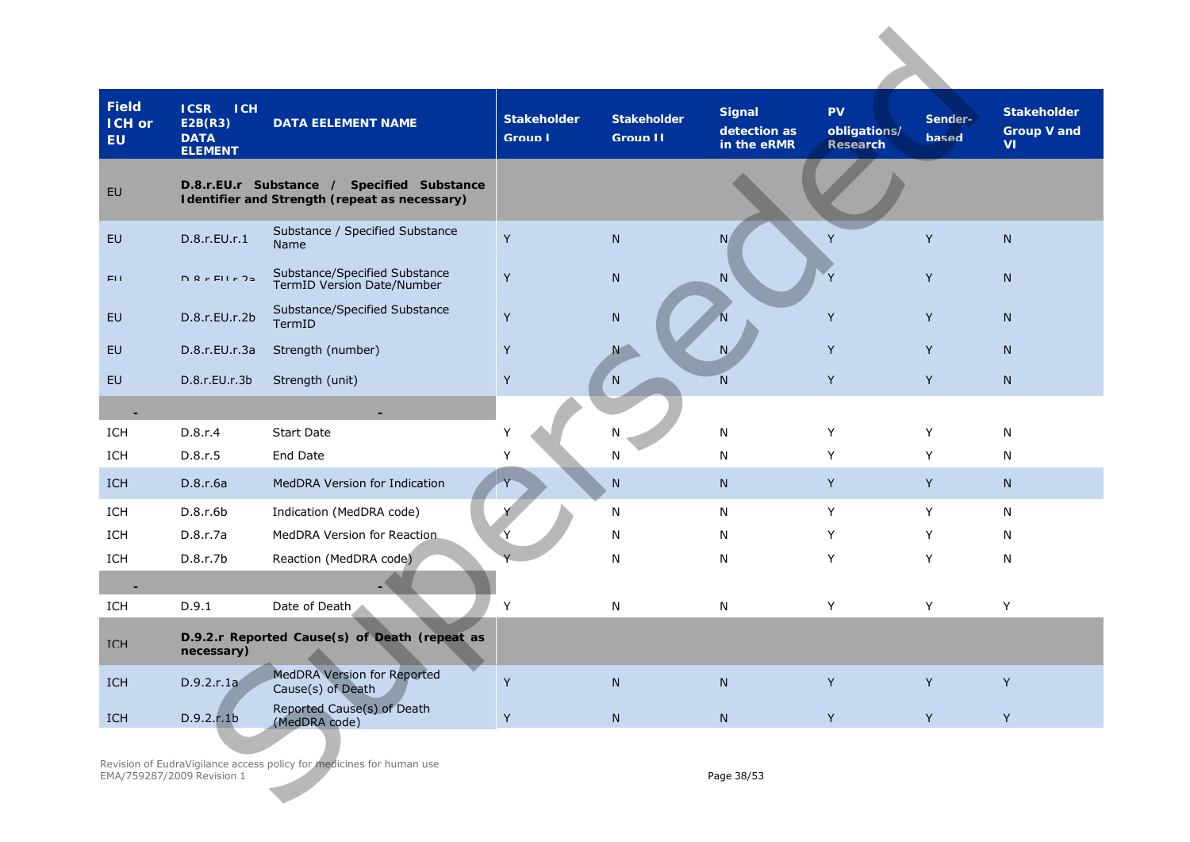| <b>Field</b><br>ICH or<br><b>EU</b> | <b>ICSR</b><br><b>ICH</b><br>E2B(R3)<br><b>DATA</b><br><b>ELEMENT</b> | <b>DATA EELEMENT NAME</b>                                            | <b>Stakeholder</b><br><b>Group I</b> | <b>Stakeholder</b><br><b>Group II</b> | <b>Signal</b><br>detection as<br>in the eRMR | <b>PV</b><br>obligations/<br>Research | Sender-<br><b>based</b> | <b>Stakeholder</b><br><b>Group V and</b><br>VI |
|-------------------------------------|-----------------------------------------------------------------------|----------------------------------------------------------------------|--------------------------------------|---------------------------------------|----------------------------------------------|---------------------------------------|-------------------------|------------------------------------------------|
| <b>FU</b>                           | D.8.r.EU.r Substance /                                                | Specified Substance<br>Identifier and Strength (repeat as necessary) |                                      |                                       |                                              |                                       |                         |                                                |
| EU                                  | D.8.r.EU.r.1                                                          | Substance / Specified Substance<br>Name                              | Y                                    | ${\sf N}$                             | N                                            | Y                                     | Y                       | ${\sf N}$                                      |
| EH.                                 | $D$ $Q$ $r$ $E$ $H$ $r$ $2p$                                          | Substance/Specified Substance<br>TermID Version Date/Number          | Y                                    | N                                     | ${\sf N}$                                    | $\mathsf{V}$                          | Y                       | N                                              |
| EU                                  | D.8.r.EU.r.2b                                                         | Substance/Specified Substance<br>TermID                              | Y                                    | N                                     | 'N                                           | Y                                     | Y                       | N                                              |
| EU                                  | D.8.r.EU.r.3a                                                         | Strength (number)                                                    | Y                                    | N                                     | N                                            | Y                                     | Y                       | N                                              |
| EU                                  | D.8.r.EU.r.3b                                                         | Strength (unit)                                                      | Y                                    | N                                     | N                                            | Y                                     | Y                       | N                                              |
|                                     |                                                                       |                                                                      |                                      |                                       |                                              |                                       |                         |                                                |
| ICH                                 | D.8.r.4                                                               | <b>Start Date</b>                                                    | Y                                    | N                                     | N                                            | Υ                                     | Y                       | N                                              |
| ICH                                 | D.8.r.5                                                               | End Date                                                             | Υ                                    | N                                     | N                                            | Υ                                     | Y                       | N                                              |
| <b>ICH</b>                          | D.8.r.6a                                                              | MedDRA Version for Indication                                        |                                      | ${\sf N}$                             | N                                            | Y                                     | Y                       | N                                              |
| ICH                                 | D.8.r.6b                                                              | Indication (MedDRA code)                                             |                                      | N                                     | N                                            | Υ                                     | Y                       | N                                              |
| ICH                                 | D.8.r.7a                                                              | MedDRA Version for Reaction                                          |                                      | N                                     | N                                            | Y                                     | Y                       | N                                              |
| ICH                                 | D.8.r.7b                                                              | Reaction (MedDRA code)                                               |                                      | N                                     | N                                            | Υ                                     | Y                       | N                                              |
|                                     |                                                                       |                                                                      |                                      |                                       |                                              |                                       |                         |                                                |
| ICH                                 | D.9.1                                                                 | Date of Death                                                        | Y                                    | N                                     | N                                            | Υ                                     | Y                       | Y                                              |
| <b>TCH</b>                          | necessary)                                                            | D.9.2.r Reported Cause(s) of Death (repeat as                        |                                      |                                       |                                              |                                       |                         |                                                |
| ICH                                 | D.9.2.r.1a                                                            | <b>MedDRA Version for Reported</b><br>Cause(s) of Death              | Y                                    | ${\sf N}$                             | ${\sf N}$                                    | Y                                     | Y                       | Y                                              |
| ICH                                 | D.9.2.r.1b                                                            | Reported Cause(s) of Death<br>(MedDRA code)                          | Y                                    | ${\sf N}$                             | ${\sf N}$                                    | Y                                     | Y                       | Y                                              |
|                                     | EMA/759287/2009 Revision 1                                            | Revision of EudraVigilance access policy for medicines for human use |                                      |                                       | Page 38/53                                   |                                       |                         |                                                |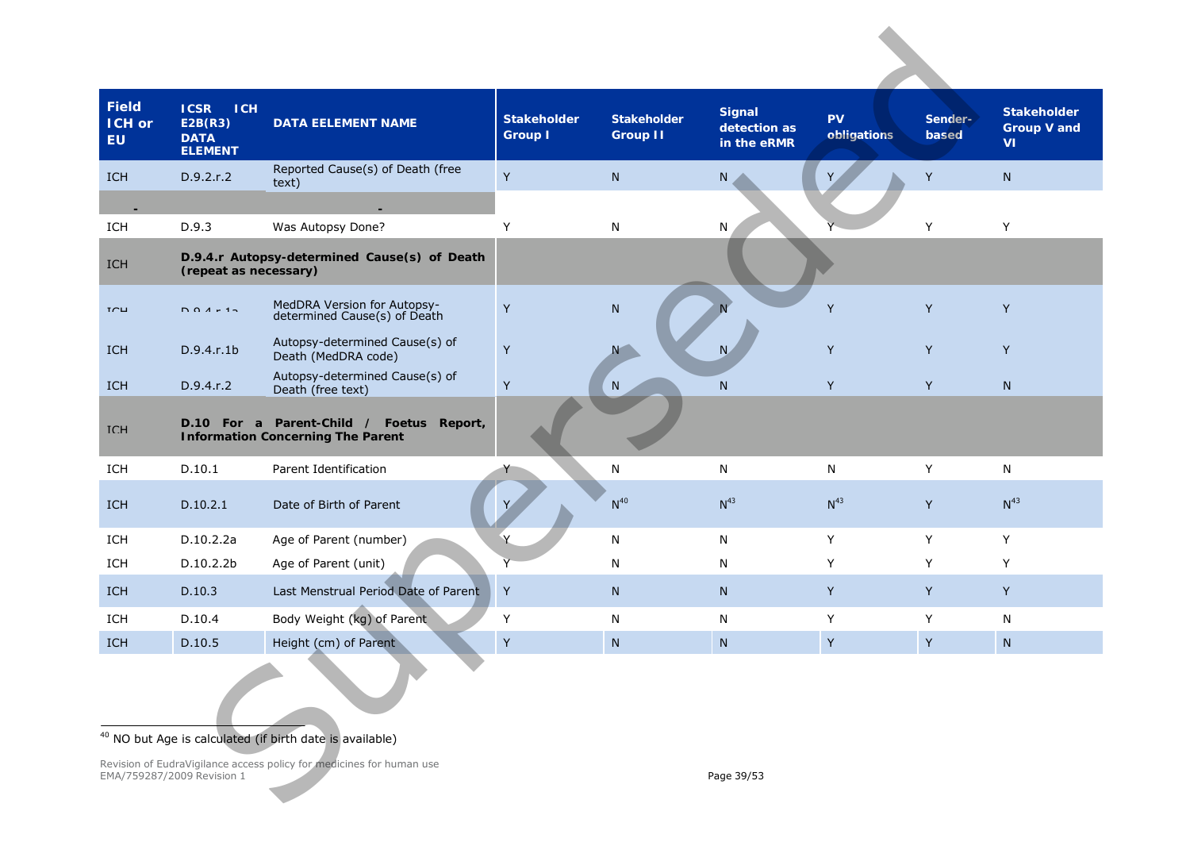<span id="page-38-0"></span>

| <b>Field</b><br>ICH or<br><b>EU</b> | <b>ICSR</b><br><b>ICH</b><br>E2B(R3)<br><b>DATA</b><br><b>ELEMENT</b> | <b>DATA EELEMENT NAME</b>                                                            | <b>Stakeholder</b><br><b>Group I</b> | <b>Stakeholder</b><br><b>Group II</b> | <b>Signal</b><br>detection as<br>in the eRMR | <b>PV</b><br>obligations | Sender-<br>based | <b>Stakeholder</b><br><b>Group V and</b><br><b>VI</b> |  |
|-------------------------------------|-----------------------------------------------------------------------|--------------------------------------------------------------------------------------|--------------------------------------|---------------------------------------|----------------------------------------------|--------------------------|------------------|-------------------------------------------------------|--|
| <b>ICH</b>                          | D.9.2.r.2                                                             | Reported Cause(s) of Death (free<br>text)                                            | Y                                    | N.                                    | N                                            |                          | Y                | $\mathsf{N}$                                          |  |
|                                     |                                                                       |                                                                                      |                                      |                                       |                                              |                          |                  |                                                       |  |
| ICH                                 | D.9.3                                                                 | Was Autopsy Done?                                                                    | Y                                    | N                                     | N                                            |                          | Y                | Y                                                     |  |
| ICH                                 | (repeat as necessary)                                                 | D.9.4.r Autopsy-determined Cause(s) of Death                                         |                                      |                                       |                                              |                          |                  |                                                       |  |
| TCH                                 | $DQA + 15$                                                            | MedDRA Version for Autopsy-<br>determined Cause(s) of Death                          | Y                                    | N                                     |                                              | Y                        | Y                | Y                                                     |  |
| <b>ICH</b>                          | D.9.4.1 b                                                             | Autopsy-determined Cause(s) of<br>Death (MedDRA code)                                | Y                                    |                                       | N                                            | Υ                        | Y                | Y                                                     |  |
| <b>ICH</b>                          | D.9.4.r.2                                                             | Autopsy-determined Cause(s) of<br>Death (free text)                                  | Y                                    | N                                     | N                                            | Y                        | Y                | $\mathsf{N}$                                          |  |
| <b>TCH</b>                          |                                                                       | D.10 For a Parent-Child / Foetus Report,<br><b>Information Concerning The Parent</b> |                                      |                                       |                                              |                          |                  |                                                       |  |
| ICH                                 | D.10.1                                                                | Parent Identification                                                                |                                      | N                                     | N                                            | ${\sf N}$                | Y                | $\mathsf{N}$                                          |  |
| <b>ICH</b>                          | D.10.2.1                                                              | Date of Birth of Parent                                                              | Υ                                    | $N^{40}$                              | $N^{43}$                                     | $N^{43}$                 | Y                | $N^{43}$                                              |  |
| ICH                                 | D.10.2.2a                                                             | Age of Parent (number)                                                               |                                      | N                                     | N                                            | Y                        | Y                | Y                                                     |  |
| ICH                                 | D.10.2.2b                                                             | Age of Parent (unit)                                                                 |                                      | N                                     | N                                            | Y                        | Y                | Y                                                     |  |
| ICH                                 | D.10.3                                                                | Last Menstrual Period Date of Parent                                                 | Y                                    | N.                                    | N                                            | Y                        | Y                | Y                                                     |  |
| ICH                                 | D.10.4                                                                | Body Weight (kg) of Parent                                                           | Υ                                    | N                                     | N                                            | Υ                        | Y                | N                                                     |  |
| <b>ICH</b>                          | D.10.5                                                                | Height (cm) of Parent                                                                | Y                                    | N                                     | N.                                           | Y                        | Y                | N                                                     |  |
|                                     | <sup>40</sup> NO but Age is calculated (if birth date is available)   |                                                                                      |                                      |                                       |                                              |                          |                  |                                                       |  |
|                                     | EMA/759287/2009 Revision 1                                            | Revision of EudraVigilance access policy for medicines for human use                 |                                      |                                       | Page 39/53                                   |                          |                  |                                                       |  |

#### <sup>40</sup> NO but Age is calculated (if birth date is available)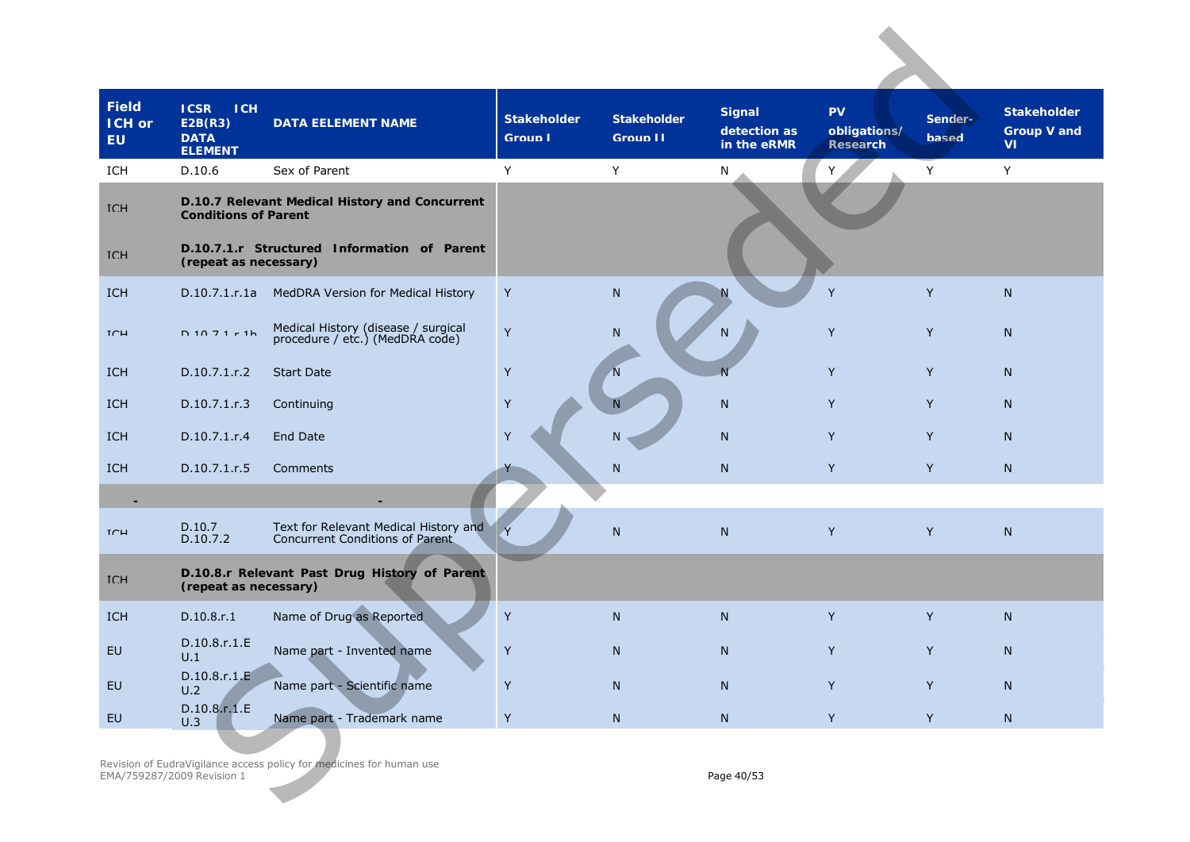| <b>Field</b><br><b>ICH or</b><br><b>EU</b> | <b>ICSR</b><br><b>ICH</b><br>E2B(R3)<br><b>DATA</b><br><b>ELEMENT</b> | <b>DATA EELEMENT NAME</b>                                                | <b>Stakeholder</b><br><b>Group I</b> | <b>Stakeholder</b><br>Group II | <b>Signal</b><br>detection as<br>in the eRMR | <b>PV</b><br>obligations/<br>Research | Sender-<br><b>based</b> | <b>Stakeholder</b><br><b>Group V and</b><br>VI. |
|--------------------------------------------|-----------------------------------------------------------------------|--------------------------------------------------------------------------|--------------------------------------|--------------------------------|----------------------------------------------|---------------------------------------|-------------------------|-------------------------------------------------|
| ICH                                        | D.10.6                                                                | Sex of Parent                                                            | Y                                    | Υ                              | N                                            | Y                                     | Y                       | Υ                                               |
| <b>TCH</b>                                 | <b>Conditions of Parent</b>                                           | D.10.7 Relevant Medical History and Concurrent                           |                                      |                                |                                              |                                       |                         |                                                 |
| <b>TCH</b>                                 | (repeat as necessary)                                                 | D.10.7.1.r Structured Information of Parent                              |                                      |                                |                                              |                                       |                         |                                                 |
| <b>ICH</b>                                 | D.10.7.1.r.1a                                                         | MedDRA Version for Medical History                                       | Y                                    | N                              | N                                            | Y                                     | Y                       | N                                               |
| TCH                                        | $D$ 10 7 1 $r$ 1 h                                                    | Medical History (disease / surgical<br>procedure / etc.) (MedDRA code)   | Y                                    | ${\sf N}$                      | N                                            | Y                                     | Y                       | $\mathsf{N}$                                    |
| <b>ICH</b>                                 | D.10.7.1.r.2                                                          | <b>Start Date</b>                                                        | Y                                    | $\mathsf N$                    | $\overline{N}$                               | Y                                     | Y                       | N                                               |
| <b>ICH</b>                                 | D.10.7.1.r.3                                                          | Continuing                                                               | Υ                                    | N                              | $\mathsf{N}$                                 | Y                                     | Y                       | N                                               |
| ICH                                        | D.10.7.1.r.4                                                          | <b>End Date</b>                                                          | Y                                    | N                              | ${\sf N}$                                    | Y                                     | Y                       | N                                               |
| <b>ICH</b>                                 | D.10.7.1.r.5                                                          | Comments                                                                 |                                      | ${\sf N}$                      | $\mathsf{N}$                                 | Y                                     | Y                       | ${\sf N}$                                       |
|                                            |                                                                       |                                                                          |                                      |                                |                                              |                                       |                         |                                                 |
| TCH                                        | D.10.7<br>D.10.7.2                                                    | Text for Relevant Medical History and<br>Concurrent Conditions of Parent |                                      | N                              | N                                            | Y                                     | Y                       | N                                               |
| <b>TCH</b>                                 | (repeat as necessary)                                                 | D.10.8.r Relevant Past Drug History of Parent                            |                                      |                                |                                              |                                       |                         |                                                 |
| <b>ICH</b>                                 | D.10.8.r.1                                                            | Name of Drug as Reported                                                 | Υ                                    | N                              | N                                            | Y                                     | Y                       | N                                               |
| <b>EU</b>                                  | D.10.8.r.1.E<br>U.1                                                   | Name part - Invented name                                                | Y                                    | N                              | N                                            | Y                                     | Y                       | $\mathsf{N}$                                    |
| EU                                         | D.10.8.r.1.E<br>U.2                                                   | Name part - Scientific name                                              | Y                                    | ${\sf N}$                      | ${\sf N}$                                    | Y                                     | Y                       | N                                               |
| EU                                         | D.10.8.r.1.E<br>U.3                                                   | Name part - Trademark name                                               | Y                                    | N                              | ${\sf N}$                                    | Y                                     | $\mathsf{Y}^-$          | ${\sf N}$                                       |
|                                            | EMA/759287/2009 Revision 1                                            | Revision of EudraVigilance access policy for medicines for human use     |                                      |                                | Page 40/53                                   |                                       |                         |                                                 |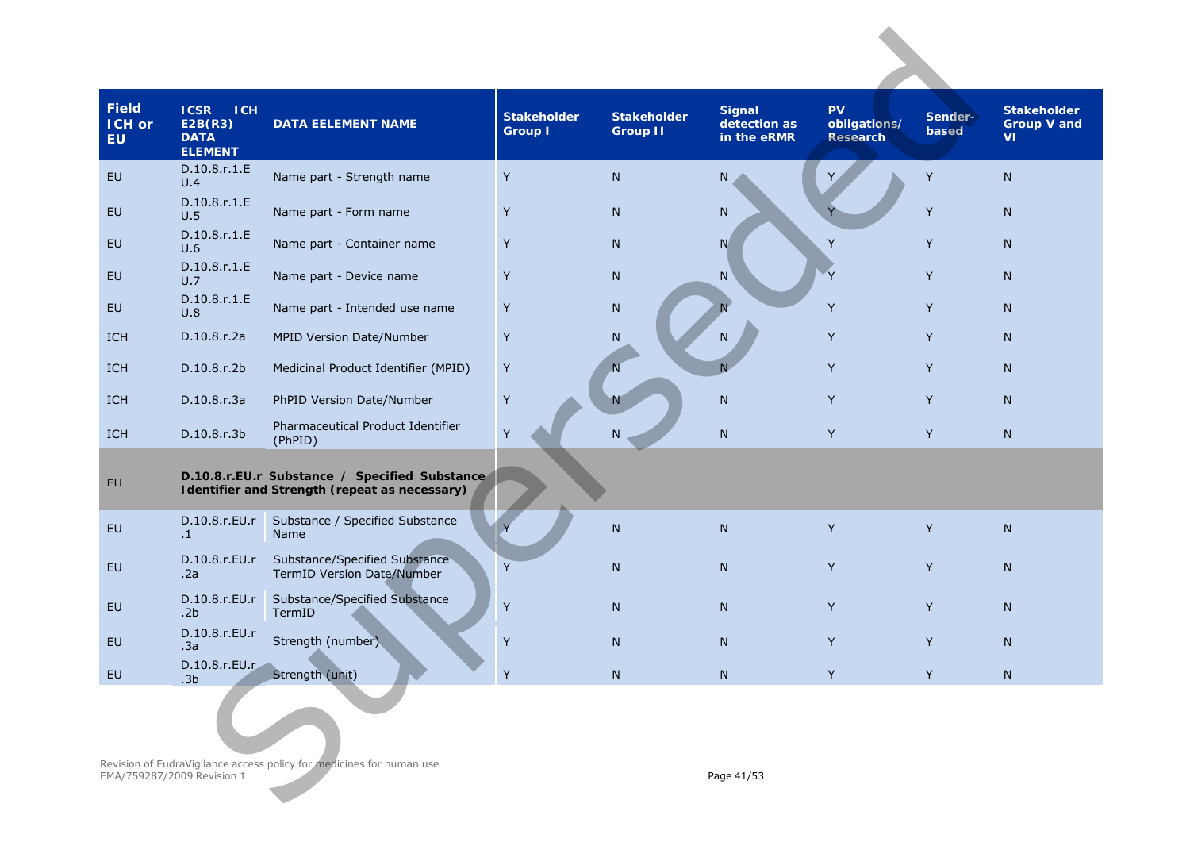| <b>Field</b><br>ICH or<br><b>EU</b> | <b>ICSR</b><br><b>ICH</b><br>E2B(R3)<br><b>DATA</b><br><b>ELEMENT</b> | <b>DATA EELEMENT NAME</b>                                                                      | <b>Stakeholder</b><br><b>Group I</b> | <b>Stakeholder</b><br><b>Group II</b> | <b>Signal</b><br>detection as<br>in the eRMR | <b>PV</b><br>obligations/<br><b>Research</b> | Sender-<br>based | <b>Stakeholder</b><br><b>Group V and</b><br><b>VI</b> |
|-------------------------------------|-----------------------------------------------------------------------|------------------------------------------------------------------------------------------------|--------------------------------------|---------------------------------------|----------------------------------------------|----------------------------------------------|------------------|-------------------------------------------------------|
| EU                                  | D.10.8.r.1.E<br>U.4                                                   | Name part - Strength name                                                                      | Υ                                    | N                                     | N                                            |                                              | Y                | N                                                     |
| EU                                  | D.10.8.r.1.E<br>U.5                                                   | Name part - Form name                                                                          | Y                                    | N                                     | N                                            |                                              | Y                | $\mathsf{N}$                                          |
| <b>EU</b>                           | D.10.8.r.1.E<br>U.6                                                   | Name part - Container name                                                                     | Y                                    | N                                     | N                                            | Y                                            | Y                | N                                                     |
| <b>EU</b>                           | D.10.8.r.1.E<br>U.7                                                   | Name part - Device name                                                                        | Υ                                    | $\mathsf{N}$                          | $\mathsf{N}$                                 | Y                                            | Y                | N                                                     |
| <b>EU</b>                           | D.10.8.r.1.E<br>U.8                                                   | Name part - Intended use name                                                                  | Y                                    | N                                     |                                              | Y                                            | Y                | N                                                     |
| <b>ICH</b>                          | D.10.8.r.2a                                                           | MPID Version Date/Number                                                                       | Υ                                    | ${\sf N}$                             | N.                                           | Y                                            | Y                | N                                                     |
| ICH                                 | D.10.8.r.2b                                                           | Medicinal Product Identifier (MPID)                                                            | Y                                    | $\overline{N}$                        | N                                            | Y                                            | Y                | N                                                     |
| ICH                                 | D.10.8.r.3a                                                           | PhPID Version Date/Number                                                                      | Υ                                    |                                       | ${\sf N}$                                    | Y                                            | Y                | $\mathsf{N}$                                          |
| ICH                                 | D.10.8.r.3b                                                           | Pharmaceutical Product Identifier<br>(PhPID)                                                   | Υ                                    | N                                     | ${\sf N}$                                    | Y                                            | Y                | $\mathsf{N}$                                          |
| FU                                  |                                                                       | D.10.8.r.EU.r Substance / Specified Substance<br>Identifier and Strength (repeat as necessary) |                                      |                                       |                                              |                                              |                  |                                                       |
| <b>EU</b>                           | D.10.8.r.EU.r<br>$\cdot$ 1                                            | Substance / Specified Substance<br>Name                                                        |                                      | $\mathsf{N}$                          | ${\sf N}$                                    | Y                                            | Y                | $\mathsf{N}$                                          |
| EU                                  | D.10.8.r.EU.r<br>.2a                                                  | Substance/Specified Substance<br>TermID Version Date/Number                                    | Y                                    | N                                     | N                                            | Y                                            | Y                | N                                                     |
| <b>EU</b>                           | D.10.8.r.EU.r<br>.2 <sub>b</sub>                                      | Substance/Specified Substance<br>TermID                                                        | Y                                    | N                                     | N                                            | Y                                            | Y                | N.                                                    |
| EU                                  | D.10.8.r.EU.r<br>.3a                                                  | Strength (number)                                                                              | Υ                                    | $\mathsf{N}$                          | N                                            | Y                                            | Y                | N                                                     |
| EU                                  | D.10.8.r.EU.r<br>.3 <sub>b</sub>                                      | Strength (unit)                                                                                | $\sf Y$                              | ${\sf N}$                             | $\mathsf{N}$                                 | Y                                            | Y                | N                                                     |
|                                     |                                                                       |                                                                                                |                                      |                                       |                                              |                                              |                  |                                                       |
|                                     | EMA/759287/2009 Revision 1                                            | Revision of EudraVigilance access policy for medicines for human use                           |                                      |                                       | Page 41/53                                   |                                              |                  |                                                       |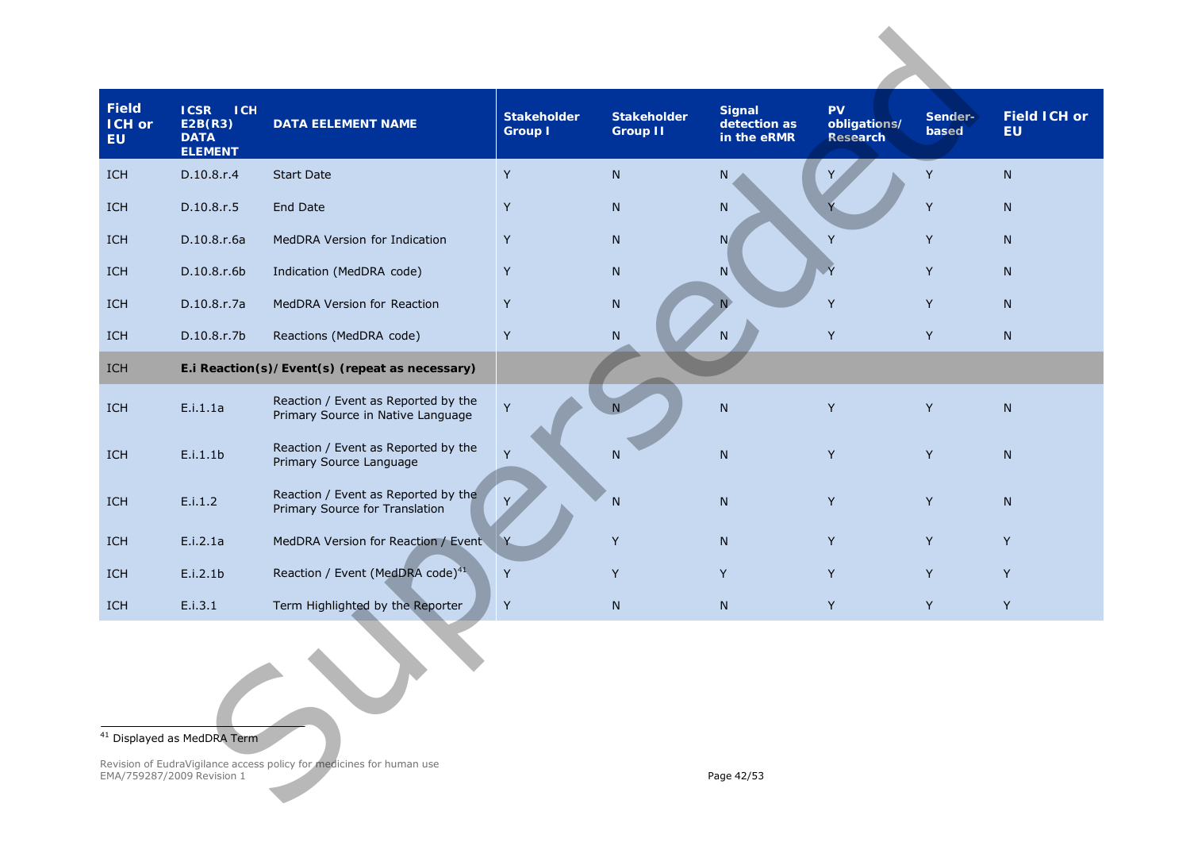<span id="page-41-0"></span>

| <b>Field</b><br><b>ICH or</b><br><b>EU</b> | <b>ICSR</b><br><b>ICH</b><br>E2B(R3)<br><b>DATA</b><br><b>ELEMENT</b> | <b>DATA EELEMENT NAME</b>                                                | <b>Stakeholder</b><br><b>Group I</b> | <b>Stakeholder</b><br><b>Group II</b> | <b>Signal</b><br>detection as<br>in the eRMR | <b>PV</b><br>obligations/<br><b>Research</b> | Sender-<br>based | <b>Field ICH or</b><br><b>EU</b> |
|--------------------------------------------|-----------------------------------------------------------------------|--------------------------------------------------------------------------|--------------------------------------|---------------------------------------|----------------------------------------------|----------------------------------------------|------------------|----------------------------------|
| ICH                                        | D.10.8.r.4                                                            | <b>Start Date</b>                                                        | Y                                    | $\mathsf{N}$                          | N                                            |                                              | Y                | N                                |
| ICH                                        | D.10.8.r.5                                                            | <b>End Date</b>                                                          | Y                                    | $\mathsf{N}$                          | ${\sf N}$                                    |                                              | Y                | N                                |
| ICH                                        | D.10.8.r.6a                                                           | MedDRA Version for Indication                                            | Y                                    | $\mathsf{N}$                          | N                                            | Y                                            | Y                | N                                |
| <b>ICH</b>                                 | D.10.8.r.6b                                                           | Indication (MedDRA code)                                                 | Y                                    | ${\sf N}$                             | N                                            | $\overline{Y}$                               | Y                | N <sub>1</sub>                   |
| ICH                                        | D.10.8.r.7a                                                           | MedDRA Version for Reaction                                              | Y                                    | ${\sf N}$                             |                                              | Y                                            | Y                | N                                |
| <b>ICH</b>                                 | D.10.8.r.7b                                                           | Reactions (MedDRA code)                                                  | Y                                    | ${\sf N}$                             | N                                            | Y                                            | Y                | N                                |
| ICH                                        |                                                                       | E.i Reaction(s)/Event(s) (repeat as necessary)                           |                                      |                                       |                                              |                                              |                  |                                  |
| ICH                                        | E.i.1.1a                                                              | Reaction / Event as Reported by the<br>Primary Source in Native Language | Y                                    |                                       | $\mathsf{N}$                                 | Y                                            | Y                | N                                |
| ICH                                        | E.i.1.1b                                                              | Reaction / Event as Reported by the<br>Primary Source Language           | Y                                    | N                                     | $\mathsf{N}$                                 | Y                                            | Y                | N                                |
| ICH                                        | E.i.1.2                                                               | Reaction / Event as Reported by the<br>Primary Source for Translation    | Y,                                   | $\mathsf{N}$                          | ${\sf N}$                                    | Y                                            | Y                | $\mathsf{N}$                     |
| ICH                                        | E.i.2.1a                                                              | MedDRA Version for Reaction / Event                                      | Y                                    | Y                                     | ${\sf N}$                                    | Y                                            | Y                | Y                                |
| ICH                                        | E.i.2.1b                                                              | Reaction / Event (MedDRA code) <sup>41</sup>                             | Y                                    | Y                                     | Y                                            | Y                                            | Y                | Y                                |
| ICH                                        | E.i.3.1                                                               | Term Highlighted by the Reporter                                         | Y                                    | ${\sf N}$                             | ${\sf N}$                                    | Y                                            | Y                | Y                                |
|                                            |                                                                       |                                                                          |                                      |                                       |                                              |                                              |                  |                                  |
|                                            | <sup>41</sup> Displayed as MedDRA Term                                |                                                                          |                                      |                                       |                                              |                                              |                  |                                  |
|                                            | EMA/759287/2009 Revision 1                                            | Revision of EudraVigilance access policy for medicines for human use     |                                      |                                       | Page 42/53                                   |                                              |                  |                                  |

#### <sup>41</sup> Displayed as MedDRA Term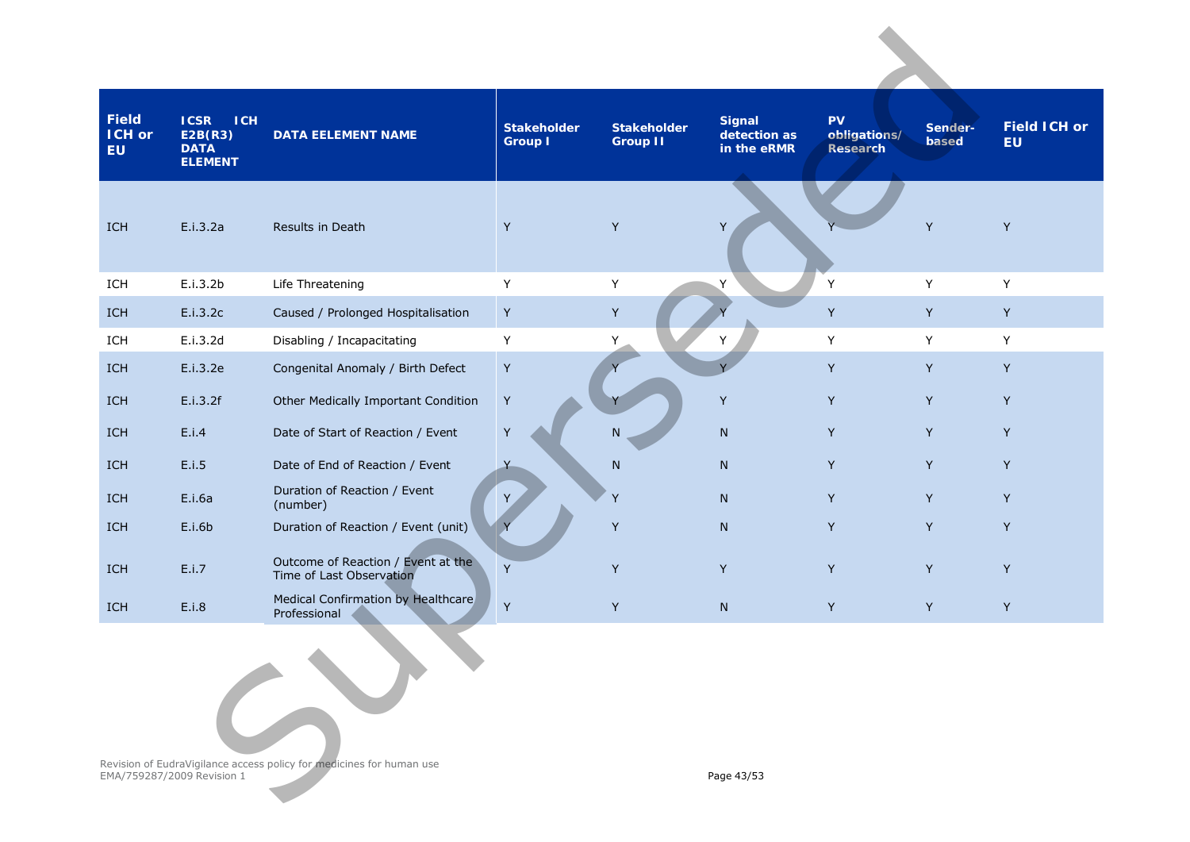| Field<br><b>ICH or</b><br><b>EU</b> | <b>ICH</b><br><b>ICSR</b><br>E2B(R3)<br><b>DATA</b><br><b>ELEMENT</b> | <b>DATA EELEMENT NAME</b>                                            | <b>Stakeholder</b><br><b>Group I</b> | <b>Stakeholder</b><br><b>Group II</b> | <b>Signal</b><br>detection as<br>in the eRMR | <b>PV</b><br>obligations/<br>Research | Sender-<br>based | <b>Field ICH or</b><br><b>EU</b> |
|-------------------------------------|-----------------------------------------------------------------------|----------------------------------------------------------------------|--------------------------------------|---------------------------------------|----------------------------------------------|---------------------------------------|------------------|----------------------------------|
| ICH                                 | E.i.3.2a                                                              | Results in Death                                                     | Y                                    | Y                                     | Y                                            |                                       | Y                | Y                                |
| ICH                                 | E.i.3.2b                                                              | Life Threatening                                                     | Y                                    | Y                                     | Y                                            | Y                                     | Y                | Y                                |
| ICH                                 | E.i.3.2c                                                              | Caused / Prolonged Hospitalisation                                   | Y                                    | Y                                     |                                              | Y                                     | Y                | Y                                |
| ICH                                 | E.i.3.2d                                                              | Disabling / Incapacitating                                           | Y                                    | Υ                                     | Y                                            | Y                                     | Y                | Y                                |
| ICH                                 | E.i.3.2e                                                              | Congenital Anomaly / Birth Defect                                    | Y                                    |                                       |                                              | Y                                     | Y                | Y                                |
| ICH                                 | E.i.3.2f                                                              | Other Medically Important Condition                                  | $\mathsf Y$                          |                                       | Y                                            | Y                                     | Y                | Y                                |
| <b>ICH</b>                          | E.i.4                                                                 | Date of Start of Reaction / Event                                    | $\sf Y$                              | N.                                    | $\mathsf{N}$                                 | Y                                     | Y                | Y                                |
| ICH                                 | E.i.5                                                                 | Date of End of Reaction / Event                                      | $\overline{Y}$                       | ${\sf N}$                             | N                                            | Y                                     | Y                | Y                                |
| <b>ICH</b>                          | E.i.6a                                                                | Duration of Reaction / Event<br>(number)                             | Y                                    | Y                                     | N                                            | Y                                     | Y                | Y                                |
| ICH                                 | E.i.6b                                                                | Duration of Reaction / Event (unit)                                  |                                      | Y                                     | $\mathsf{N}$                                 | Y                                     | Y                | Y                                |
| ICH                                 | E.i.7                                                                 | Outcome of Reaction / Event at the<br>Time of Last Observation       | Y                                    | Υ                                     | Y                                            | Y                                     | Y                | Y                                |
| ICH                                 | E.i.8                                                                 | Medical Confirmation by Healthcare<br>Professional                   | Y                                    | Y                                     | N                                            | Y                                     | Y                | Y                                |
|                                     | EMA/759287/2009 Revision 1                                            | Revision of EudraVigilance access policy for medicines for human use |                                      |                                       | Page 43/53                                   |                                       |                  |                                  |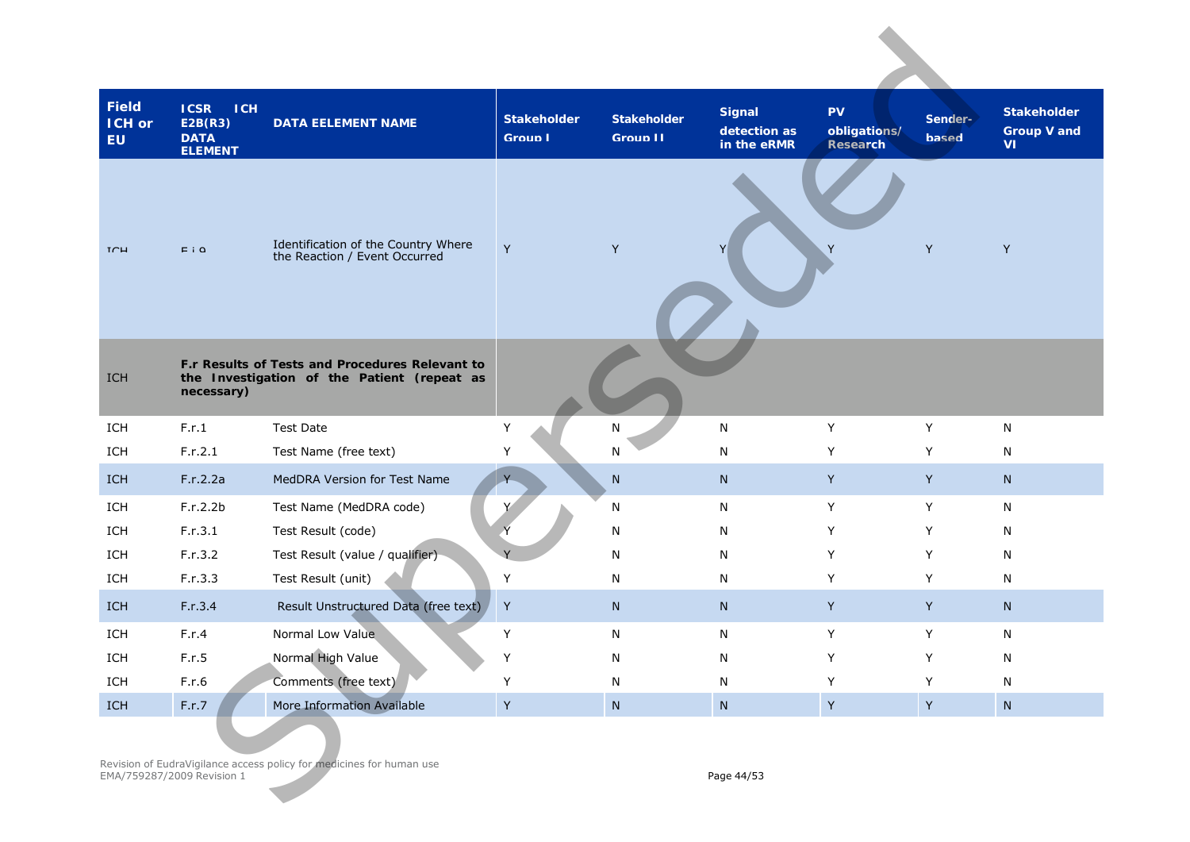| <b>Field</b><br><b>ICH or</b><br><b>EU</b> | <b>ICSR</b><br><b>ICH</b><br>E2B(R3)<br><b>DATA</b><br><b>ELEMENT</b> | <b>DATA EELEMENT NAME</b>                                                                      | <b>Stakeholder</b><br><b>Group I</b> | <b>Stakeholder</b><br><b>Group II</b> | <b>Signal</b><br>detection as<br>in the eRMR | <b>PV</b><br>obligations/<br><b>Research</b> | Sender-<br><b>based</b> | <b>Stakeholder</b><br><b>Group V and</b><br>VI |
|--------------------------------------------|-----------------------------------------------------------------------|------------------------------------------------------------------------------------------------|--------------------------------------|---------------------------------------|----------------------------------------------|----------------------------------------------|-------------------------|------------------------------------------------|
| $T \cap H$                                 | $E$ i $\Omega$                                                        | Identification of the Country Where<br>the Reaction / Event Occurred                           | $\mathsf Y$                          | Y                                     |                                              |                                              | Y                       | Y                                              |
| ICH                                        | necessary)                                                            | F.r Results of Tests and Procedures Relevant to<br>the Investigation of the Patient (repeat as |                                      |                                       |                                              |                                              |                         |                                                |
| ICH                                        | F.r.1                                                                 | <b>Test Date</b>                                                                               | Y                                    | N                                     | N                                            | Υ                                            | Y                       | N                                              |
| ICH                                        | F.r.2.1                                                               | Test Name (free text)                                                                          | Υ                                    | N                                     | ${\sf N}$                                    | Υ                                            | Υ                       | N                                              |
| <b>ICH</b>                                 | F.r.2.2a                                                              | MedDRA Version for Test Name                                                                   |                                      | ${\sf N}$                             | N                                            | Y                                            | Y                       | N                                              |
| ICH                                        | F.r.2.2b                                                              | Test Name (MedDRA code)                                                                        |                                      | N                                     | N                                            | Υ                                            | Y                       | ${\sf N}$                                      |
| ICH                                        | F.r.3.1                                                               | Test Result (code)                                                                             |                                      | N                                     | N                                            | Y                                            | Y                       | N                                              |
| ICH                                        | F.r.3.2                                                               | Test Result (value / qualifier)                                                                |                                      | ${\sf N}$                             | N                                            | Υ                                            | Y                       | N                                              |
| ICH                                        | F.r.3.3                                                               | Test Result (unit)                                                                             | Y                                    | N                                     | N                                            | Υ                                            | Y                       | N                                              |
| <b>ICH</b>                                 | F.r.3.4                                                               | Result Unstructured Data (free text)                                                           | Y                                    | N                                     | N                                            | Y                                            | Y                       | N                                              |
| ICH                                        | F.r.4                                                                 | Normal Low Value                                                                               | Υ                                    | N                                     | ${\sf N}$                                    | Υ                                            | Y                       | N                                              |
| ICH                                        | F.r.5                                                                 | Normal High Value                                                                              | Υ                                    | N                                     | Ν                                            | Υ                                            | Υ                       | N                                              |
| ICH                                        | F.r.6                                                                 | Comments (free text)                                                                           | Y                                    | N                                     | N                                            | Υ                                            | Y                       | N                                              |
| ICH                                        | F.r.7                                                                 | More Information Available                                                                     | $\mathsf Y$                          | ${\sf N}$                             | ${\sf N}$                                    | $\mathsf{Y}$                                 | $\mathsf{Y}$            | ${\sf N}$                                      |
|                                            | EMA/759287/2009 Revision 1                                            | Revision of EudraVigilance access policy for medicines for human use                           |                                      |                                       | Page 44/53                                   |                                              |                         |                                                |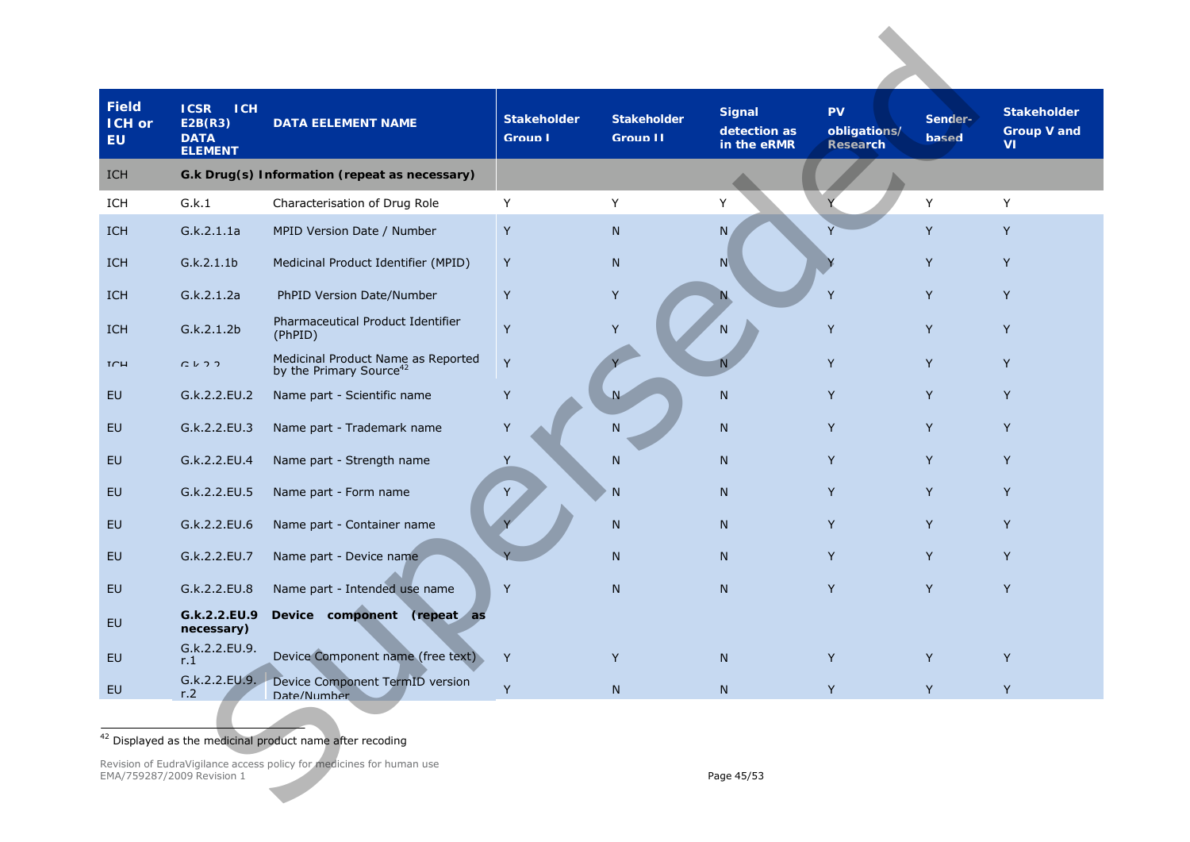<span id="page-44-0"></span>

| <b>Field</b><br><b>ICH or</b><br><b>EU</b> | <b>ICSR</b><br><b>ICH</b><br>E2B(R3)<br><b>DATA</b><br><b>ELEMENT</b> | <b>DATA EELEMENT NAME</b>                                                 | <b>Stakeholder</b><br><b>Group I</b> | <b>Stakeholder</b><br><b>Group II</b> | <b>Signal</b><br>detection as<br>in the eRMR | <b>PV</b><br>obligations/<br><b>Research</b> | Sender-<br><b>based</b> | <b>Stakeholder</b><br><b>Group V and</b><br><b>VI</b> |
|--------------------------------------------|-----------------------------------------------------------------------|---------------------------------------------------------------------------|--------------------------------------|---------------------------------------|----------------------------------------------|----------------------------------------------|-------------------------|-------------------------------------------------------|
| ICH                                        |                                                                       | G.k Drug(s) Information (repeat as necessary)                             |                                      |                                       |                                              |                                              |                         |                                                       |
| ICH                                        | G.k.1                                                                 | Characterisation of Drug Role                                             | Y                                    | Y                                     | Y                                            |                                              | Y                       | Υ                                                     |
| ICH                                        | G.k.2.1.1a                                                            | MPID Version Date / Number                                                | Y                                    | N                                     | N.                                           |                                              | Y                       | Y                                                     |
| <b>ICH</b>                                 | G.k.2.1.1b                                                            | Medicinal Product Identifier (MPID)                                       | Y                                    | N                                     | N                                            |                                              | Y                       | Y                                                     |
| <b>ICH</b>                                 | G.k.2.1.2a                                                            | PhPID Version Date/Number                                                 | Y                                    | Υ                                     | N.                                           | Y                                            | Y                       | Y                                                     |
| <b>ICH</b>                                 | G.k.2.1.2b                                                            | Pharmaceutical Product Identifier<br>(PhPID)                              | Y                                    | Y                                     | N                                            | Y                                            | Y                       | Y                                                     |
| TCH                                        | $Cu$ $Cu$                                                             | Medicinal Product Name as Reported<br>by the Primary Source <sup>42</sup> | Y                                    |                                       |                                              | Y                                            | Y                       | Y                                                     |
| <b>EU</b>                                  | G.k.2.2.EU.2                                                          | Name part - Scientific name                                               | Y                                    | $\overline{\mathsf{N}}$               | N                                            | Y                                            | Y                       | Y                                                     |
| <b>EU</b>                                  | G.k.2.2.EU.3                                                          | Name part - Trademark name                                                | Y                                    | N                                     | ${\sf N}$                                    | Y                                            | Y                       | Y                                                     |
| <b>EU</b>                                  | G.k.2.2.EU.4                                                          | Name part - Strength name                                                 | Y                                    | N                                     | N                                            | Y                                            | Y                       | Υ                                                     |
| <b>EU</b>                                  | G.k.2.2.EU.5                                                          | Name part - Form name                                                     | Y                                    | N                                     | N                                            | Y                                            | Y                       | Y                                                     |
| EU                                         | G.k.2.2.EU.6                                                          | Name part - Container name                                                |                                      | N                                     | N                                            | Y                                            | Y                       | Y                                                     |
| <b>EU</b>                                  | G.k.2.2.EU.7                                                          | Name part - Device name                                                   |                                      | N                                     | N                                            | Y                                            | Y                       | Υ                                                     |
| EU                                         | G.k.2.2.EU.8                                                          | Name part - Intended use name                                             | Y                                    | N                                     | N                                            | Y                                            | Y                       | Y                                                     |
| EU                                         | G.k.2.2.EU.9<br>necessary)                                            | Device component<br>(repeat as                                            |                                      |                                       |                                              |                                              |                         |                                                       |
| EU                                         | G.k.2.2.EU.9.<br>r.1                                                  | Device Component name (free text)                                         | Y                                    |                                       | N.                                           |                                              | Y                       | Y                                                     |
| EU                                         | G.k.2.2.EU.9.<br>r <sub>1</sub> 2                                     | Device Component TermID version<br>Date/Number                            | Y                                    | ${\sf N}$                             | N                                            | Y                                            | Y                       | Y                                                     |
|                                            |                                                                       |                                                                           |                                      |                                       |                                              |                                              |                         |                                                       |
|                                            |                                                                       | <sup>42</sup> Displayed as the medicinal product name after recoding      |                                      |                                       |                                              |                                              |                         |                                                       |
|                                            | EMA/759287/2009 Revision 1                                            | Revision of EudraVigilance access policy for medicines for human use      |                                      |                                       | Page 45/53                                   |                                              |                         |                                                       |

Revision of EudraVigilance access policy for medicines for human use EMA/759287/2009 Revision 1 Page 45/53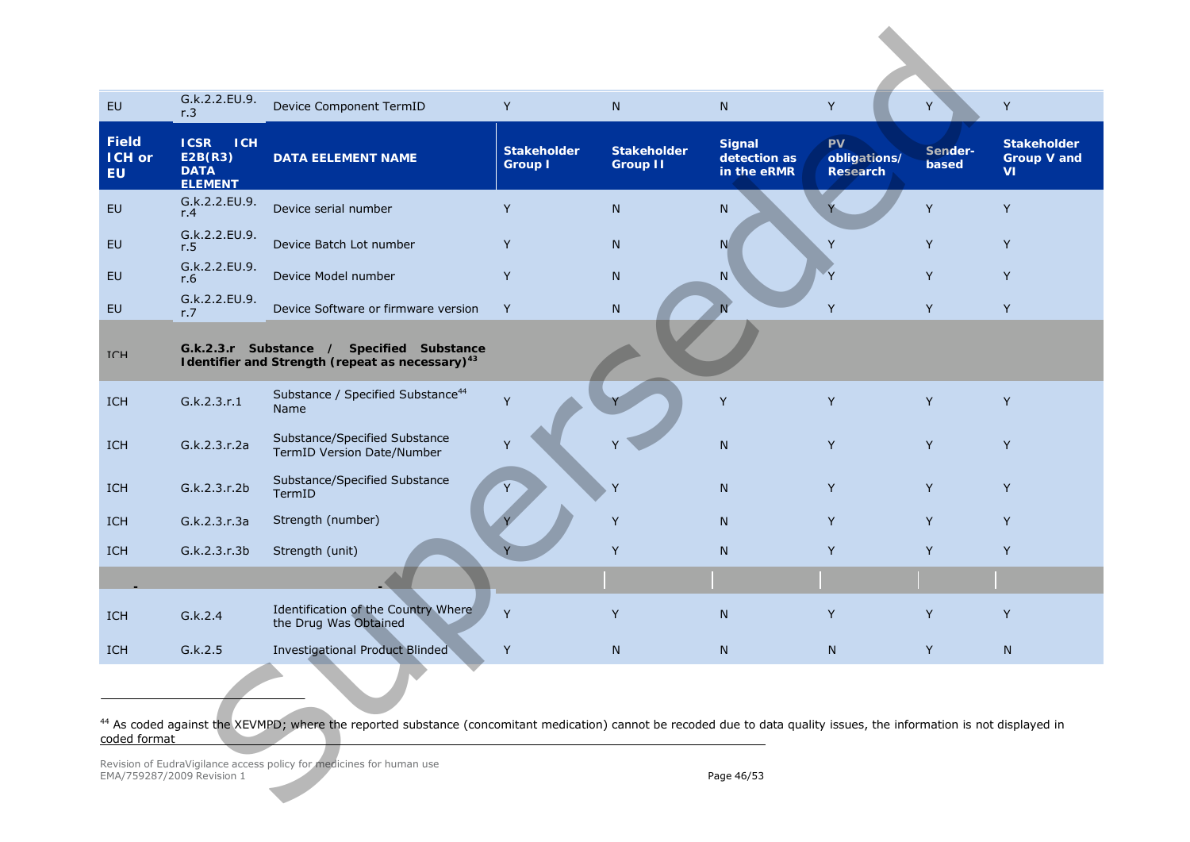<span id="page-45-0"></span>

| EU                                         | G.k.2.2.EU.9.<br>r.3                                                  | Device Component TermID                                                                                                                                                            | Y                                    | N                                     | N                                            | Y                                     | Y                | Y                                       |
|--------------------------------------------|-----------------------------------------------------------------------|------------------------------------------------------------------------------------------------------------------------------------------------------------------------------------|--------------------------------------|---------------------------------------|----------------------------------------------|---------------------------------------|------------------|-----------------------------------------|
| <b>Field</b><br><b>ICH or</b><br><b>EU</b> | <b>ICH</b><br><b>ICSR</b><br>E2B(R3)<br><b>DATA</b><br><b>ELEMENT</b> | <b>DATA EELEMENT NAME</b>                                                                                                                                                          | <b>Stakeholder</b><br><b>Group I</b> | <b>Stakeholder</b><br><b>Group II</b> | <b>Signal</b><br>detection as<br>in the eRMR | PV<br>obligations/<br><b>Research</b> | Sender-<br>based | <b>Stakeholder</b><br>Group V and<br>VI |
| <b>EU</b>                                  | G.k.2.2.EU.9.<br>r.4                                                  | Device serial number                                                                                                                                                               | Y                                    | N                                     | N                                            |                                       | Y                | Y                                       |
| <b>EU</b>                                  | G.k.2.2.EU.9.<br>r.5                                                  | Device Batch Lot number                                                                                                                                                            | Y                                    | N                                     | N                                            | Y                                     | Y                | Y                                       |
| <b>EU</b>                                  | G.k.2.2.EU.9.<br>r.6                                                  | Device Model number                                                                                                                                                                | Y                                    | ${\sf N}$                             | N                                            | Y                                     | Y                | Y                                       |
| EU                                         | G.k.2.2.EU.9.<br>r.7                                                  | Device Software or firmware version                                                                                                                                                | Y                                    | ${\sf N}$                             |                                              | Y                                     | Y                | Y                                       |
| <b>TCH</b>                                 |                                                                       | G.k.2.3.r Substance / Specified Substance<br>Identifier and Strength (repeat as necessary) <sup>43</sup>                                                                           |                                      |                                       |                                              |                                       |                  |                                         |
| ICH                                        | G.k.2.3.r.1                                                           | Substance / Specified Substance <sup>44</sup><br>Name                                                                                                                              | Y                                    |                                       | Y                                            | Y                                     | Y                | Y                                       |
| ICH                                        | G.k.2.3.r.2a                                                          | Substance/Specified Substance<br>TermID Version Date/Number                                                                                                                        | Y                                    |                                       | ${\sf N}$                                    | Y                                     | Y                | Y                                       |
| ICH                                        | G.k.2.3.r.2b                                                          | Substance/Specified Substance<br>TermID                                                                                                                                            |                                      | Y                                     | N                                            | Y                                     | Y                | Y                                       |
| <b>ICH</b>                                 | G.k.2.3.r.3a                                                          | Strength (number)                                                                                                                                                                  |                                      | Y                                     | N                                            | Y                                     | Y                | Y                                       |
| ICH                                        | G.k.2.3.r.3b                                                          | Strength (unit)                                                                                                                                                                    |                                      | Y                                     | N                                            | Y                                     | Y                | Y                                       |
|                                            |                                                                       |                                                                                                                                                                                    |                                      |                                       |                                              |                                       |                  |                                         |
| ICH                                        | G.k.2.4                                                               | Identification of the Country Where<br>the Drug Was Obtained                                                                                                                       | Y                                    | Y                                     | N                                            | Y                                     | Y                | Y                                       |
| ICH                                        | G.k.2.5                                                               | <b>Investigational Product Blinded</b>                                                                                                                                             | Y                                    | N                                     | N                                            | N                                     | Y                | N                                       |
|                                            |                                                                       |                                                                                                                                                                                    |                                      |                                       |                                              |                                       |                  |                                         |
| coded format                               |                                                                       | <sup>44</sup> As coded against the XEVMPD; where the reported substance (concomitant medication) cannot be recoded due to data quality issues, the information is not displayed in |                                      |                                       |                                              |                                       |                  |                                         |
|                                            | EMA/759287/2009 Revision 1                                            | Revision of EudraVigilance access policy for medicines for human use                                                                                                               |                                      |                                       | Page 46/53                                   |                                       |                  |                                         |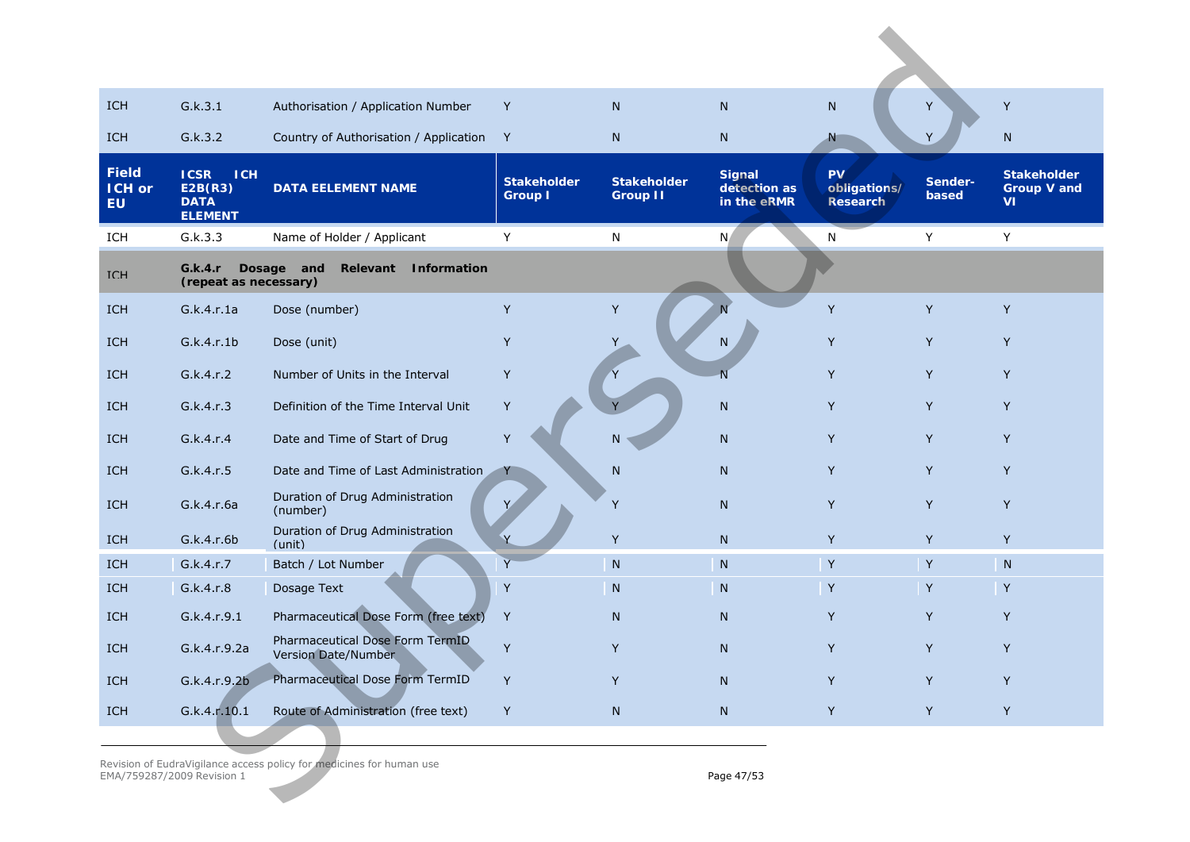| ICH                                        | G.k.3.1                                                               | Authorisation / Application Number                                   | Y                                    | N                                     | N                                     | N                                            | Y                | Y                                                     |
|--------------------------------------------|-----------------------------------------------------------------------|----------------------------------------------------------------------|--------------------------------------|---------------------------------------|---------------------------------------|----------------------------------------------|------------------|-------------------------------------------------------|
| <b>ICH</b>                                 | G.k.3.2                                                               | Country of Authorisation / Application                               | Y                                    | N                                     | N                                     | N                                            | Y                | $\mathsf{N}$                                          |
| <b>Field</b><br><b>ICH or</b><br><b>EU</b> | <b>ICSR</b><br><b>ICH</b><br>E2B(R3)<br><b>DATA</b><br><b>ELEMENT</b> | <b>DATA EELEMENT NAME</b>                                            | <b>Stakeholder</b><br><b>Group I</b> | <b>Stakeholder</b><br><b>Group II</b> | Signal<br>detection as<br>in the eRMR | <b>PV</b><br>obligations/<br><b>Research</b> | Sender-<br>based | <b>Stakeholder</b><br><b>Group V and</b><br><b>VI</b> |
| ICH                                        | G.k.3.3                                                               | Name of Holder / Applicant                                           | Y                                    | N                                     | N,                                    | N                                            | Y                | Υ                                                     |
| <b>TCH</b>                                 | G.k.4.r<br>(repeat as necessary)                                      | Dosage and<br>Relevant<br>Information                                |                                      |                                       |                                       |                                              |                  |                                                       |
| <b>ICH</b>                                 | G.k.4.r.1a                                                            | Dose (number)                                                        | Y                                    | Y                                     |                                       | Y                                            | Y                | Y                                                     |
| ICH                                        | G.k.4.r.1b                                                            | Dose (unit)                                                          | Y                                    |                                       | N                                     | Y                                            | Y                | Y                                                     |
| <b>ICH</b>                                 | G.k.4.r.2                                                             | Number of Units in the Interval                                      | Y                                    |                                       | $\overline{N}$                        | Y                                            | Y                | Y                                                     |
| ICH                                        | G.k.4.r.3                                                             | Definition of the Time Interval Unit                                 | Y                                    |                                       | N                                     | Y                                            | Y                | Y                                                     |
| <b>ICH</b>                                 | G.k.4.r.4                                                             | Date and Time of Start of Drug                                       | Y                                    | N                                     | N                                     | Y                                            | Y                | Y                                                     |
| <b>ICH</b>                                 | G.k.4.r.5                                                             | Date and Time of Last Administration                                 | Y                                    | N                                     | N                                     | Y                                            | Y                | Y                                                     |
| ICH                                        | G.k.4.r.6a                                                            | Duration of Drug Administration<br>(number)                          |                                      | Y                                     | N                                     | Y                                            | Y                | Y                                                     |
| ICH                                        | G.k.4.r.6b                                                            | Duration of Drug Administration<br>(unit)                            |                                      | Y                                     | N                                     | Y                                            | Y                | Y                                                     |
| <b>ICH</b>                                 | G.k.4.r.7                                                             | Batch / Lot Number                                                   | Y                                    | ${\sf N}$                             | N                                     | Y                                            | Y                | ${\sf N}$                                             |
| ICH                                        | G.k.4.r.8                                                             | Dosage Text                                                          | Y                                    | ${\sf N}$                             | ${\sf N}$                             | Y                                            | $\mathsf{Y}$     | Y                                                     |
| <b>ICH</b>                                 | G.k.4.r.9.1                                                           | Pharmaceutical Dose Form (free text)                                 | Y                                    | N                                     | N                                     | Y                                            | Y                | Y                                                     |
| <b>ICH</b>                                 | G.k.4.r.9.2a                                                          | Pharmaceutical Dose Form TermID<br><b>Version Date/Number</b>        | Y                                    | Y                                     | N                                     | Y                                            | Y                | Y                                                     |
| ICH                                        | G.k.4.r.9.2b                                                          | Pharmaceutical Dose Form TermID                                      | Y                                    | Y                                     | N                                     | Y                                            | Y                | Y                                                     |
| ICH                                        | G.k.4.r.10.1                                                          | Route of Administration (free text)                                  | Y                                    | N                                     | N                                     | Y                                            | Y                | Y                                                     |
|                                            | EMA/759287/2009 Revision 1                                            | Revision of EudraVigilance access policy for medicines for human use |                                      |                                       | Page 47/53                            |                                              |                  |                                                       |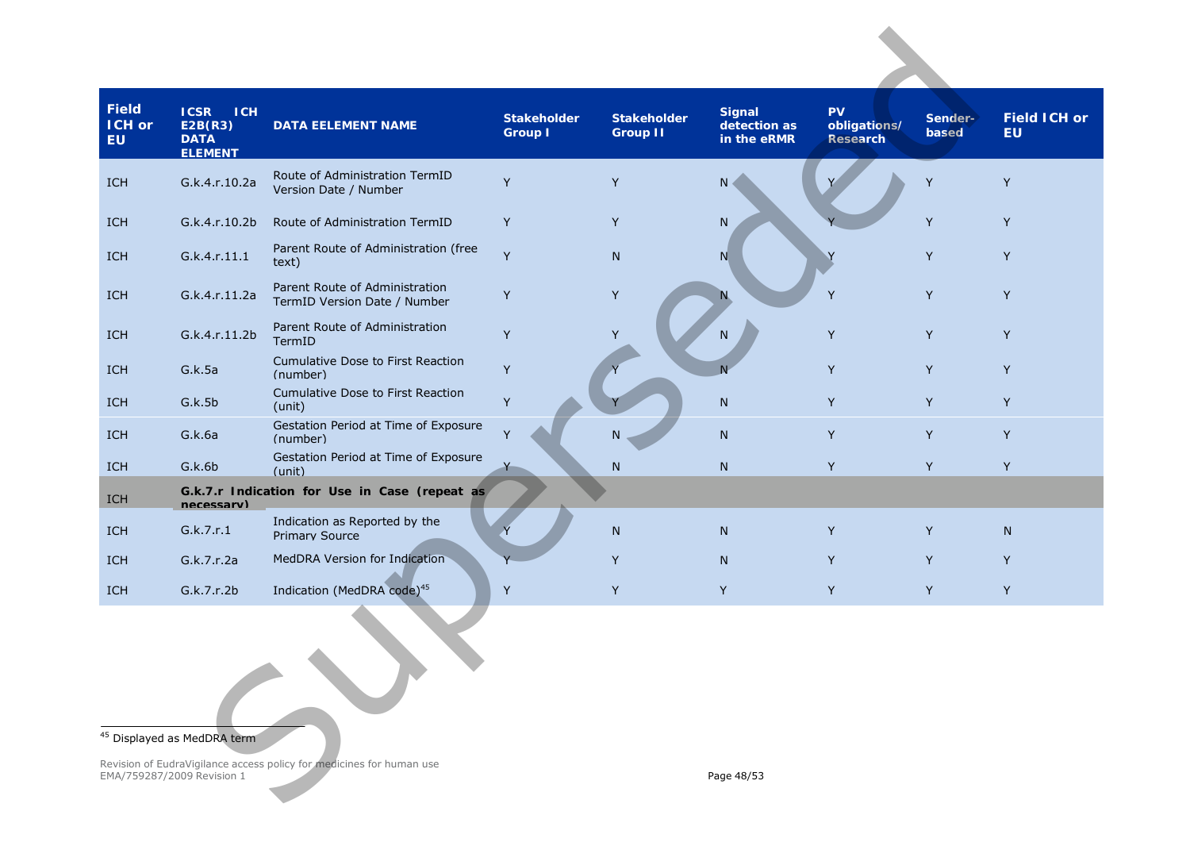<span id="page-47-0"></span>

| <b>Field</b><br>ICH or<br><b>EU</b> | <b>ICH</b><br><b>ICSR</b><br>E2B(R3)<br><b>DATA</b><br><b>ELEMENT</b> | <b>DATA EELEMENT NAME</b>                                            | <b>Stakeholder</b><br><b>Group I</b> | <b>Stakeholder</b><br><b>Group II</b> | <b>Signal</b><br>detection as<br>in the eRMR | <b>PV</b><br>obligations/<br><b>Research</b> | Sender-<br>based | <b>Field ICH or</b><br><b>EU</b> |
|-------------------------------------|-----------------------------------------------------------------------|----------------------------------------------------------------------|--------------------------------------|---------------------------------------|----------------------------------------------|----------------------------------------------|------------------|----------------------------------|
| <b>ICH</b>                          | G.k.4.r.10.2a                                                         | Route of Administration TermID<br>Version Date / Number              | Y                                    | Y                                     | N                                            |                                              | Y                | Y                                |
| <b>ICH</b>                          | G.k.4.r.10.2b                                                         | Route of Administration TermID                                       | Y                                    | Y                                     | ${\sf N}$                                    |                                              | Y                | Y                                |
| <b>ICH</b>                          | G.k.4.r.11.1                                                          | Parent Route of Administration (free<br>text)                        | Y                                    | N                                     | N                                            |                                              | Y                | Y                                |
| <b>ICH</b>                          | G.k.4.r.11.2a                                                         | Parent Route of Administration<br>TermID Version Date / Number       | Y                                    | Y                                     | N.                                           | Y                                            | Y                | Y                                |
| <b>ICH</b>                          | G.k.4.r.11.2b                                                         | Parent Route of Administration<br>TermID                             | Y                                    | Υ                                     | N                                            | Y                                            | Y                | Y                                |
| <b>ICH</b>                          | G.k.5a                                                                | Cumulative Dose to First Reaction<br>(number)                        | Y                                    |                                       | N                                            | Y                                            | Y                | Y                                |
| <b>ICH</b>                          | G.k.5b                                                                | Cumulative Dose to First Reaction<br>(unit)                          | Y                                    |                                       | N                                            | Y                                            | Y                | Y                                |
| <b>ICH</b>                          | G.k.6a                                                                | Gestation Period at Time of Exposure<br>(number)                     | Y                                    | N                                     | N                                            | Y                                            | Y                | Y                                |
| <b>ICH</b>                          | G.k.6b                                                                | Gestation Period at Time of Exposure<br>(unit)                       |                                      | ${\sf N}$                             | N                                            | Y                                            | Y                | Y                                |
| ICH                                 | necessary)                                                            | G.k.7.r Indication for Use in Case (repeat as                        |                                      |                                       |                                              |                                              |                  |                                  |
| <b>ICH</b>                          | G.k.7.r.1                                                             | Indication as Reported by the<br><b>Primary Source</b>               |                                      | N                                     | N                                            | Y                                            | Y                | N.                               |
| <b>ICH</b>                          | G.k.7.r.2a                                                            | MedDRA Version for Indication                                        |                                      | Y                                     | N                                            | Y                                            | Y                | Y                                |
| <b>ICH</b>                          | G.k.7.r.2b                                                            | Indication (MedDRA code) <sup>45</sup>                               | Y                                    | Y                                     | Y                                            | Y                                            | Y                | Y                                |
|                                     |                                                                       |                                                                      |                                      |                                       |                                              |                                              |                  |                                  |
|                                     | <sup>45</sup> Displayed as MedDRA term                                |                                                                      |                                      |                                       |                                              |                                              |                  |                                  |
|                                     | EMA/759287/2009 Revision 1                                            | Revision of EudraVigilance access policy for medicines for human use |                                      |                                       | Page 48/53                                   |                                              |                  |                                  |

## <sup>45</sup> Displayed as MedDRA term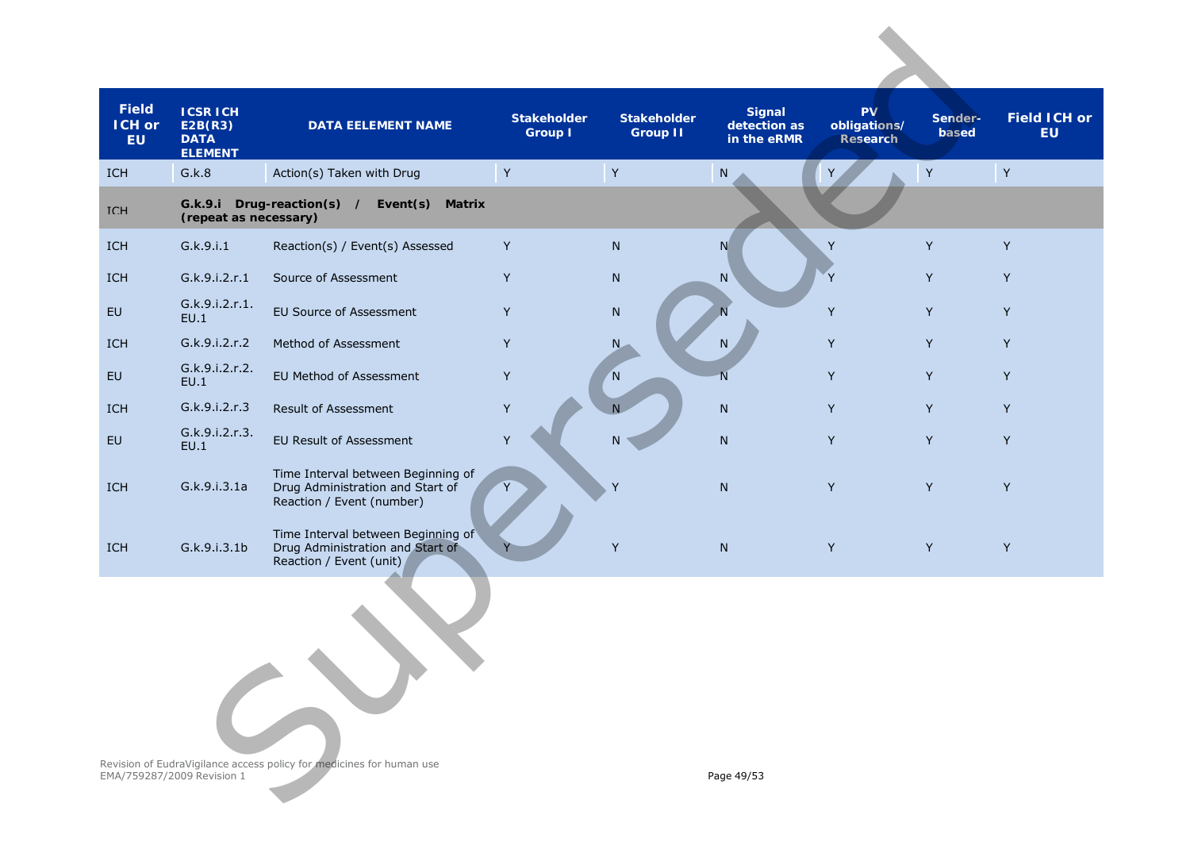| <b>Field</b><br><b>ICH or</b><br><b>EU</b> | <b>ICSR ICH</b><br>E2B(R3)<br><b>DATA</b><br><b>ELEMENT</b> | <b>DATA EELEMENT NAME</b>                                                                           | <b>Stakeholder</b><br><b>Group I</b> | <b>Stakeholder</b><br>Group II | <b>Signal</b><br>detection as<br>in the eRMR | <b>PV</b><br>obligations/<br>Research | Sender-<br>based | <b>Field ICH or</b><br><b>EU</b> |
|--------------------------------------------|-------------------------------------------------------------|-----------------------------------------------------------------------------------------------------|--------------------------------------|--------------------------------|----------------------------------------------|---------------------------------------|------------------|----------------------------------|
| <b>ICH</b>                                 | G.k.8                                                       | Action(s) Taken with Drug                                                                           | $\mathsf Y$                          | $\mathsf Y$                    | ${\sf N}$                                    |                                       | Y                | Y                                |
| <b>TCH</b>                                 | (repeat as necessary)                                       | G.k.9.i Drug-reaction(s) /<br>Event $(s)$<br><b>Matrix</b>                                          |                                      |                                |                                              |                                       |                  |                                  |
| <b>ICH</b>                                 | G.k.9.i.1                                                   | Reaction(s) / Event(s) Assessed                                                                     | Y                                    | N                              | N                                            | Y                                     | Y                | Y                                |
| <b>ICH</b>                                 | G.k.9.i.2.r.1                                               | Source of Assessment                                                                                | Y                                    | ${\sf N}$                      | ${\sf N}$                                    | Y                                     | Y                | Y                                |
| EU                                         | G.k.9.i.2.r.1.<br>EU.1                                      | EU Source of Assessment                                                                             | Y                                    | ${\sf N}$                      |                                              | Y                                     | Y                | Y                                |
| <b>ICH</b>                                 | G.k.9.i.2.r.2                                               | Method of Assessment                                                                                | Y                                    | N.                             | N                                            | Y                                     | Y                | Y                                |
| EU                                         | G.k.9.i.2.r.2.<br>EU.1                                      | EU Method of Assessment                                                                             | $\mathsf Y$                          | <sup>N</sup>                   | N                                            | Y                                     | Y                | Y                                |
| <b>ICH</b>                                 | G.k.9.i.2.r.3                                               | Result of Assessment                                                                                | $\mathsf Y$                          | N                              | N                                            | Y                                     | Y                | Y                                |
| EU                                         | G.k.9.i.2.r.3.<br>EU.1                                      | EU Result of Assessment                                                                             | Y                                    | N                              | $\mathsf{N}$                                 | Y                                     | Y                | Y                                |
| ICH                                        | G.k.9.i.3.1a                                                | Time Interval between Beginning of<br>Drug Administration and Start of<br>Reaction / Event (number) |                                      | Y                              | ${\sf N}$                                    | Y                                     | Y                | Y                                |
| ICH                                        | G.k.9.i.3.1b                                                | Time Interval between Beginning of<br>Drug Administration and Start of<br>Reaction / Event (unit)   |                                      | Y                              | ${\sf N}$                                    | Y                                     | Y                | Y                                |
|                                            |                                                             |                                                                                                     |                                      |                                |                                              |                                       |                  |                                  |
|                                            | EMA/759287/2009 Revision 1                                  | Revision of EudraVigilance access policy for medicines for human use                                |                                      |                                | Page 49/53                                   |                                       |                  |                                  |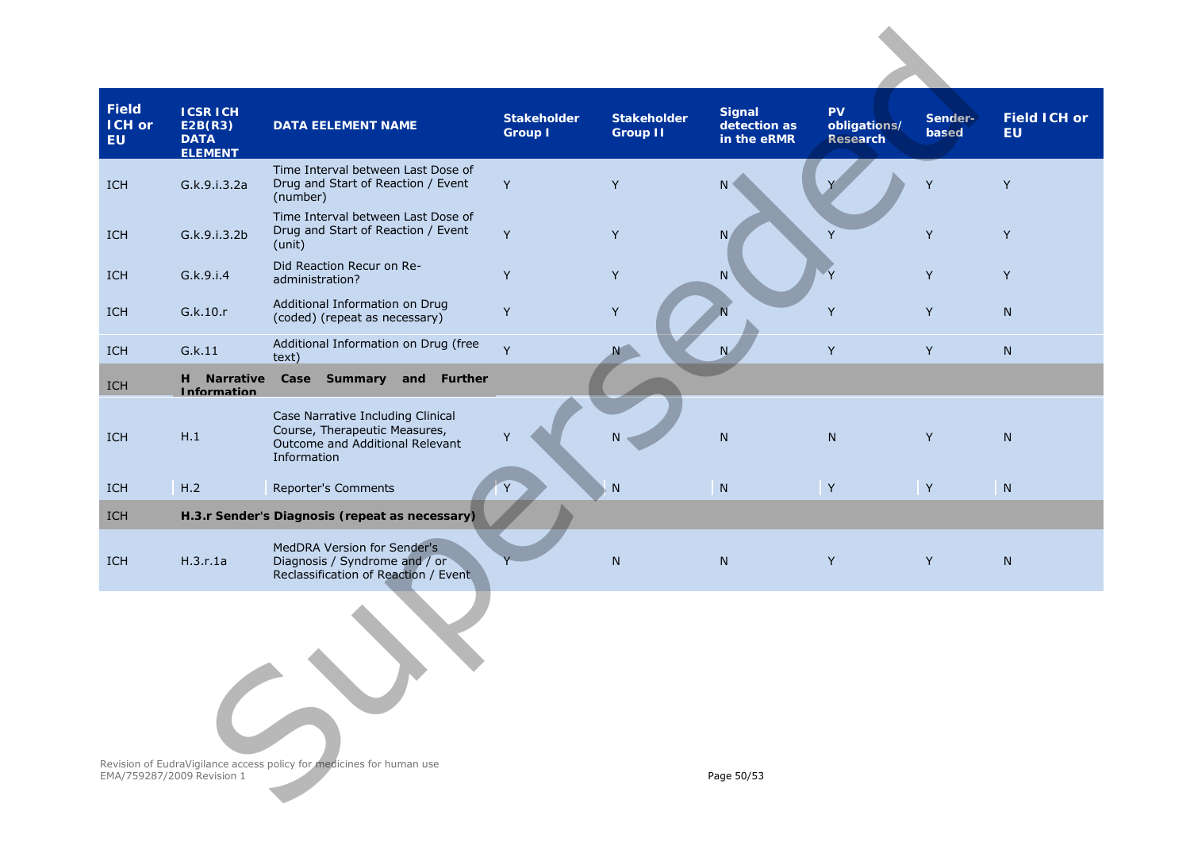| Field<br>ICH or<br><b>EU</b> | <b>ICSRICH</b><br>E2B(R3)<br><b>DATA</b><br><b>ELEMENT</b> | <b>DATA EELEMENT NAME</b>                                                                                            | <b>Stakeholder</b><br><b>Group I</b> | <b>Stakeholder</b><br><b>Group II</b> | <b>Signal</b><br>detection as<br>in the eRMR | <b>PV</b><br>obligations/<br>Research | Sender-<br>based | <b>Field ICH or</b><br><b>EU</b> |
|------------------------------|------------------------------------------------------------|----------------------------------------------------------------------------------------------------------------------|--------------------------------------|---------------------------------------|----------------------------------------------|---------------------------------------|------------------|----------------------------------|
| <b>ICH</b>                   | G.k.9.i.3.2a                                               | Time Interval between Last Dose of<br>Drug and Start of Reaction / Event<br>(number)                                 | Y                                    | Y                                     | $\mathsf{N}$                                 |                                       | Y                | Y                                |
| <b>ICH</b>                   | G.k.9.i.3.2b                                               | Time Interval between Last Dose of<br>Drug and Start of Reaction / Event<br>(unit)                                   | Y                                    | Y                                     | $N_{\ell}$                                   | Y                                     | Y                | Y                                |
| <b>ICH</b>                   | G.k.9.i.4                                                  | Did Reaction Recur on Re-<br>administration?                                                                         | Y                                    | Y                                     | ${\sf N}$                                    | Y                                     | Y                | Y                                |
| <b>ICH</b>                   | G.k.10.r                                                   | Additional Information on Drug<br>(coded) (repeat as necessary)                                                      | Y                                    | Y                                     |                                              | Y                                     | Y                | N                                |
| <b>ICH</b>                   | G.k.11                                                     | Additional Information on Drug (free<br>text)                                                                        | Y                                    |                                       | N.                                           | Y                                     | Y                | N                                |
| ICH                          | H Narrative<br><b>Information</b>                          | Case Summary and Further                                                                                             |                                      |                                       |                                              |                                       |                  |                                  |
| ICH                          | H.1                                                        | Case Narrative Including Clinical<br>Course, Therapeutic Measures,<br>Outcome and Additional Relevant<br>Information |                                      | N.                                    | ${\sf N}$                                    | N                                     | Y                | N                                |
| <b>ICH</b>                   | H.2                                                        | Reporter's Comments                                                                                                  |                                      | ${\sf N}$                             | ${\sf N}$                                    | $\mathsf Y$                           | Y                | N                                |
| <b>ICH</b>                   |                                                            | H.3.r Sender's Diagnosis (repeat as necessary)                                                                       |                                      |                                       |                                              |                                       |                  |                                  |
| <b>ICH</b>                   | H.3.r.1a                                                   | MedDRA Version for Sender's<br>Diagnosis / Syndrome and / or<br>Reclassification of Reaction / Event                 |                                      | ${\sf N}$                             | ${\sf N}$                                    | Y                                     | Y                | ${\sf N}$                        |
|                              |                                                            |                                                                                                                      |                                      |                                       |                                              |                                       |                  |                                  |
|                              | EMA/759287/2009 Revision 1                                 | Revision of EudraVigilance access policy for medicines for human use                                                 |                                      |                                       | Page 50/53                                   |                                       |                  |                                  |

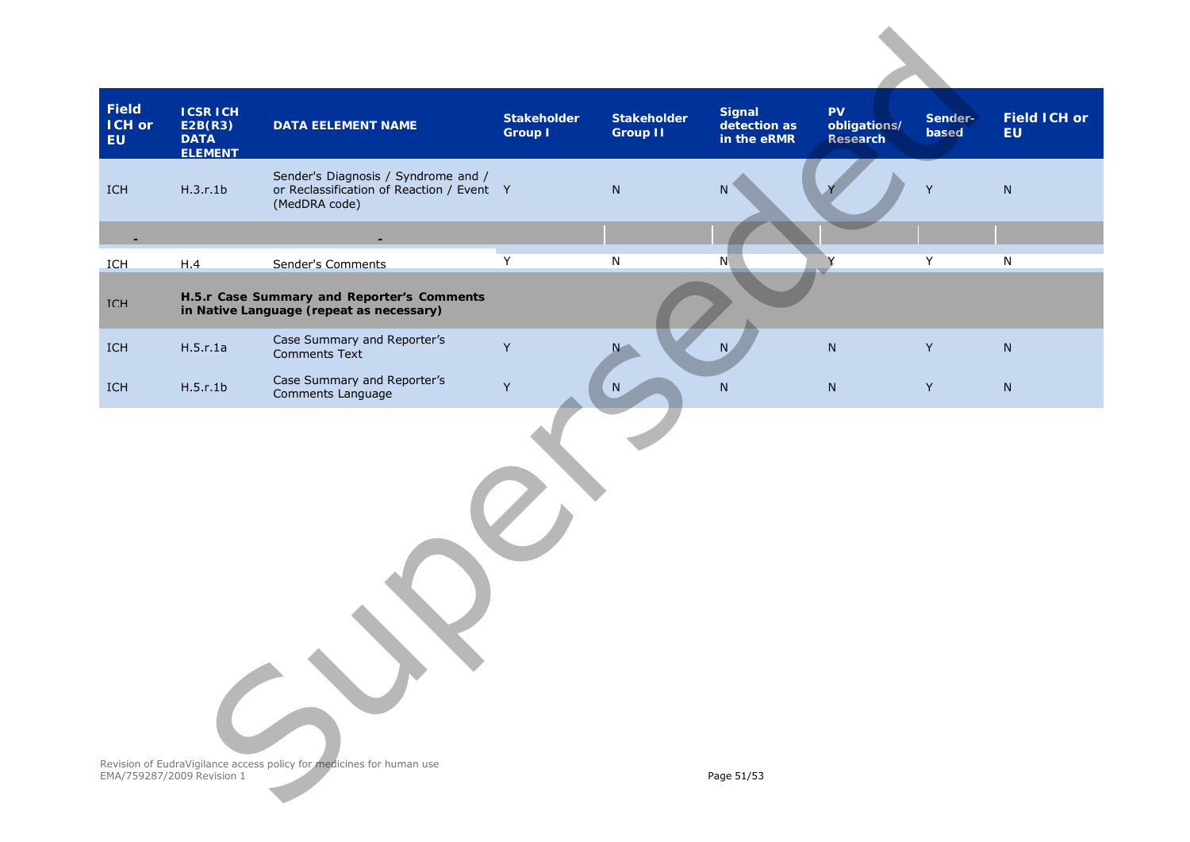| Field<br><b>ICH or</b><br><b>EU</b> | <b>ICSR ICH</b><br>E2B(R3)<br><b>DATA</b><br><b>ELEMENT</b> | <b>DATA EELEMENT NAME</b>                                                                         | <b>Stakeholder</b><br><b>Group I</b> | <b>Stakeholder</b><br><b>Group II</b> | <b>Signal</b><br>detection as<br>in the eRMR | <b>PV</b><br>obligations/<br>Research | Sender-<br>based | <b>Field ICH or</b><br><b>EU</b> |
|-------------------------------------|-------------------------------------------------------------|---------------------------------------------------------------------------------------------------|--------------------------------------|---------------------------------------|----------------------------------------------|---------------------------------------|------------------|----------------------------------|
| ICH                                 | H.3.r.1b                                                    | Sender's Diagnosis / Syndrome and /<br>or Reclassification of Reaction / Event Y<br>(MedDRA code) |                                      | ${\sf N}$                             | ${\sf N}$                                    |                                       | $\mathsf Y$      | ${\sf N}$                        |
|                                     |                                                             |                                                                                                   |                                      |                                       |                                              |                                       |                  |                                  |
| <b>TCH</b>                          | H.4                                                         | Sender's Comments                                                                                 | $\overline{Y}$                       | ${\sf N}$                             | N                                            |                                       | Υ                | $\overline{N}$                   |
| <b>TCH</b>                          |                                                             | H.5.r Case Summary and Reporter's Comments<br>in Native Language (repeat as necessary)            |                                      |                                       |                                              |                                       |                  |                                  |
| ICH                                 | H.5.r.1a                                                    | Case Summary and Reporter's<br><b>Comments Text</b>                                               | Y                                    | $N -$                                 | N                                            | ${\sf N}$                             | Y                | ${\sf N}$                        |
| ICH                                 | H.5.r.1b                                                    | Case Summary and Reporter's<br>Comments Language                                                  | Y                                    | ${\sf N}$                             | ${\sf N}$                                    | ${\sf N}$                             | $\mathsf Y$      | ${\sf N}$                        |
|                                     |                                                             |                                                                                                   |                                      |                                       |                                              |                                       |                  |                                  |
|                                     | EMA/759287/2009 Revision 1                                  | Revision of EudraVigilance access policy for medicines for human use                              |                                      |                                       | Page 51/53                                   |                                       |                  |                                  |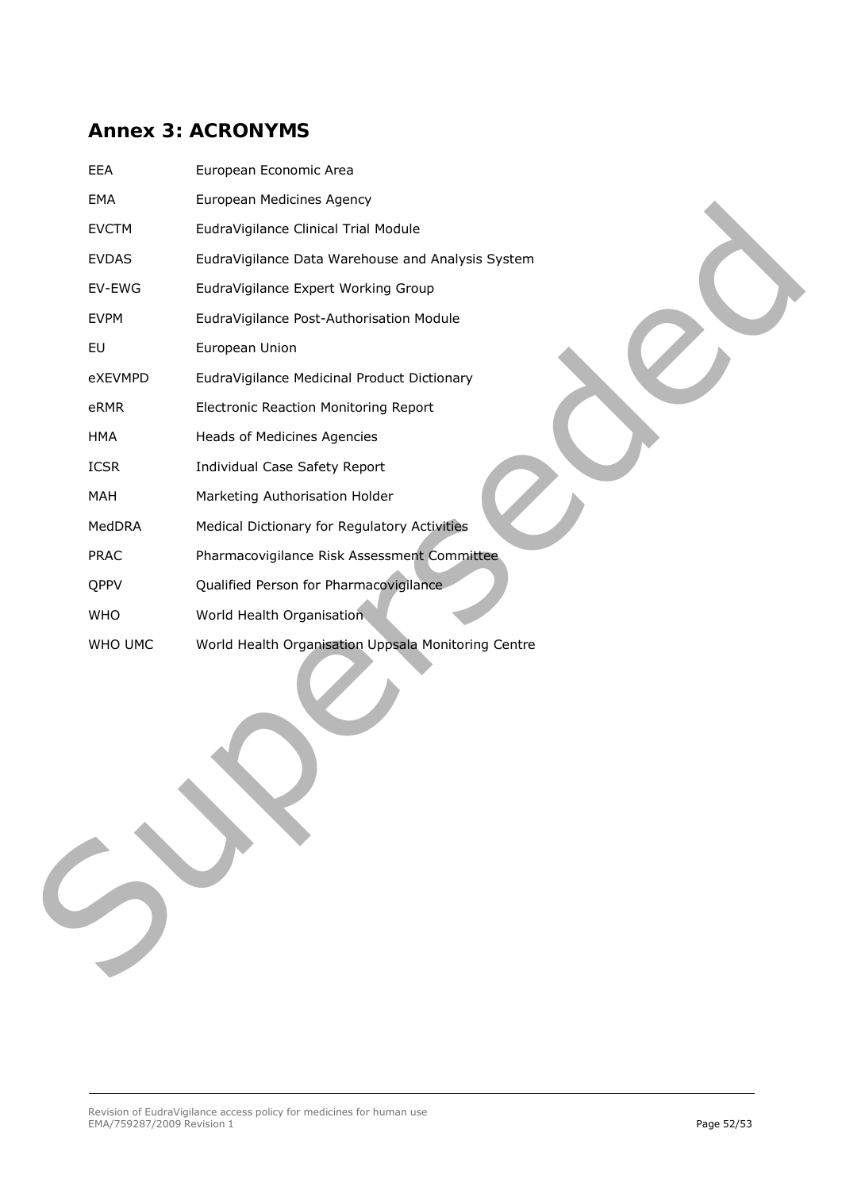# <span id="page-51-0"></span>**Annex 3: ACRONYMS**

| EEA          | European Economic Area                              |
|--------------|-----------------------------------------------------|
| EMA          | European Medicines Agency                           |
| <b>EVCTM</b> | EudraVigilance Clinical Trial Module                |
| <b>EVDAS</b> | EudraVigilance Data Warehouse and Analysis System   |
| EV-EWG       | EudraVigilance Expert Working Group                 |
| <b>EVPM</b>  | EudraVigilance Post-Authorisation Module            |
| EU           | European Union                                      |
| eXEVMPD      | EudraVigilance Medicinal Product Dictionary         |
| eRMR         | Electronic Reaction Monitoring Report               |
| <b>HMA</b>   | Heads of Medicines Agencies                         |
| <b>ICSR</b>  | Individual Case Safety Report                       |
| MAH          | Marketing Authorisation Holder                      |
| MedDRA       | Medical Dictionary for Regulatory Activities        |
| <b>PRAC</b>  | Pharmacovigilance Risk Assessment Committee         |
| QPPV         | Qualified Person for Pharmacovigilance              |
| <b>WHO</b>   | World Health Organisation                           |
| WHO UMC      | World Health Organisation Uppsala Monitoring Centre |